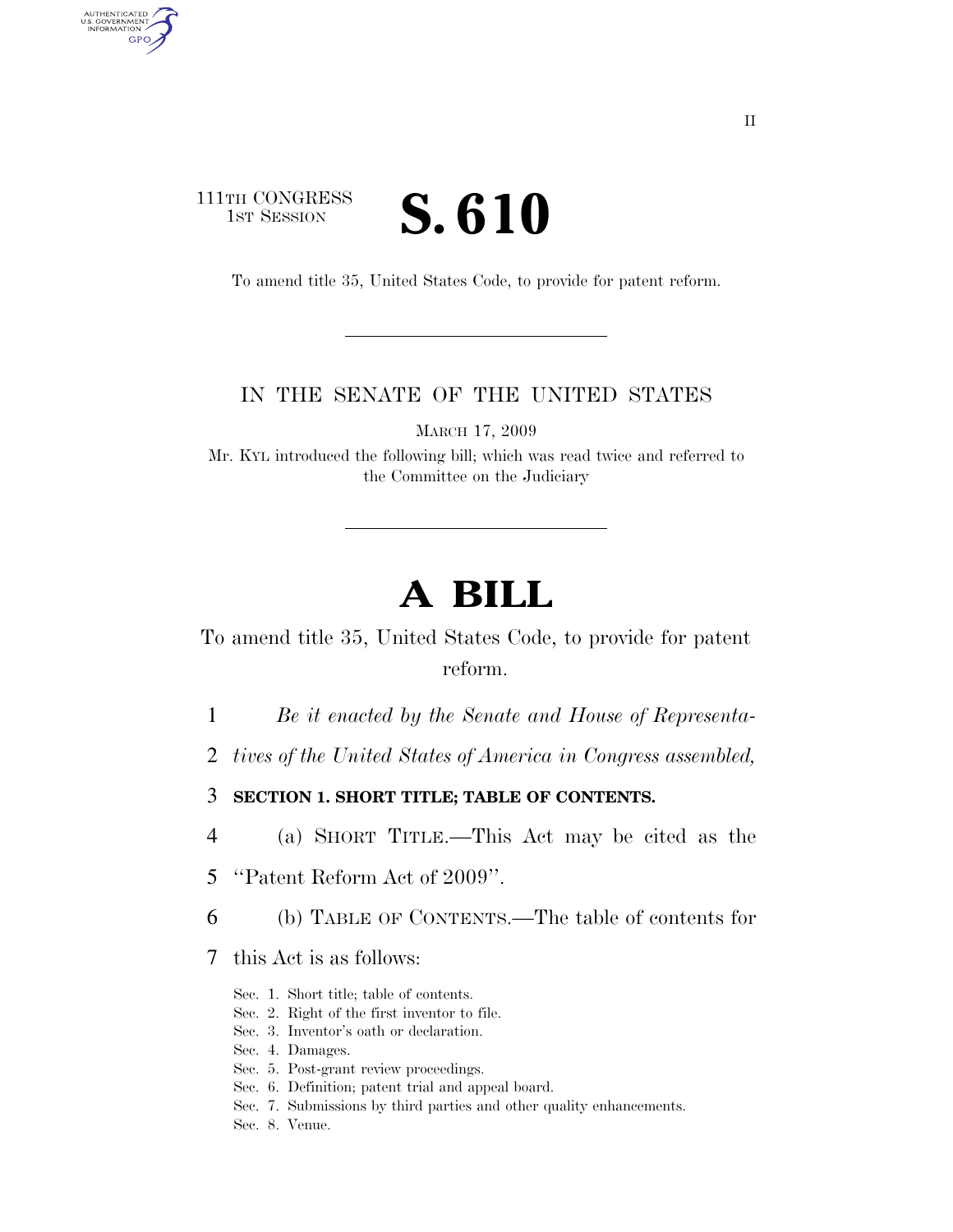### 111TH CONGRESS **IST SESSION S. 610**

AUTHENTICATED<br>U.S. GOVERNMENT<br>INFORMATION GPO

To amend title 35, United States Code, to provide for patent reform.

#### IN THE SENATE OF THE UNITED STATES

MARCH 17, 2009

Mr. KYL introduced the following bill; which was read twice and referred to the Committee on the Judiciary

# **A BILL**

To amend title 35, United States Code, to provide for patent reform.

1 *Be it enacted by the Senate and House of Representa-*

2 *tives of the United States of America in Congress assembled,* 

3 **SECTION 1. SHORT TITLE; TABLE OF CONTENTS.** 

4 (a) SHORT TITLE.—This Act may be cited as the

5 ''Patent Reform Act of 2009''.

6 (b) TABLE OF CONTENTS.—The table of contents for

7 this Act is as follows:

- Sec. 1. Short title; table of contents.
- Sec. 2. Right of the first inventor to file.

Sec. 3. Inventor's oath or declaration.

Sec. 4. Damages.

- Sec. 5. Post-grant review proceedings.
- Sec. 6. Definition; patent trial and appeal board.
- Sec. 7. Submissions by third parties and other quality enhancements.

Sec. 8. Venue.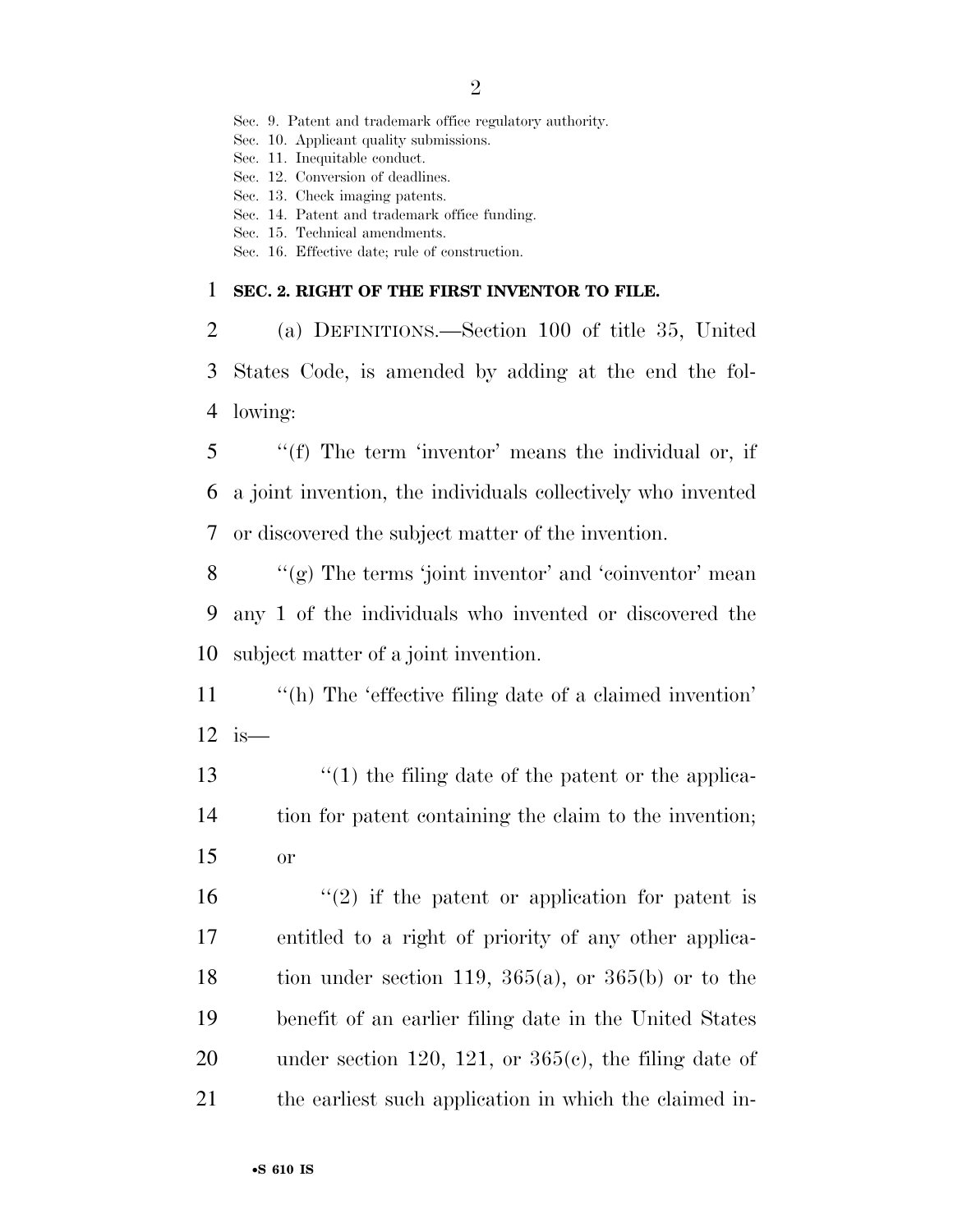2

Sec. 9. Patent and trademark office regulatory authority.

Sec. 10. Applicant quality submissions.

Sec. 11. Inequitable conduct.

Sec. 12. Conversion of deadlines.

Sec. 13. Check imaging patents.

Sec. 14. Patent and trademark office funding.

Sec. 15. Technical amendments.

Sec. 16. Effective date; rule of construction.

#### 1 **SEC. 2. RIGHT OF THE FIRST INVENTOR TO FILE.**

2 (a) DEFINITIONS.—Section 100 of title 35, United 3 States Code, is amended by adding at the end the fol-4 lowing:

5 ''(f) The term 'inventor' means the individual or, if 6 a joint invention, the individuals collectively who invented 7 or discovered the subject matter of the invention.

 $8$  ''(g) The terms 'joint inventor' and 'coinventor' mean 9 any 1 of the individuals who invented or discovered the 10 subject matter of a joint invention.

11 "(h) The 'effective filing date of a claimed invention' 12 is—

13 ''(1) the filing date of the patent or the applica-14 tion for patent containing the claim to the invention; 15 or

 $\frac{1}{2}$  if the patent or application for patent is entitled to a right of priority of any other applica-18 tion under section 119,  $365(a)$ , or  $365(b)$  or to the benefit of an earlier filing date in the United States 20 under section 120, 121, or  $365(c)$ , the filing date of the earliest such application in which the claimed in-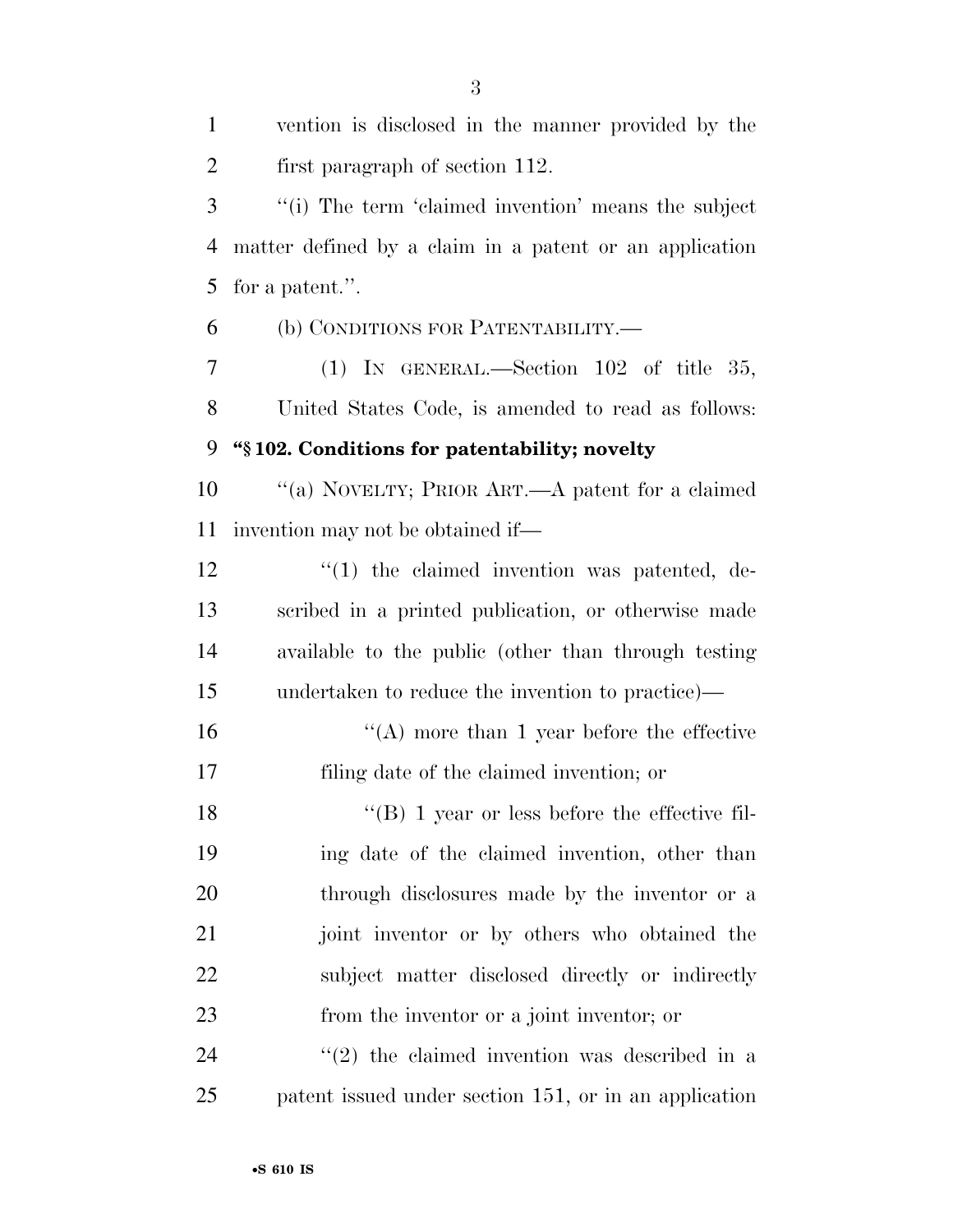| $\mathbf{1}$ | vention is disclosed in the manner provided by the      |
|--------------|---------------------------------------------------------|
| 2            | first paragraph of section 112.                         |
| 3            | "(i) The term 'claimed invention' means the subject     |
| 4            | matter defined by a claim in a patent or an application |
| 5            | for a patent.".                                         |
| 6            | (b) CONDITIONS FOR PATENTABILITY.-                      |
| 7            | (1) IN GENERAL.—Section $102$ of title 35,              |
| 8            | United States Code, is amended to read as follows:      |
| 9            | "§102. Conditions for patentability; novelty            |
| 10           | "(a) NOVELTY; PRIOR ART.—A patent for a claimed         |
| 11           | invention may not be obtained if—                       |
| 12           | $\lq(1)$ the claimed invention was patented, de-        |
| 13           | scribed in a printed publication, or otherwise made     |
| 14           | available to the public (other than through testing     |
| 15           | undertaken to reduce the invention to practice)—        |
| 16           | $\lq\lq$ more than 1 year before the effective          |
| 17           | filing date of the claimed invention; or                |
| 18           | $\lq\lq (B)$ 1 year or less before the effective fil-   |
| 19           | ing date of the claimed invention, other than           |
| 20           | through disclosures made by the inventor or a           |
| 21           | joint inventor or by others who obtained the            |
| 22           | subject matter disclosed directly or indirectly         |
| 23           | from the inventor or a joint inventor; or               |
| 24           | $(2)$ the claimed invention was described in a          |
| 25           | patent issued under section 151, or in an application   |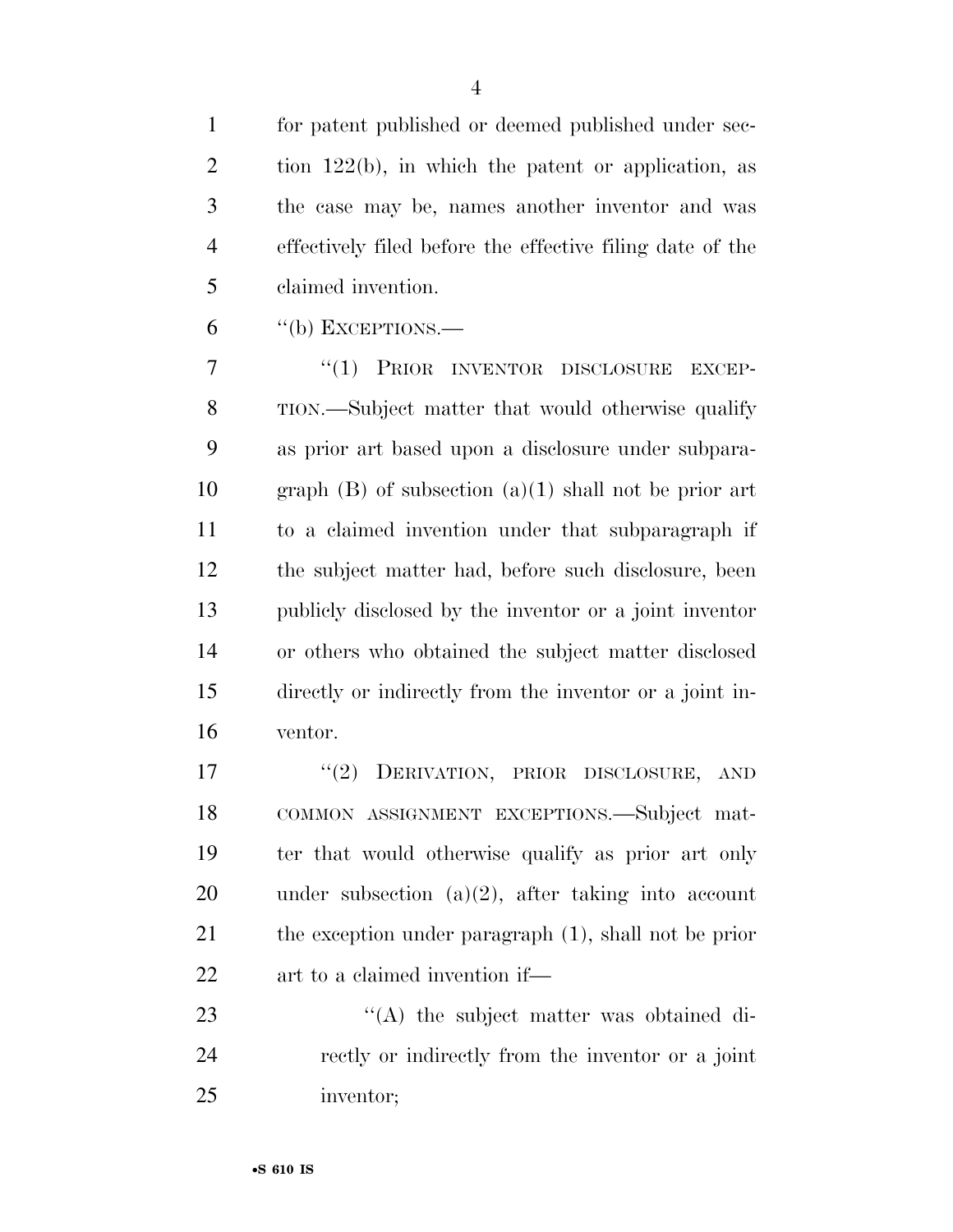for patent published or deemed published under sec- tion 122(b), in which the patent or application, as the case may be, names another inventor and was effectively filed before the effective filing date of the claimed invention.

"(b) EXCEPTIONS.—

7 "(1) PRIOR INVENTOR DISCLOSURE EXCEP- TION.—Subject matter that would otherwise qualify as prior art based upon a disclosure under subpara-10 graph  $(B)$  of subsection  $(a)(1)$  shall not be prior art to a claimed invention under that subparagraph if the subject matter had, before such disclosure, been publicly disclosed by the inventor or a joint inventor or others who obtained the subject matter disclosed directly or indirectly from the inventor or a joint in-ventor.

17 "(2) DERIVATION, PRIOR DISCLOSURE, AND COMMON ASSIGNMENT EXCEPTIONS.—Subject mat- ter that would otherwise qualify as prior art only under subsection (a)(2), after taking into account the exception under paragraph (1), shall not be prior art to a claimed invention if—

23  $\langle (A)$  the subject matter was obtained di- rectly or indirectly from the inventor or a joint inventor;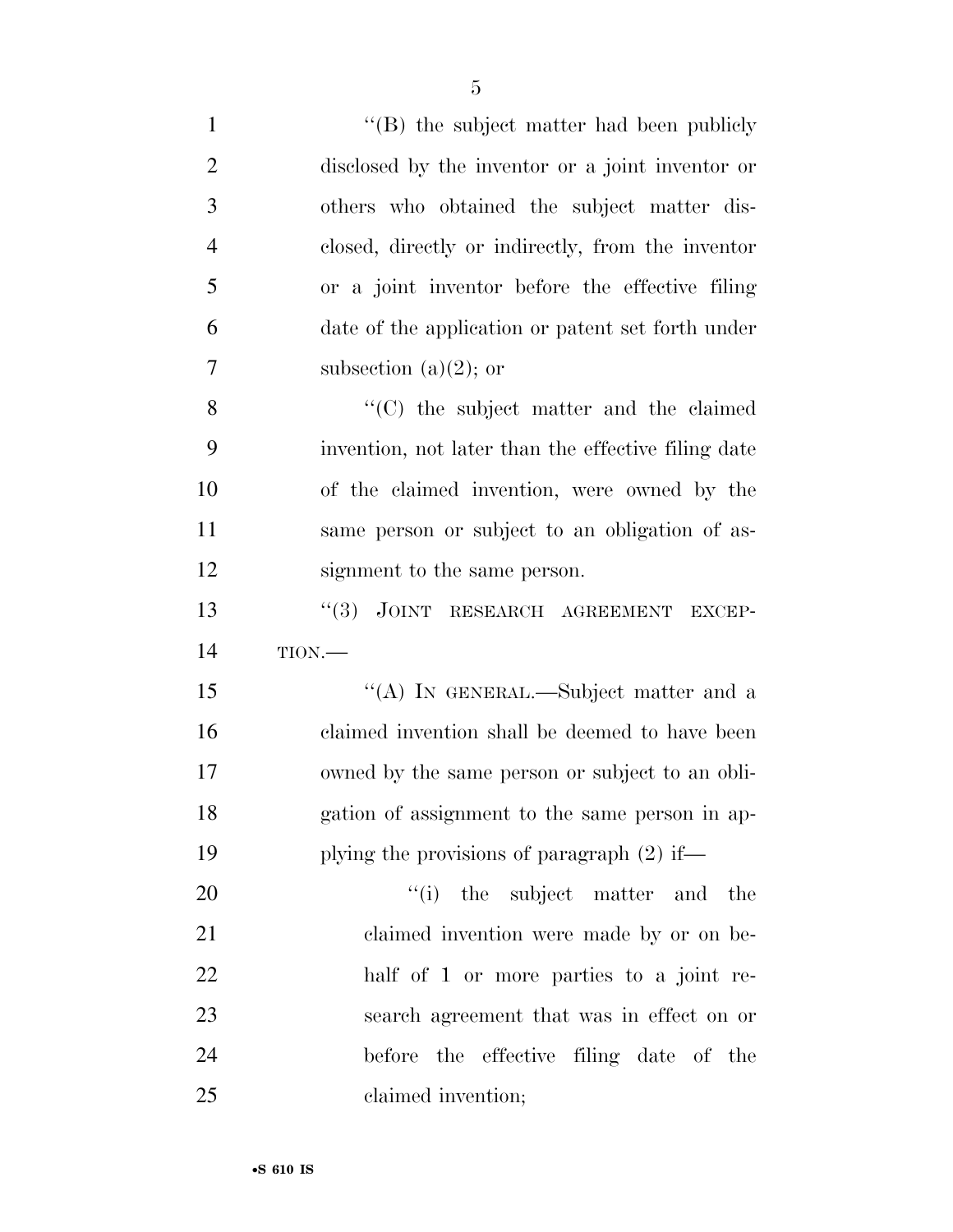| $\mathbf{1}$   | "(B) the subject matter had been publicly           |
|----------------|-----------------------------------------------------|
| $\overline{2}$ | disclosed by the inventor or a joint inventor or    |
| 3              | others who obtained the subject matter dis-         |
| $\overline{4}$ | closed, directly or indirectly, from the inventor   |
| 5              | or a joint inventor before the effective filing     |
| 6              | date of the application or patent set forth under   |
| 7              | subsection (a) $(2)$ ; or                           |
| 8              | "(C) the subject matter and the claimed             |
| 9              | invention, not later than the effective filing date |
| 10             | of the claimed invention, were owned by the         |
| 11             | same person or subject to an obligation of as-      |
| 12             | signment to the same person.                        |
| 13             | "(3) JOINT RESEARCH AGREEMENT EXCEP-                |
| 14             | TION.                                               |
| 15             | "(A) IN GENERAL.—Subject matter and a               |
| 16             | claimed invention shall be deemed to have been      |
| 17             | owned by the same person or subject to an obli-     |
| 18             | gation of assignment to the same person in ap-      |
| 19             | plying the provisions of paragraph $(2)$ if—        |
|                |                                                     |
| 20             | "(i) the subject matter and<br>the                  |
| 21             | claimed invention were made by or on be-            |
| 22             | half of 1 or more parties to a joint re-            |
| 23             | search agreement that was in effect on or           |
| 24             | before the effective filing date of the             |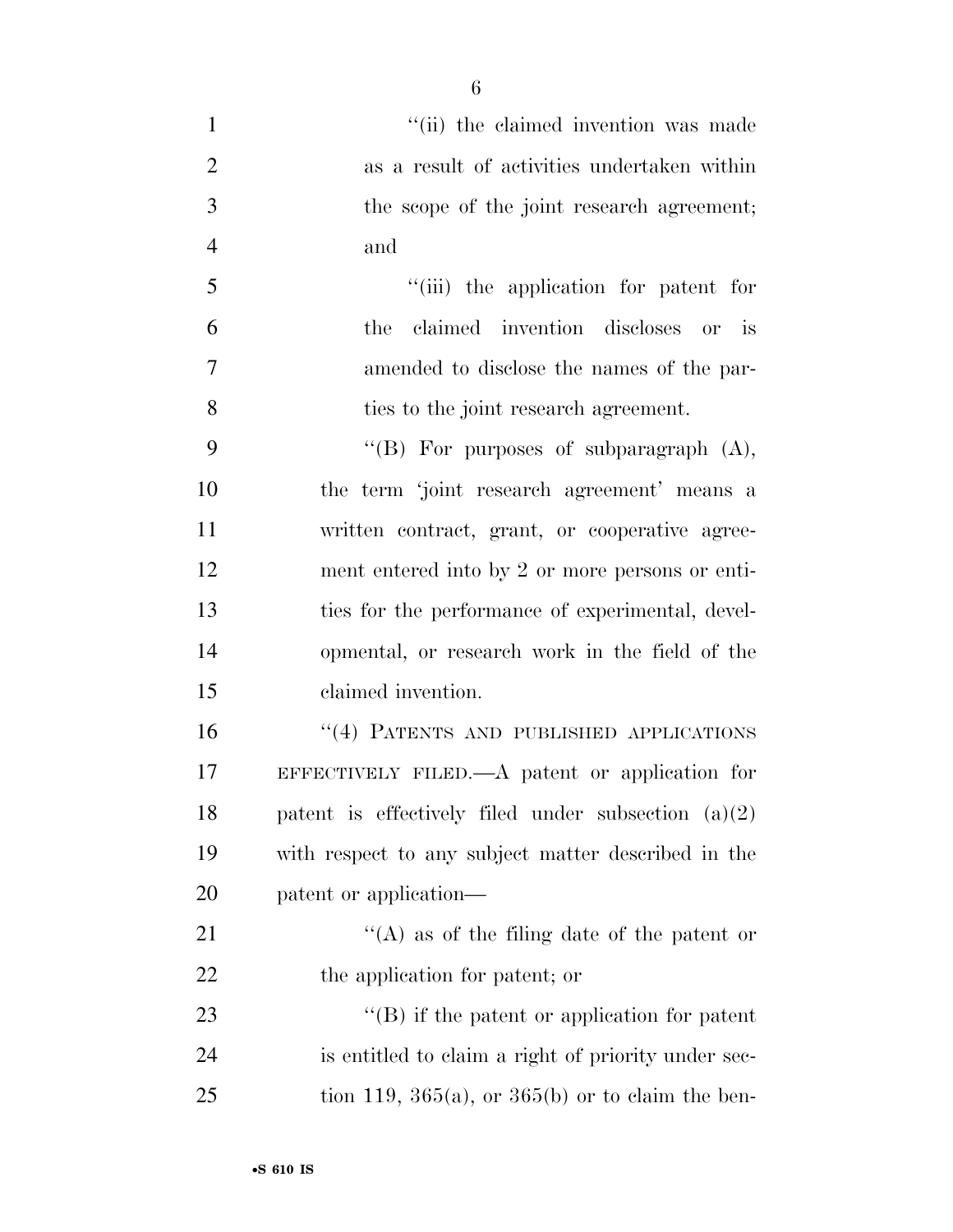- 1  $''(ii)$  the claimed invention was made as a result of activities undertaken within the scope of the joint research agreement; and ''(iii) the application for patent for
- the claimed invention discloses or is amended to disclose the names of the par-ties to the joint research agreement.

 $"$ (B) For purposes of subparagraph  $(A)$ , the term 'joint research agreement' means a written contract, grant, or cooperative agree- ment entered into by 2 or more persons or enti- ties for the performance of experimental, devel- opmental, or research work in the field of the claimed invention.

 ''(4) PATENTS AND PUBLISHED APPLICATIONS EFFECTIVELY FILED.—A patent or application for patent is effectively filed under subsection (a)(2) with respect to any subject matter described in the patent or application—

21  $\langle (A)$  as of the filing date of the patent or the application for patent; or

23 ''(B) if the patent or application for patent is entitled to claim a right of priority under sec-25 tion 119,  $365(a)$ , or  $365(b)$  or to claim the ben-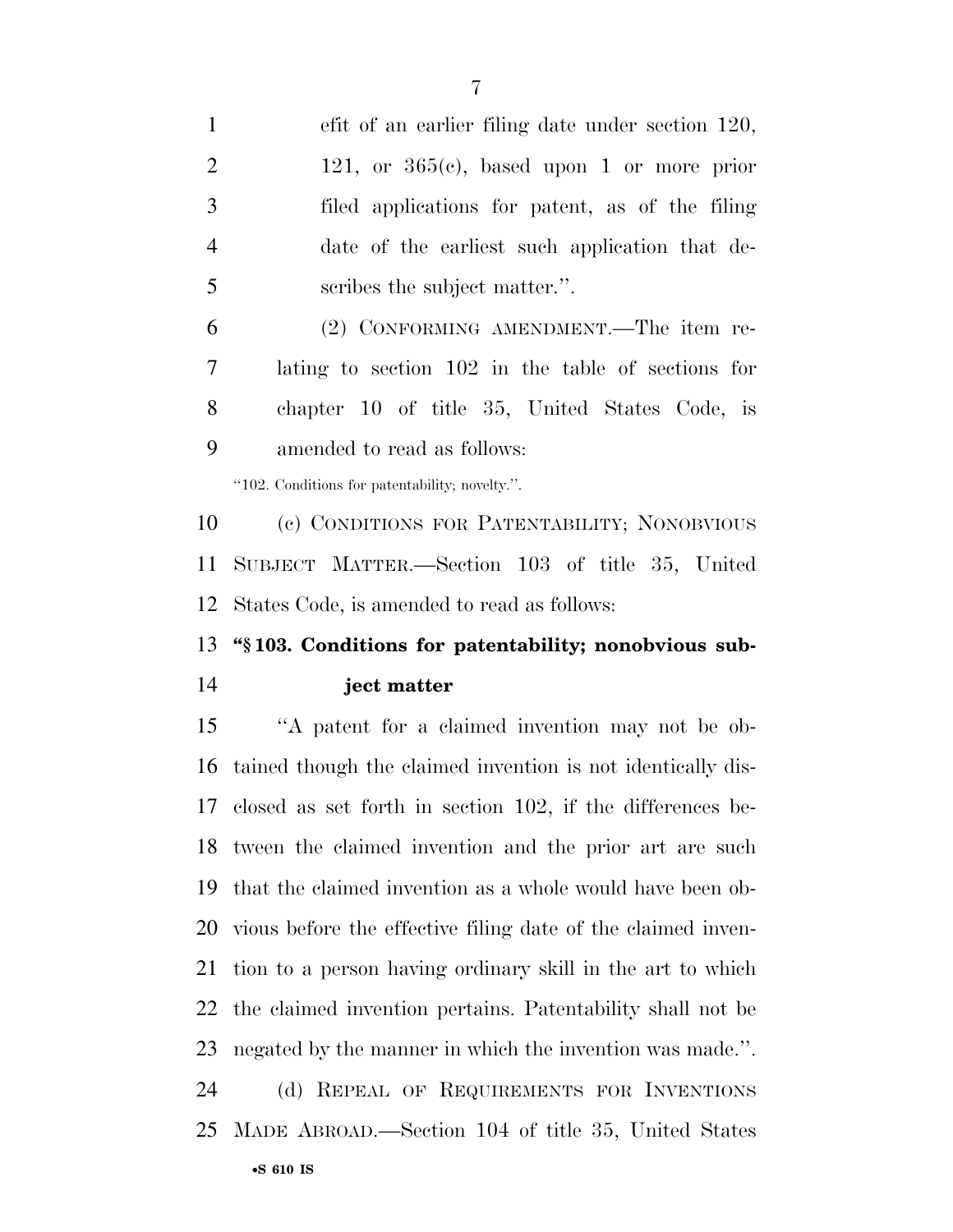efit of an earlier filing date under section 120, 2 121, or  $365(c)$ , based upon 1 or more prior filed applications for patent, as of the filing date of the earliest such application that de-5 seribes the subject matter.".

 (2) CONFORMING AMENDMENT.—The item re- lating to section 102 in the table of sections for chapter 10 of title 35, United States Code, is amended to read as follows:

''102. Conditions for patentability; novelty.''.

 (c) CONDITIONS FOR PATENTABILITY; NONOBVIOUS SUBJECT MATTER.—Section 103 of title 35, United States Code, is amended to read as follows:

### **''§ 103. Conditions for patentability; nonobvious sub-ject matter**

 ''A patent for a claimed invention may not be ob- tained though the claimed invention is not identically dis- closed as set forth in section 102, if the differences be- tween the claimed invention and the prior art are such that the claimed invention as a whole would have been ob- vious before the effective filing date of the claimed inven- tion to a person having ordinary skill in the art to which the claimed invention pertains. Patentability shall not be negated by the manner in which the invention was made.''. (d) REPEAL OF REQUIREMENTS FOR INVENTIONS MADE ABROAD.—Section 104 of title 35, United States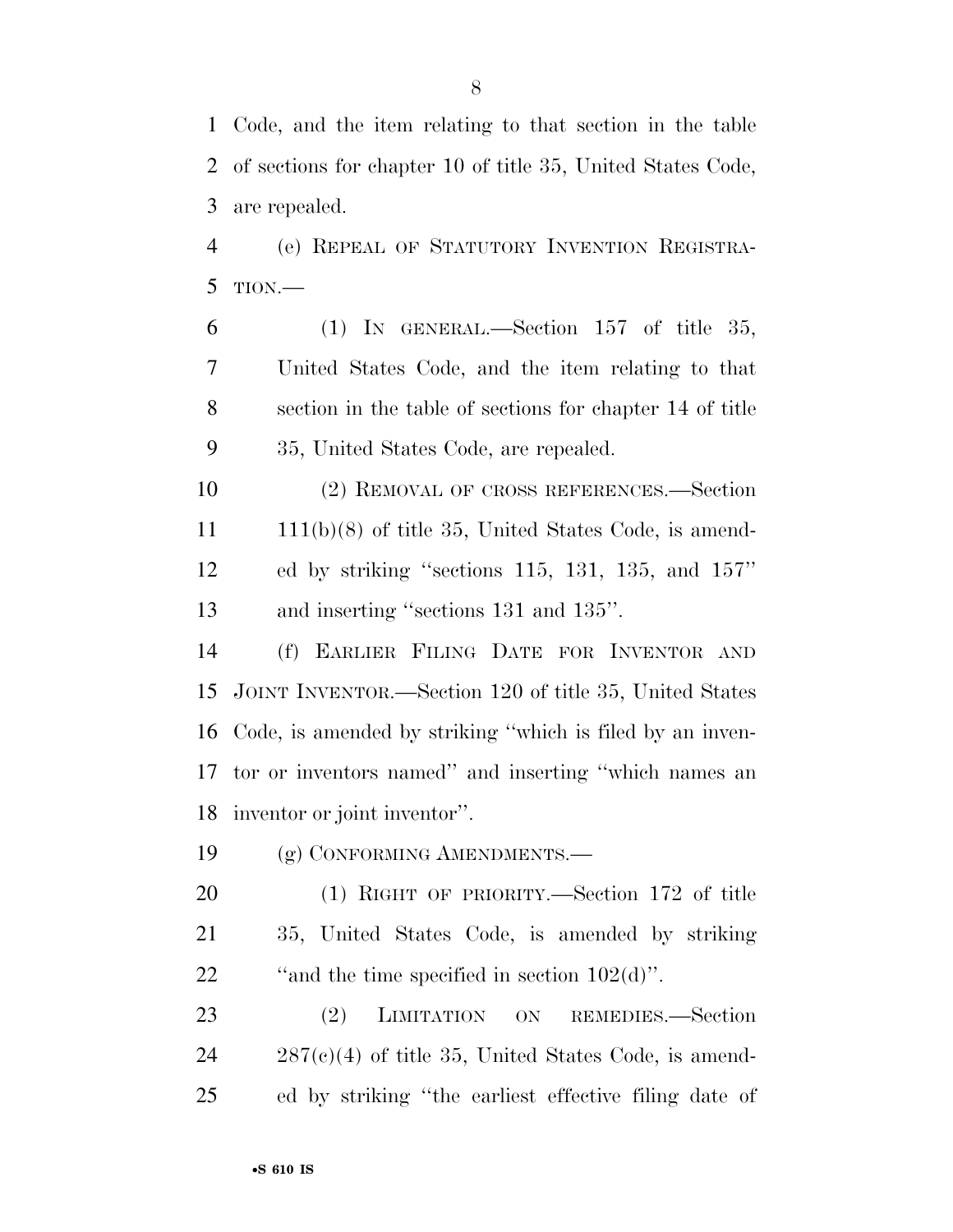Code, and the item relating to that section in the table of sections for chapter 10 of title 35, United States Code, are repealed.

 (e) REPEAL OF STATUTORY INVENTION REGISTRA-TION.—

6 (1) IN GENERAL.—Section 157 of title 35, United States Code, and the item relating to that section in the table of sections for chapter 14 of title 35, United States Code, are repealed.

 (2) REMOVAL OF CROSS REFERENCES.—Section 11 111(b)(8) of title 35, United States Code, is amend- ed by striking ''sections 115, 131, 135, and 157'' 13 and inserting "sections 131 and 135".

 (f) EARLIER FILING DATE FOR INVENTOR AND JOINT INVENTOR.—Section 120 of title 35, United States Code, is amended by striking ''which is filed by an inven- tor or inventors named'' and inserting ''which names an inventor or joint inventor''.

(g) CONFORMING AMENDMENTS.—

 (1) RIGHT OF PRIORITY.—Section 172 of title 35, United States Code, is amended by striking 22  $\ldots$  "and the time specified in section 102(d)".

23 (2) LIMITATION ON REMEDIES.—Section 287(c)(4) of title 35, United States Code, is amend-ed by striking ''the earliest effective filing date of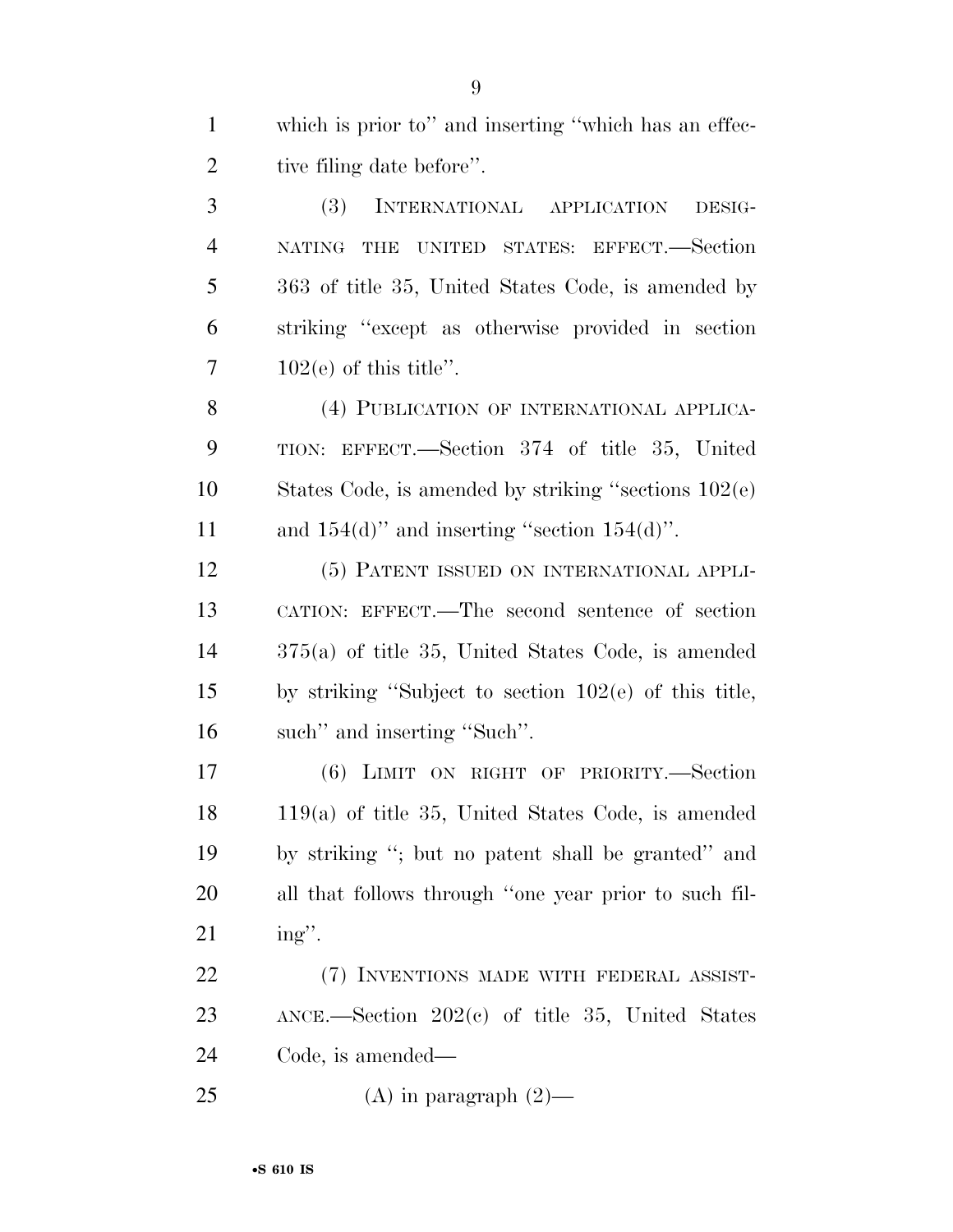which is prior to'' and inserting ''which has an effec-2 tive filing date before".

 (3) INTERNATIONAL APPLICATION DESIG- NATING THE UNITED STATES: EFFECT.—Section 363 of title 35, United States Code, is amended by striking ''except as otherwise provided in section  $7 \qquad 102(e)$  of this title".

8 (4) PUBLICATION OF INTERNATIONAL APPLICA- TION: EFFECT.—Section 374 of title 35, United States Code, is amended by striking ''sections 102(e) 11 and  $154(d)$ " and inserting "section  $154(d)$ ".

 (5) PATENT ISSUED ON INTERNATIONAL APPLI- CATION: EFFECT.—The second sentence of section 375(a) of title 35, United States Code, is amended by striking ''Subject to section 102(e) of this title, such'' and inserting ''Such''.

 (6) LIMIT ON RIGHT OF PRIORITY.—Section 119(a) of title 35, United States Code, is amended by striking ''; but no patent shall be granted'' and all that follows through ''one year prior to such fil-ing''.

22 (7) INVENTIONS MADE WITH FEDERAL ASSIST- ANCE.—Section 202(c) of title 35, United States Code, is amended—

25 (A) in paragraph  $(2)$ —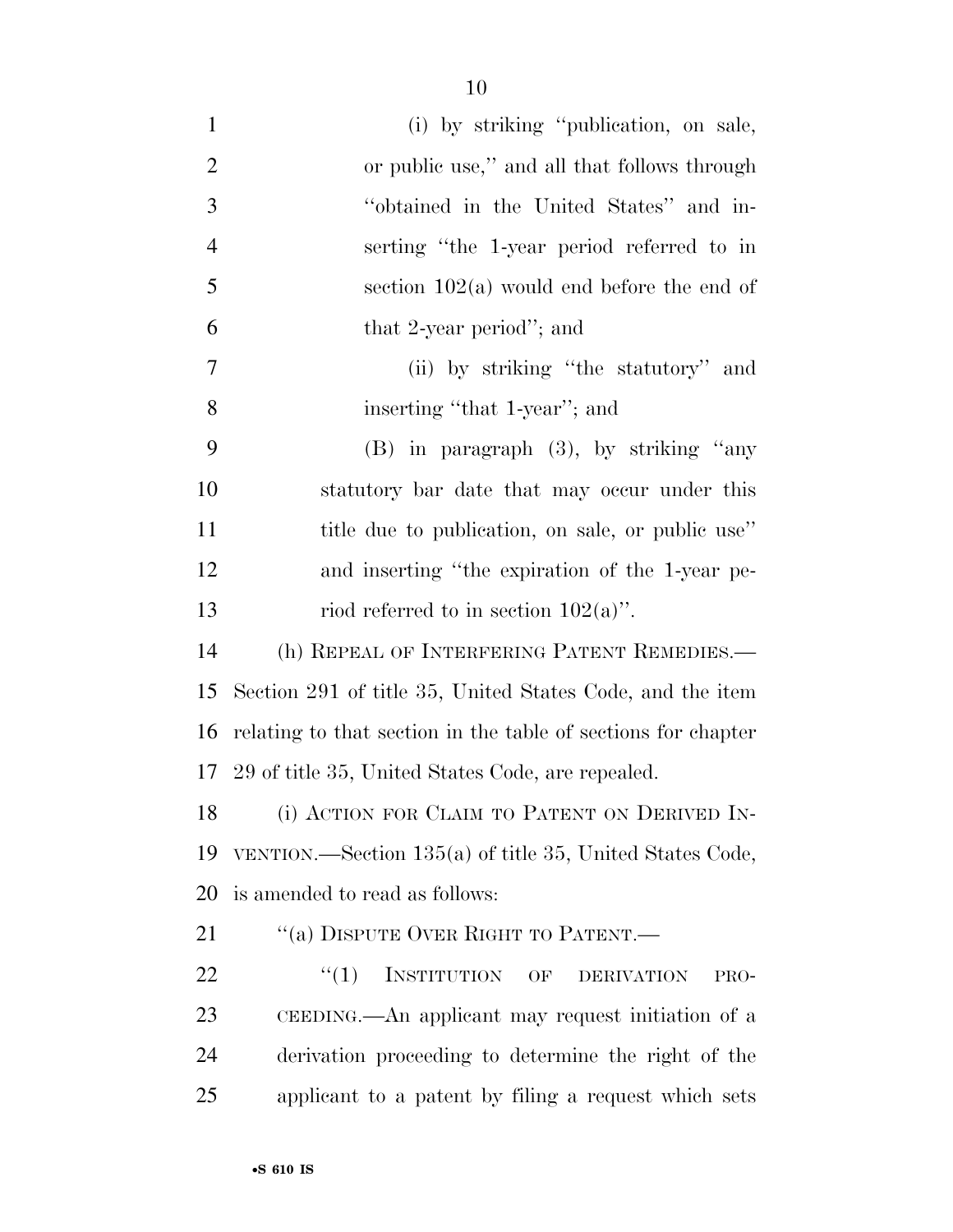| $\mathbf{1}$   | (i) by striking "publication, on sale,                        |
|----------------|---------------------------------------------------------------|
| $\overline{2}$ | or public use," and all that follows through                  |
| 3              | "obtained in the United States" and in-                       |
| $\overline{4}$ | serting "the 1-year period referred to in                     |
| 5              | section $102(a)$ would end before the end of                  |
| 6              | that 2-year period"; and                                      |
| $\overline{7}$ | (ii) by striking "the statutory" and                          |
| 8              | inserting "that 1-year"; and                                  |
| 9              | $(B)$ in paragraph $(3)$ , by striking "any                   |
| 10             | statutory bar date that may occur under this                  |
| 11             | title due to publication, on sale, or public use"             |
| 12             | and inserting "the expiration of the 1-year pe-               |
| 13             | riod referred to in section $102(a)$ ".                       |
| 14             | (h) REPEAL OF INTERFERING PATENT REMEDIES.—                   |
| 15             | Section 291 of title 35, United States Code, and the item     |
| 16             | relating to that section in the table of sections for chapter |
|                | 17 29 of title 35, United States Code, are repealed.          |
| 18             | (i) ACTION FOR CLAIM TO PATENT ON DERIVED IN-                 |
| 19             | VENTION.—Section 135(a) of title 35, United States Code,      |
| 20             | is amended to read as follows:                                |
| 21             | "(a) DISPUTE OVER RIGHT TO PATENT.—                           |
| 22             | INSTITUTION OF<br>``(1)<br><b>DERIVATION</b><br>PRO-          |
| 23             | CEEDING.—An applicant may request initiation of a             |
| 24             | derivation proceeding to determine the right of the           |
| 25             | applicant to a patent by filing a request which sets          |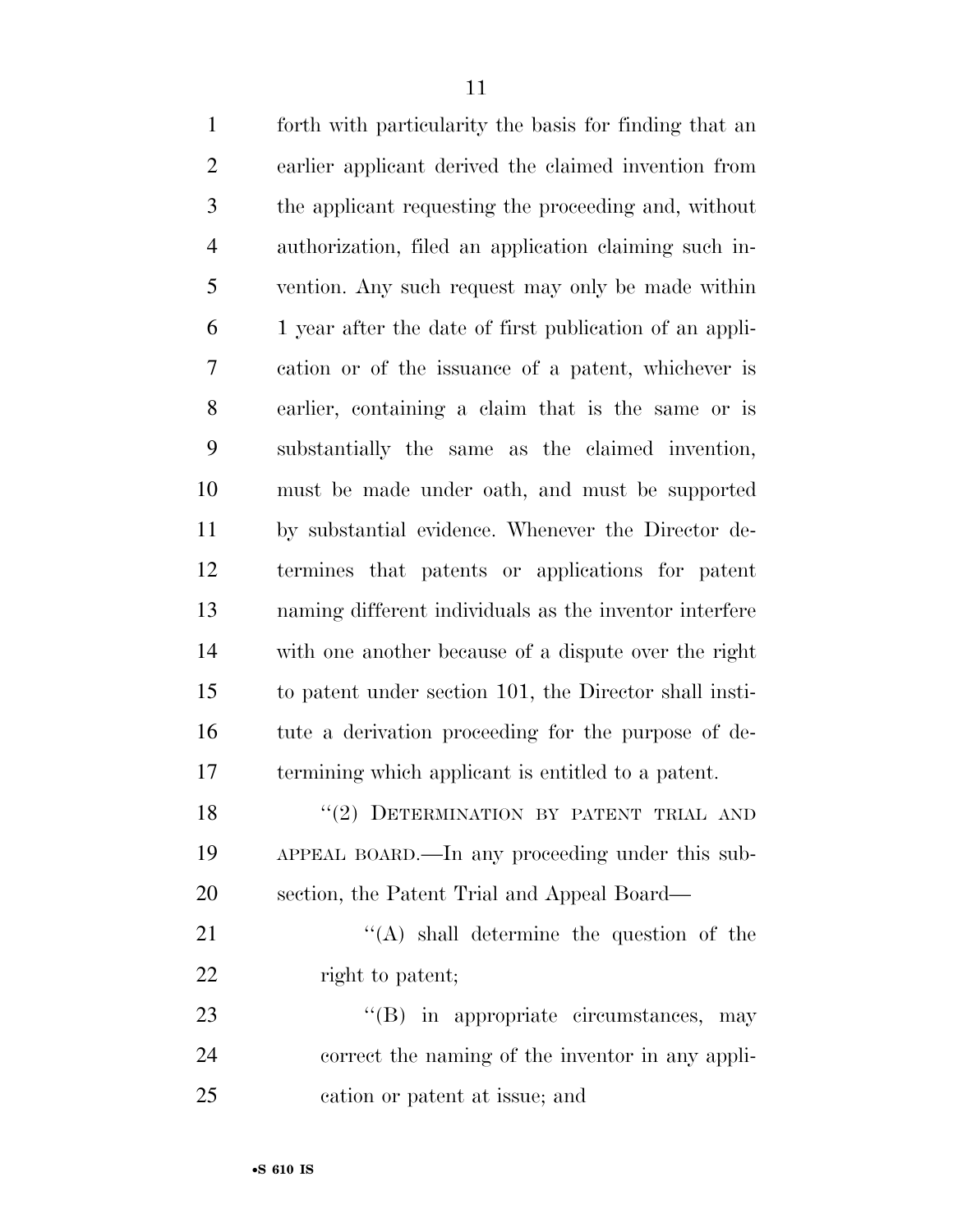| $\mathbf{1}$   | forth with particularity the basis for finding that an  |
|----------------|---------------------------------------------------------|
| $\mathfrak{2}$ | earlier applicant derived the claimed invention from    |
| 3              | the applicant requesting the proceeding and, without    |
| $\overline{4}$ | authorization, filed an application claiming such in-   |
| 5              | vention. Any such request may only be made within       |
| 6              | 1 year after the date of first publication of an appli- |
| 7              | cation or of the issuance of a patent, whichever is     |
| $8\,$          | earlier, containing a claim that is the same or is      |
| 9              | substantially the same as the claimed invention,        |
| 10             | must be made under oath, and must be supported          |
| 11             | by substantial evidence. Whenever the Director de-      |
| 12             | termines that patents or applications for patent        |
| 13             | naming different individuals as the inventor interfere  |
| 14             | with one another because of a dispute over the right    |
| 15             | to patent under section 101, the Director shall insti-  |
| 16             | tute a derivation proceeding for the purpose of de-     |
| 17             | termining which applicant is entitled to a patent.      |
| 18             | "(2) DETERMINATION BY PATENT TRIAL AND                  |
| 19             | APPEAL BOARD.—In any proceeding under this sub-         |
| 20             | section, the Patent Trial and Appeal Board—             |
| 21             | $\lq\lq$ shall determine the question of the            |
| 22             | right to patent;                                        |
| 23             | "(B) in appropriate circumstances, may                  |
| 24             | correct the naming of the inventor in any appli-        |

cation or patent at issue; and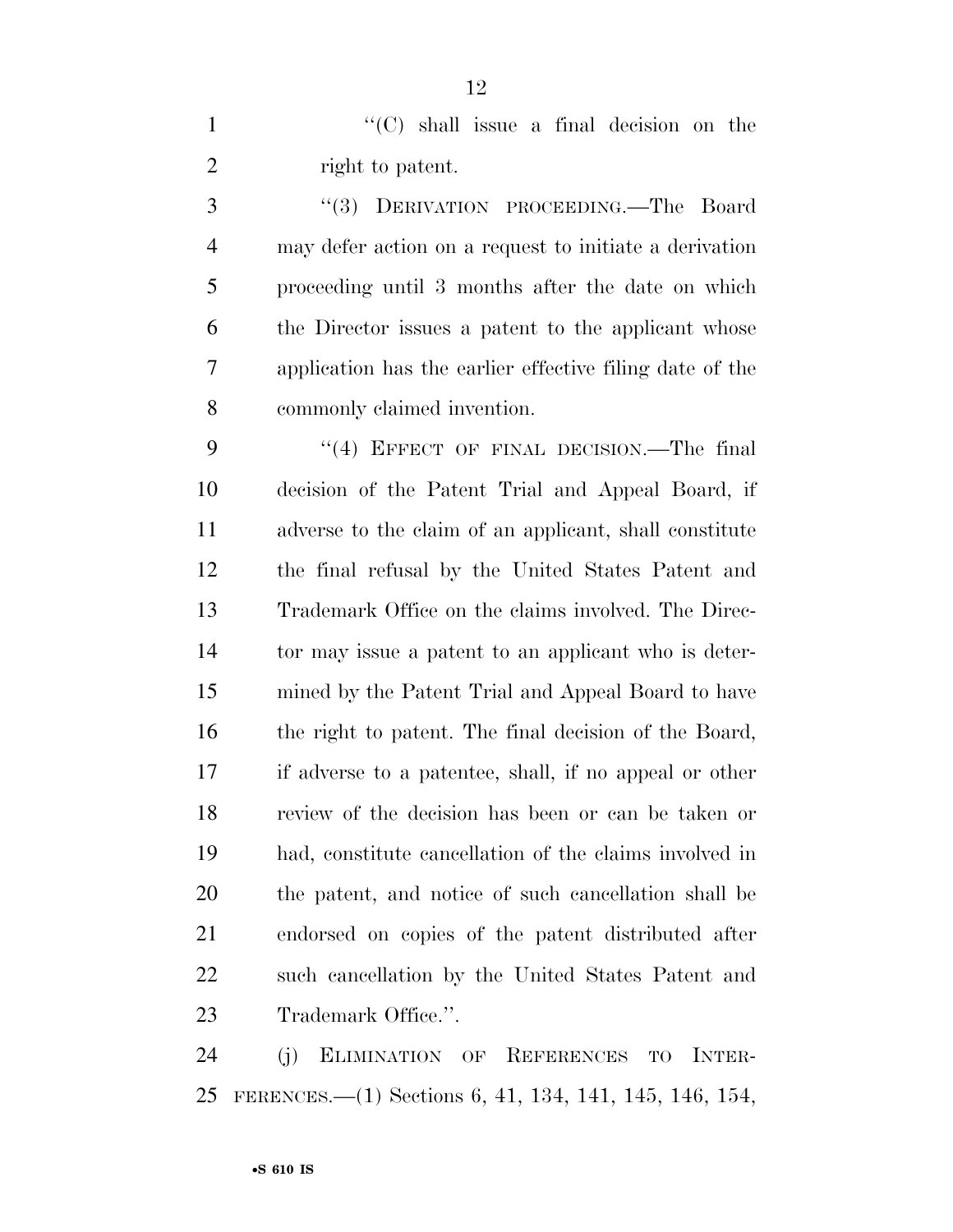1  $\lq(0)$  shall issue a final decision on the 2 right to patent.

 ''(3) DERIVATION PROCEEDING.—The Board may defer action on a request to initiate a derivation proceeding until 3 months after the date on which the Director issues a patent to the applicant whose application has the earlier effective filing date of the commonly claimed invention.

9 "(4) EFFECT OF FINAL DECISION.—The final decision of the Patent Trial and Appeal Board, if adverse to the claim of an applicant, shall constitute the final refusal by the United States Patent and Trademark Office on the claims involved. The Direc- tor may issue a patent to an applicant who is deter- mined by the Patent Trial and Appeal Board to have the right to patent. The final decision of the Board, if adverse to a patentee, shall, if no appeal or other review of the decision has been or can be taken or had, constitute cancellation of the claims involved in the patent, and notice of such cancellation shall be endorsed on copies of the patent distributed after such cancellation by the United States Patent and 23 Trademark Office.".

 (j) ELIMINATION OF REFERENCES TO INTER-FERENCES.—(1) Sections 6, 41, 134, 141, 145, 146, 154,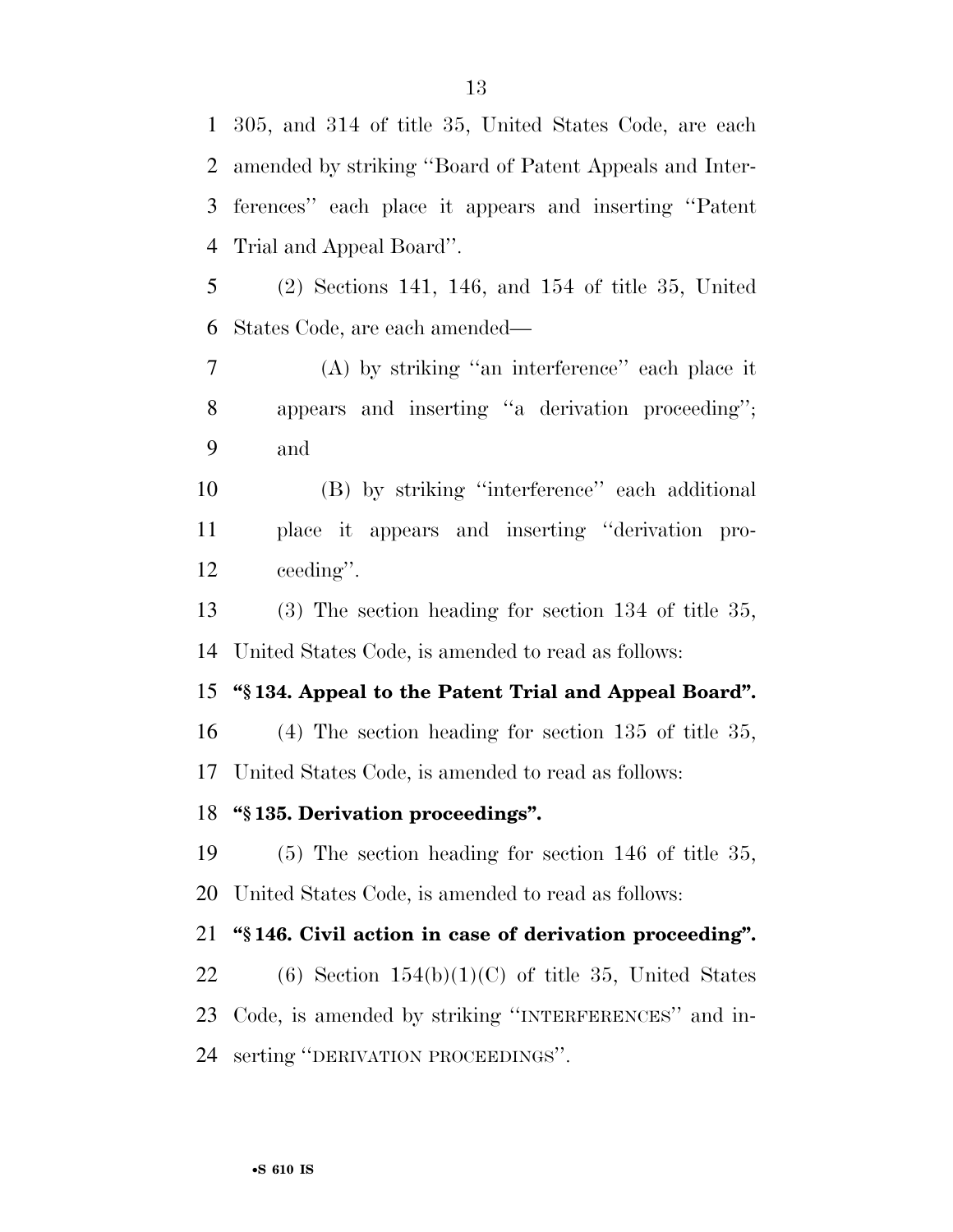305, and 314 of title 35, United States Code, are each amended by striking ''Board of Patent Appeals and Inter- ferences'' each place it appears and inserting ''Patent Trial and Appeal Board''.

 (2) Sections 141, 146, and 154 of title 35, United States Code, are each amended—

 (A) by striking ''an interference'' each place it appears and inserting ''a derivation proceeding''; and

 (B) by striking ''interference'' each additional place it appears and inserting ''derivation pro-ceeding''.

 (3) The section heading for section 134 of title 35, United States Code, is amended to read as follows:

#### **''§ 134. Appeal to the Patent Trial and Appeal Board''.**

 (4) The section heading for section 135 of title 35, United States Code, is amended to read as follows:

#### **''§ 135. Derivation proceedings''.**

 (5) The section heading for section 146 of title 35, United States Code, is amended to read as follows:

#### **''§ 146. Civil action in case of derivation proceeding''.**

22 (6) Section  $154(b)(1)(C)$  of title 35, United States Code, is amended by striking ''INTERFERENCES'' and in-serting ''DERIVATION PROCEEDINGS''.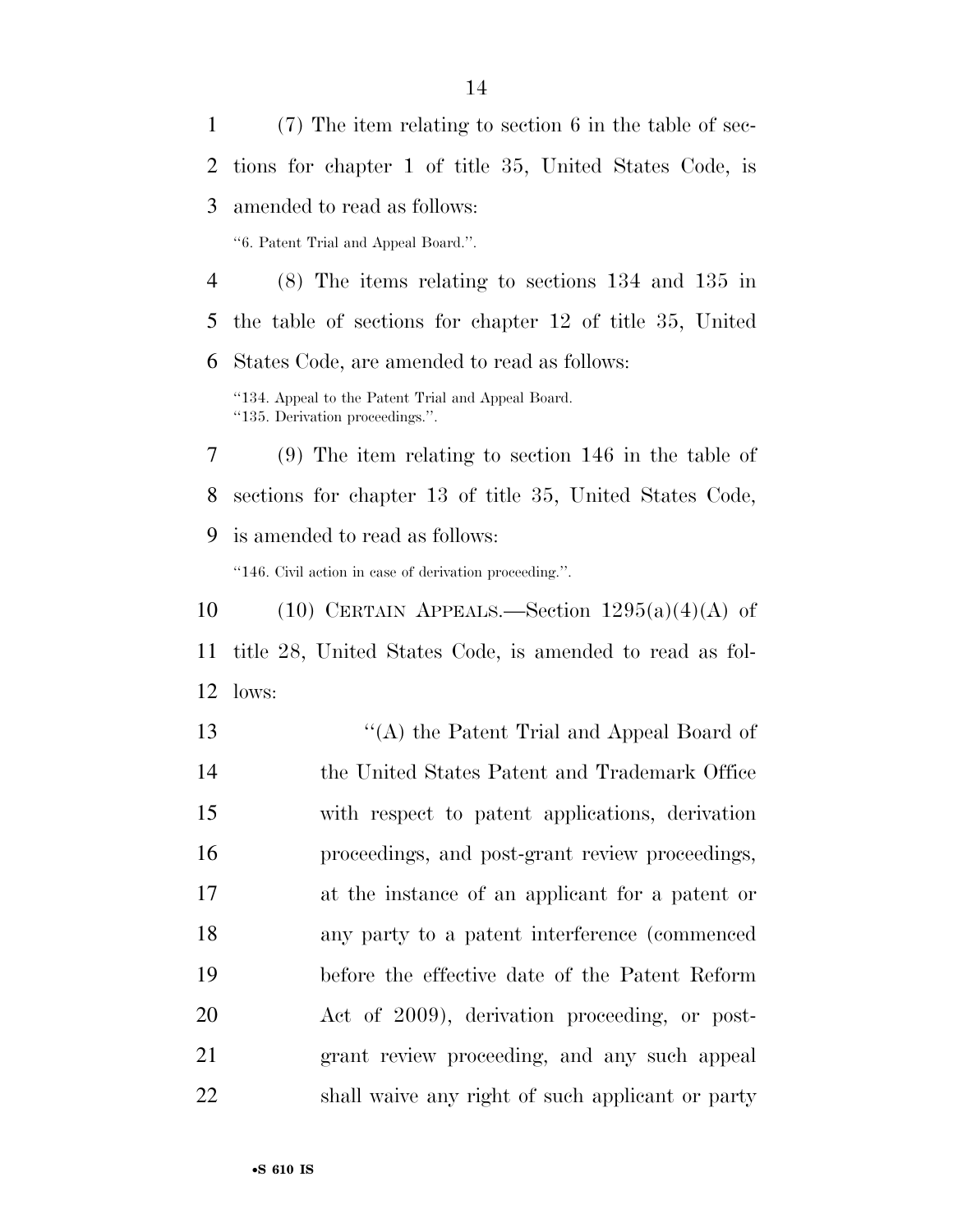(7) The item relating to section 6 in the table of sec- tions for chapter 1 of title 35, United States Code, is amended to read as follows: ''6. Patent Trial and Appeal Board.''. (8) The items relating to sections 134 and 135 in the table of sections for chapter 12 of title 35, United States Code, are amended to read as follows:

''134. Appeal to the Patent Trial and Appeal Board. ''135. Derivation proceedings.''.

 (9) The item relating to section 146 in the table of sections for chapter 13 of title 35, United States Code, is amended to read as follows:

''146. Civil action in case of derivation proceeding.''.

10  $(10)$  CERTAIN APPEALS.—Section  $1295(a)(4)(A)$  of title 28, United States Code, is amended to read as fol-lows:

 ''(A) the Patent Trial and Appeal Board of the United States Patent and Trademark Office with respect to patent applications, derivation proceedings, and post-grant review proceedings, at the instance of an applicant for a patent or any party to a patent interference (commenced before the effective date of the Patent Reform Act of 2009), derivation proceeding, or post- grant review proceeding, and any such appeal shall waive any right of such applicant or party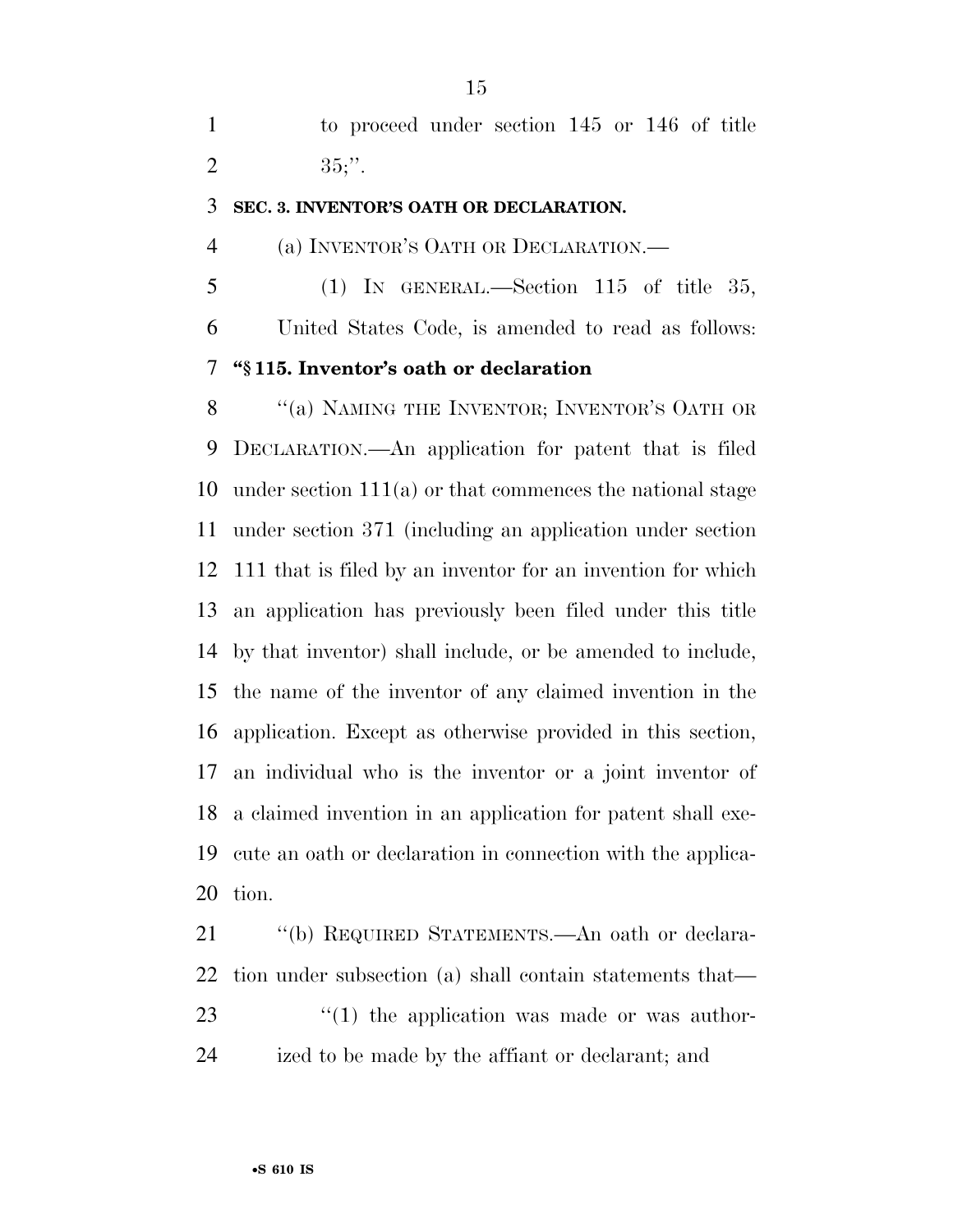to proceed under section 145 or 146 of title 2 ;".

#### **SEC. 3. INVENTOR'S OATH OR DECLARATION.**

(a) INVENTOR'S OATH OR DECLARATION.—

 (1) IN GENERAL.—Section 115 of title 35, United States Code, is amended to read as follows: **''§ 115. Inventor's oath or declaration** 

8 "(a) NAMING THE INVENTOR; INVENTOR'S OATH OR DECLARATION.—An application for patent that is filed under section 111(a) or that commences the national stage under section 371 (including an application under section 111 that is filed by an inventor for an invention for which an application has previously been filed under this title by that inventor) shall include, or be amended to include, the name of the inventor of any claimed invention in the application. Except as otherwise provided in this section, an individual who is the inventor or a joint inventor of a claimed invention in an application for patent shall exe- cute an oath or declaration in connection with the applica-tion.

 ''(b) REQUIRED STATEMENTS.—An oath or declara- tion under subsection (a) shall contain statements that—  $\frac{1}{2}$  (1) the application was made or was author-ized to be made by the affiant or declarant; and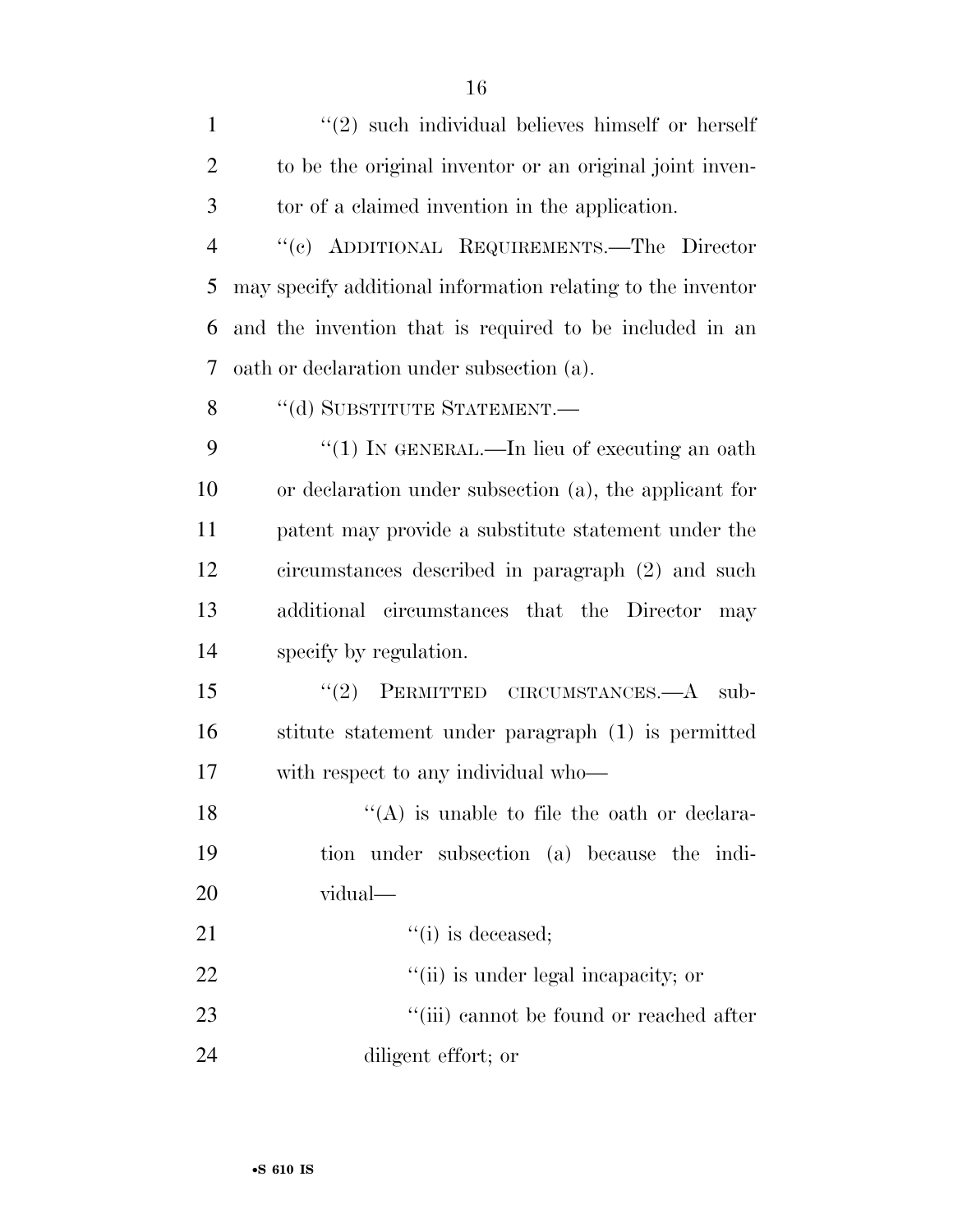| $\mathbf{1}$   | $\lq(2)$ such individual believes himself or herself        |
|----------------|-------------------------------------------------------------|
| $\overline{2}$ | to be the original inventor or an original joint inven-     |
| 3              | tor of a claimed invention in the application.              |
| $\overline{4}$ | "(c) ADDITIONAL REQUIREMENTS.—The Director                  |
| 5              | may specify additional information relating to the inventor |
| 6              | and the invention that is required to be included in an     |
| 7              | oath or declaration under subsection (a).                   |
| 8              | "(d) SUBSTITUTE STATEMENT.-                                 |
| 9              | "(1) IN GENERAL.—In lieu of executing an oath               |
| 10             | or declaration under subsection (a), the applicant for      |
| 11             | patent may provide a substitute statement under the         |
| 12             | circumstances described in paragraph (2) and such           |
| 13             | additional circumstances that the Director<br>may           |
| 14             | specify by regulation.                                      |
| 15             | PERMITTED CIRCUMSTANCES.—A<br>(2)<br>sub-                   |
| 16             | stitute statement under paragraph (1) is permitted          |
| 17             | with respect to any individual who—                         |
| 18             | $\lq($ A) is unable to file the oath or declara-            |
| 19             | tion under subsection (a) because the indi-                 |
| 20             | vidual—                                                     |
| 21             | $``(i)$ is deceased;                                        |
| 22             | "(ii) is under legal incapacity; or                         |
| 23             | "(iii) cannot be found or reached after                     |
| 24             | diligent effort; or                                         |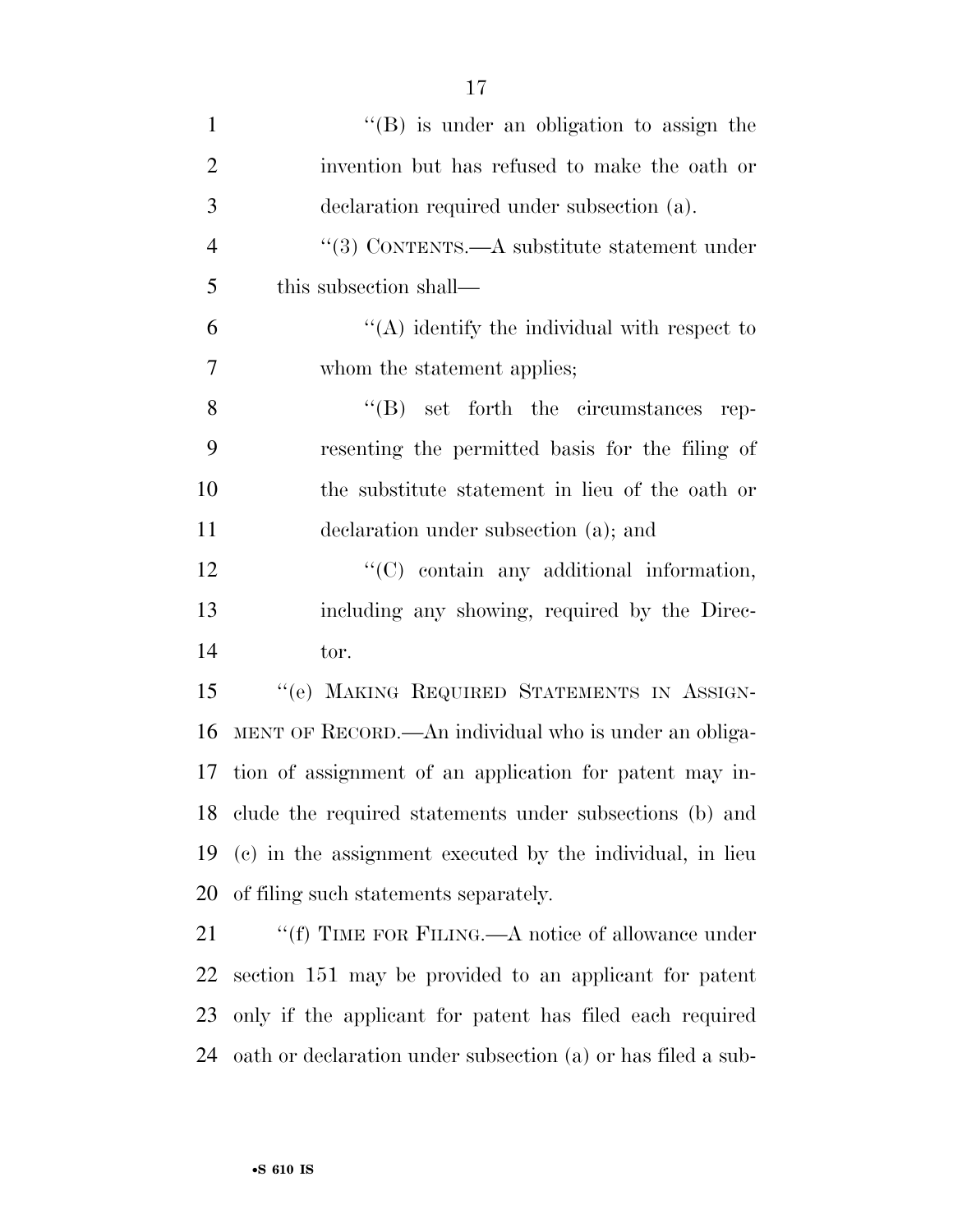| $\mathbf{1}$   | $\lq\lq (B)$ is under an obligation to assign the          |
|----------------|------------------------------------------------------------|
| $\overline{2}$ | invention but has refused to make the oath or              |
| 3              | declaration required under subsection (a).                 |
| $\overline{4}$ | "(3) CONTENTS.— $A$ substitute statement under             |
| 5              | this subsection shall—                                     |
| 6              | $\lq\lq$ identify the individual with respect to           |
| 7              | whom the statement applies;                                |
| 8              | $\lq\lq (B)$ set forth the circumstances<br>rep-           |
| 9              | resenting the permitted basis for the filing of            |
| 10             | the substitute statement in lieu of the oath or            |
| 11             | declaration under subsection (a); and                      |
| 12             | "(C) contain any additional information,                   |
| 13             | including any showing, required by the Direc-              |
| 14             | tor.                                                       |
| 15             | "(e) MAKING REQUIRED STATEMENTS IN ASSIGN-                 |
| 16             | MENT OF RECORD.—An individual who is under an obliga-      |
| 17             | tion of assignment of an application for patent may in-    |
|                | 18 clude the required statements under subsections (b) and |
| 19             | (c) in the assignment executed by the individual, in lieu  |
| 20             | of filing such statements separately.                      |
| 21             | "(f) TIME FOR FILING.—A notice of allowance under          |
| 22             | section 151 may be provided to an applicant for patent     |
| 23             | only if the applicant for patent has filed each required   |

oath or declaration under subsection (a) or has filed a sub-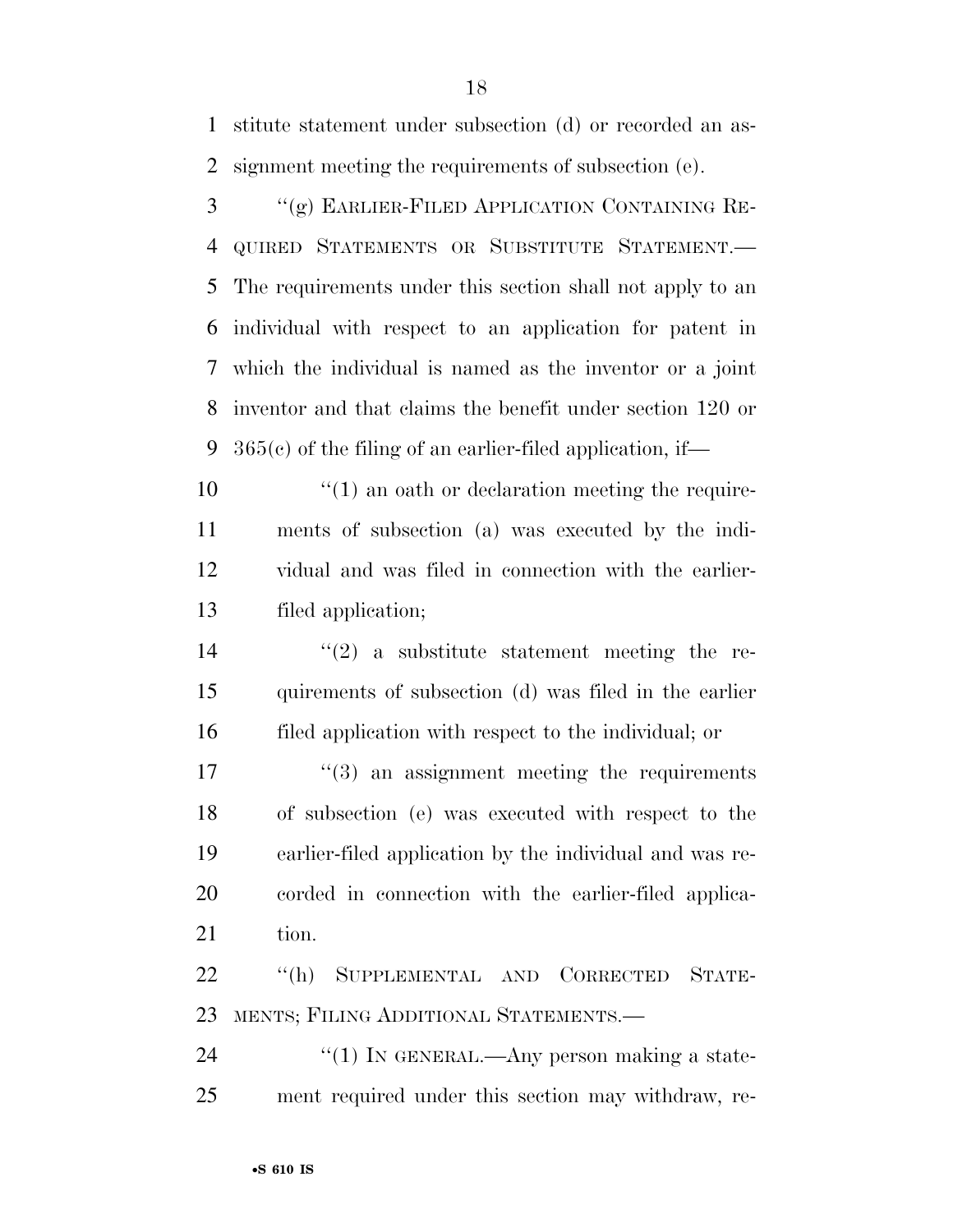stitute statement under subsection (d) or recorded an as-signment meeting the requirements of subsection (e).

 ''(g) EARLIER-FILED APPLICATION CONTAINING RE- QUIRED STATEMENTS OR SUBSTITUTE STATEMENT.— The requirements under this section shall not apply to an individual with respect to an application for patent in which the individual is named as the inventor or a joint inventor and that claims the benefit under section 120 or 365(c) of the filing of an earlier-filed application, if—

 $\mathcal{L}(1)$  an oath or declaration meeting the require- ments of subsection (a) was executed by the indi- vidual and was filed in connection with the earlier-filed application;

14  $(2)$  a substitute statement meeting the re- quirements of subsection (d) was filed in the earlier filed application with respect to the individual; or

 $\frac{17}{2}$  ''(3) an assignment meeting the requirements of subsection (e) was executed with respect to the earlier-filed application by the individual and was re- corded in connection with the earlier-filed applica-21 tion.

 ''(h) SUPPLEMENTAL AND CORRECTED STATE-MENTS; FILING ADDITIONAL STATEMENTS.—

24  $\frac{1}{2}$  (1) In GENERAL.—Any person making a state-ment required under this section may withdraw, re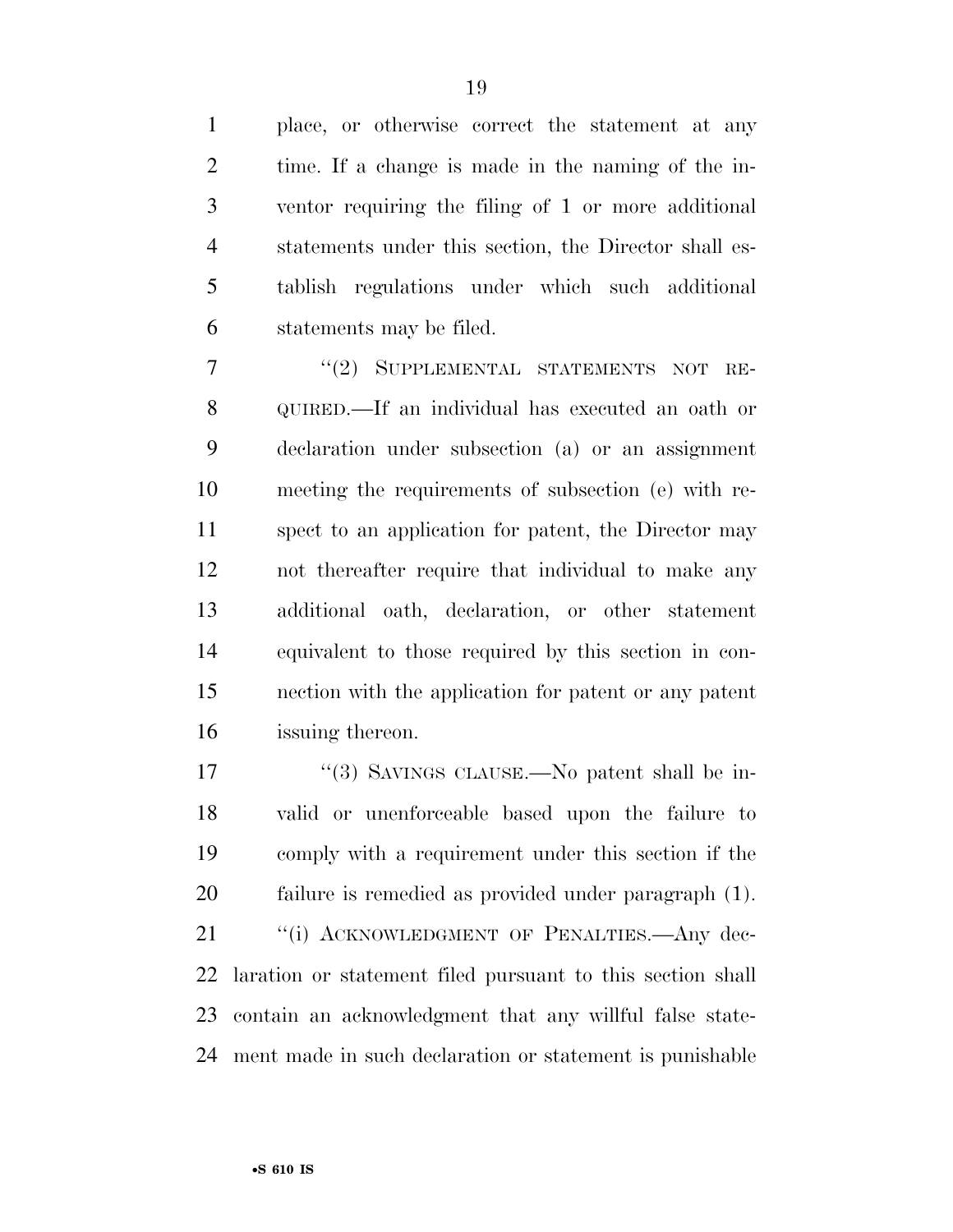place, or otherwise correct the statement at any time. If a change is made in the naming of the in- ventor requiring the filing of 1 or more additional statements under this section, the Director shall es- tablish regulations under which such additional statements may be filed.

7 "(2) SUPPLEMENTAL STATEMENTS NOT RE- QUIRED.—If an individual has executed an oath or declaration under subsection (a) or an assignment meeting the requirements of subsection (e) with re- spect to an application for patent, the Director may not thereafter require that individual to make any additional oath, declaration, or other statement equivalent to those required by this section in con- nection with the application for patent or any patent issuing thereon.

17 "(3) SAVINGS CLAUSE.—No patent shall be in- valid or unenforceable based upon the failure to comply with a requirement under this section if the failure is remedied as provided under paragraph (1). 21 "(i) ACKNOWLEDGMENT OF PENALTIES.—Any dec- laration or statement filed pursuant to this section shall contain an acknowledgment that any willful false state-

ment made in such declaration or statement is punishable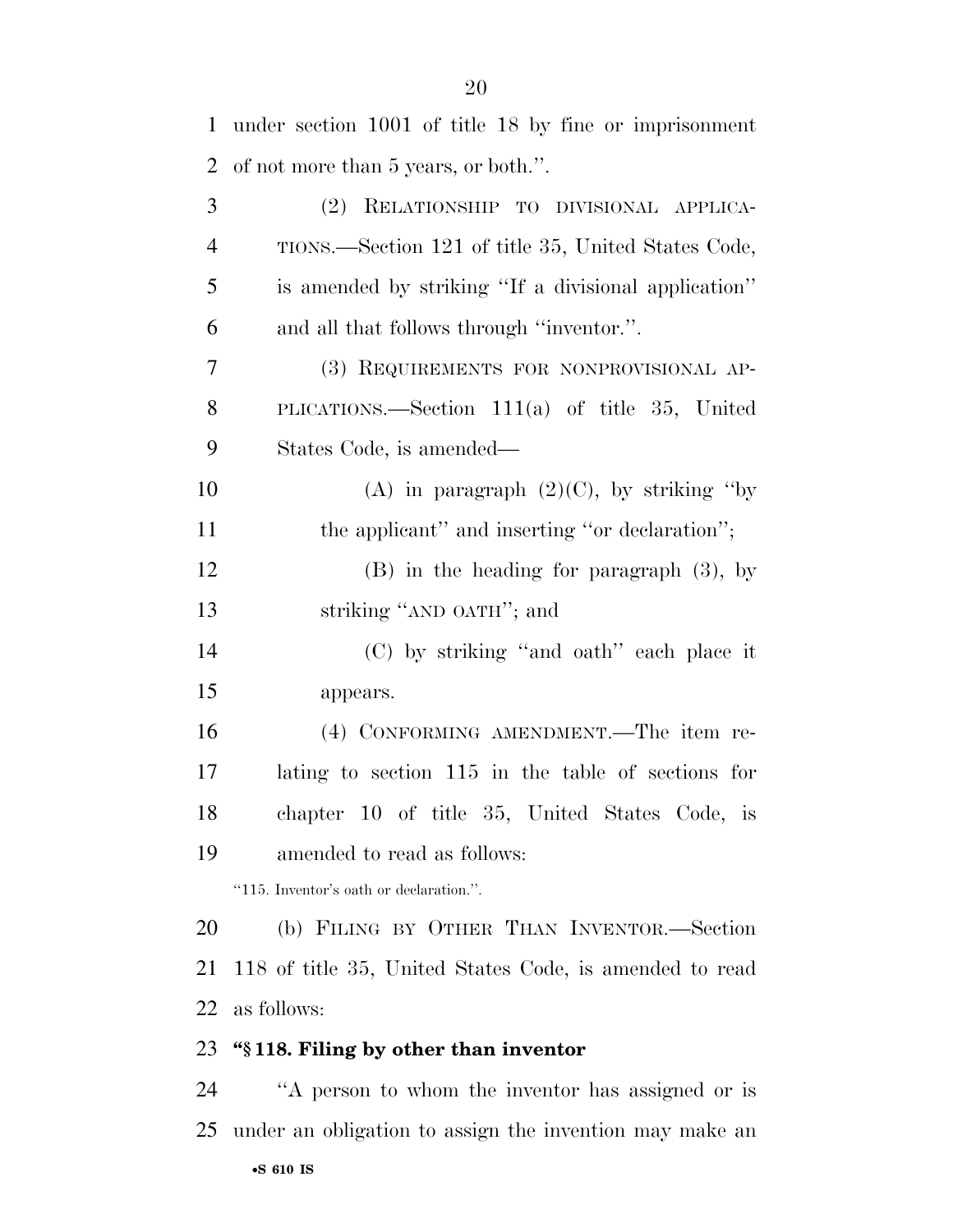| $\mathbf{1}$   | under section 1001 of title 18 by fine or imprisonment  |
|----------------|---------------------------------------------------------|
| $\overline{2}$ | of not more than 5 years, or both.".                    |
| 3              | (2)<br>RELATIONSHIP TO DIVISIONAL APPLICA-              |
| $\overline{4}$ | TIONS.—Section 121 of title 35, United States Code,     |
| 5              | is amended by striking "If a divisional application"    |
| 6              | and all that follows through "inventor.".               |
| 7              | (3) REQUIREMENTS FOR NONPROVISIONAL AP-                 |
| 8              | PLICATIONS.—Section $111(a)$ of title 35, United        |
| 9              | States Code, is amended—                                |
| 10             | (A) in paragraph $(2)(C)$ , by striking "by             |
| 11             | the applicant" and inserting "or declaration";          |
| 12             | $(B)$ in the heading for paragraph $(3)$ , by           |
| 13             | striking "AND OATH"; and                                |
| 14             | (C) by striking "and oath" each place it                |
| 15             | appears.                                                |
| 16             | (4) CONFORMING AMENDMENT.—The item re-                  |
| 17             | lating to section 115 in the table of sections for      |
| 18             | chapter 10 of title 35, United States Code, is          |
| 19             | amended to read as follows:                             |
|                | "115. Inventor's oath or declaration.".                 |
| 20             | (b) FILING BY OTHER THAN INVENTOR.—Section              |
| 21             | 118 of title 35, United States Code, is amended to read |
| 22             | as follows:                                             |
| 23             | "§118. Filing by other than inventor                    |
| 24             | "A person to whom the inventor has assigned or is       |
| 25             | under an obligation to assign the invention may make an |
|                | $\bullet$ S 610 IS                                      |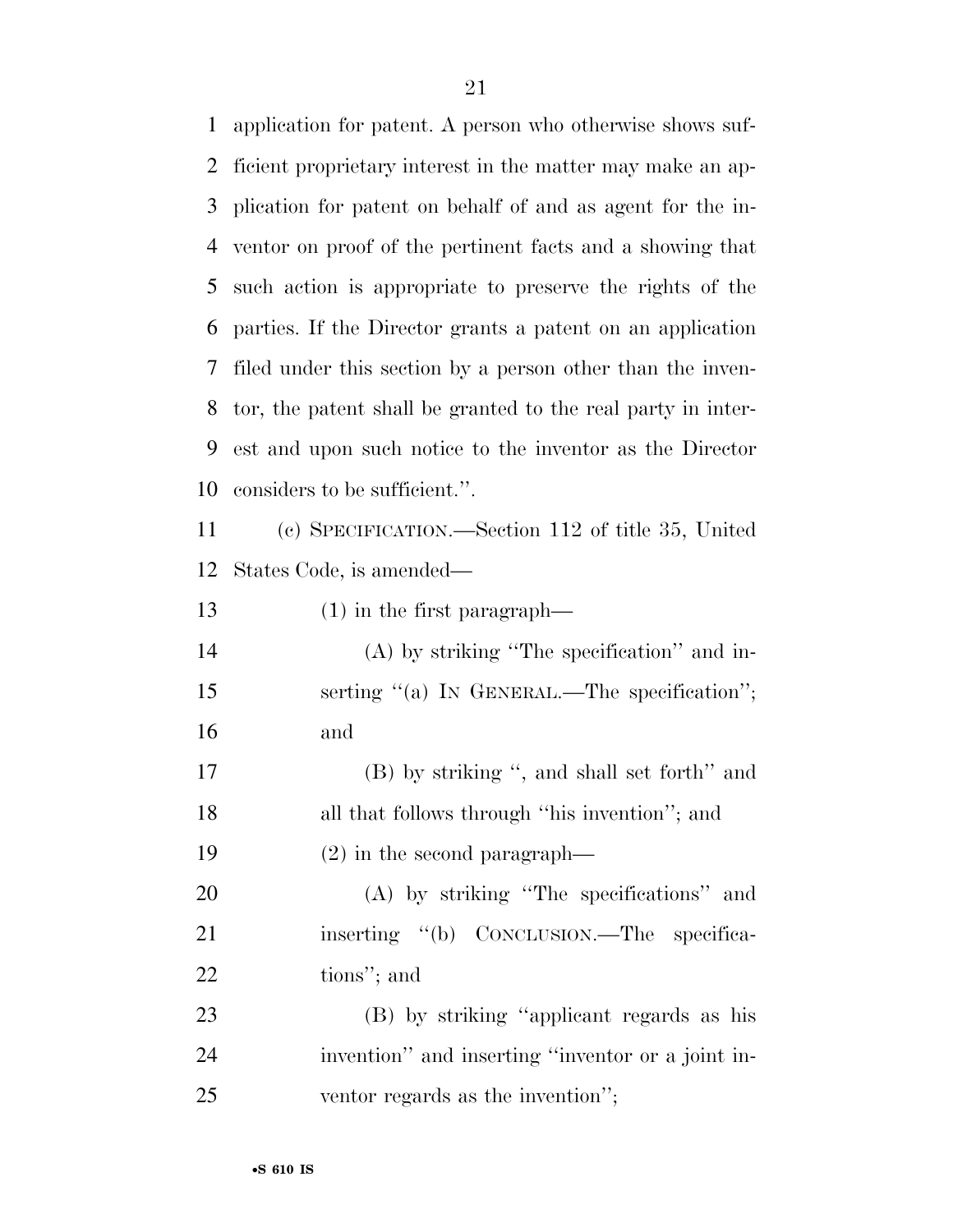application for patent. A person who otherwise shows suf- ficient proprietary interest in the matter may make an ap- plication for patent on behalf of and as agent for the in- ventor on proof of the pertinent facts and a showing that such action is appropriate to preserve the rights of the parties. If the Director grants a patent on an application filed under this section by a person other than the inven- tor, the patent shall be granted to the real party in inter- est and upon such notice to the inventor as the Director considers to be sufficient.''.

 (c) SPECIFICATION.—Section 112 of title 35, United States Code, is amended—

(1) in the first paragraph—

 (A) by striking ''The specification'' and in-15 serting "(a) IN GENERAL.—The specification"; and

 (B) by striking '', and shall set forth'' and all that follows through ''his invention''; and (2) in the second paragraph—

 (A) by striking ''The specifications'' and 21 inserting "(b) CONCLUSION.—The specifica-tions''; and

 (B) by striking ''applicant regards as his invention'' and inserting ''inventor or a joint in-ventor regards as the invention'';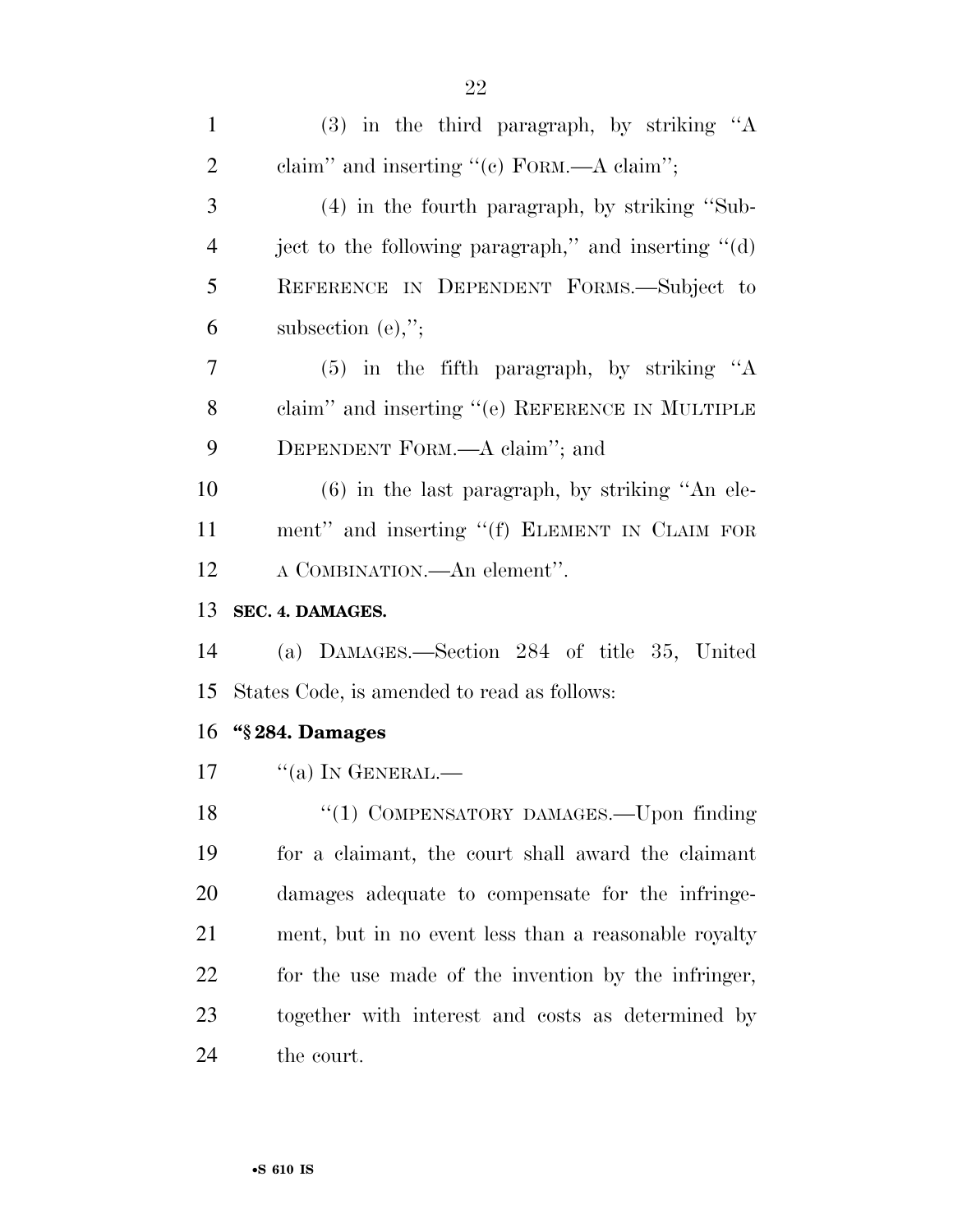| $\mathbf{1}$   | (3) in the third paragraph, by striking "A           |
|----------------|------------------------------------------------------|
| $\overline{2}$ | claim" and inserting "(c) FORM.—A claim";            |
| 3              | $(4)$ in the fourth paragraph, by striking "Sub-     |
| $\overline{4}$ | ject to the following paragraph," and inserting "(d) |
| 5              | REFERENCE IN DEPENDENT FORMS.—Subject to             |
| 6              | subsection $(e)$ ,";                                 |
| $\tau$         | $(5)$ in the fifth paragraph, by striking "A         |
| 8              | claim" and inserting "(e) REFERENCE IN MULTIPLE      |
| 9              | DEPENDENT FORM.—A claim"; and                        |
| 10             | $(6)$ in the last paragraph, by striking "An ele-    |
| 11             | ment" and inserting "(f) ELEMENT IN CLAIM FOR        |
| 12             | A COMBINATION.—An element".                          |
| 13             | SEC. 4. DAMAGES.                                     |
|                |                                                      |
| 14             | (a) DAMAGES.—Section 284 of title 35, United         |
| 15             | States Code, is amended to read as follows:          |
| 16             | "§284. Damages                                       |
| 17             | $\lq\lq$ (a) In GENERAL.—                            |
| 18             | "(1) COMPENSATORY DAMAGES.—Upon finding              |
| 19             | for a claimant, the court shall award the claimant   |
| 20             | damages adequate to compensate for the infringe-     |
| 21             | ment, but in no event less than a reasonable royalty |
| 22             | for the use made of the invention by the infringer,  |
| 23             | together with interest and costs as determined by    |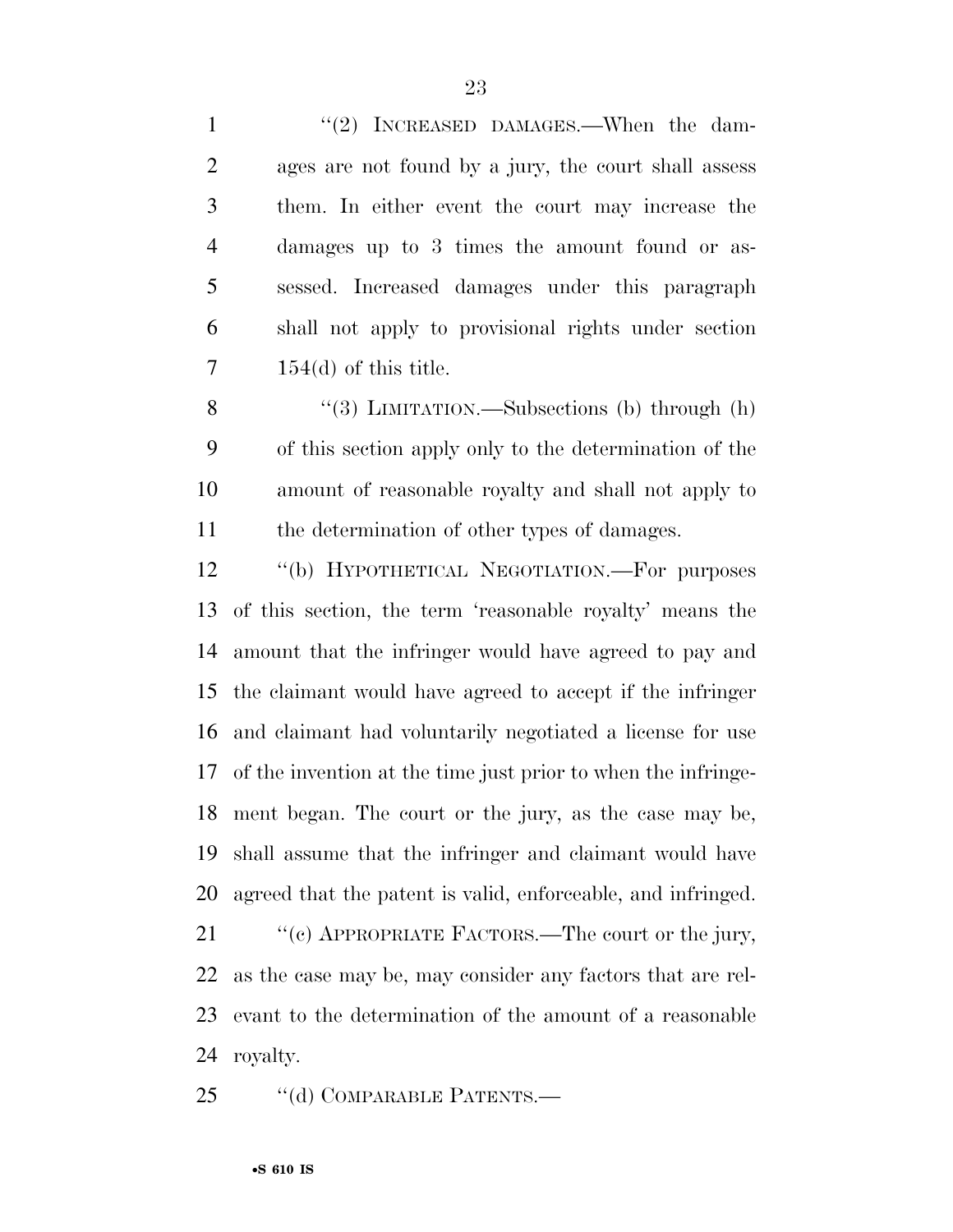1 ''(2) INCREASED DAMAGES.—When the dam- ages are not found by a jury, the court shall assess them. In either event the court may increase the damages up to 3 times the amount found or as- sessed. Increased damages under this paragraph shall not apply to provisional rights under section  $7 \qquad 154(d)$  of this title.

8 "(3) LIMITATION.—Subsections (b) through (h) of this section apply only to the determination of the amount of reasonable royalty and shall not apply to the determination of other types of damages.

12 "(b) HYPOTHETICAL NEGOTIATION.—For purposes of this section, the term 'reasonable royalty' means the amount that the infringer would have agreed to pay and the claimant would have agreed to accept if the infringer and claimant had voluntarily negotiated a license for use of the invention at the time just prior to when the infringe- ment began. The court or the jury, as the case may be, shall assume that the infringer and claimant would have agreed that the patent is valid, enforceable, and infringed.

21 "(c) APPROPRIATE FACTORS.—The court or the jury, as the case may be, may consider any factors that are rel- evant to the determination of the amount of a reasonable royalty.

25 "(d) COMPARABLE PATENTS.—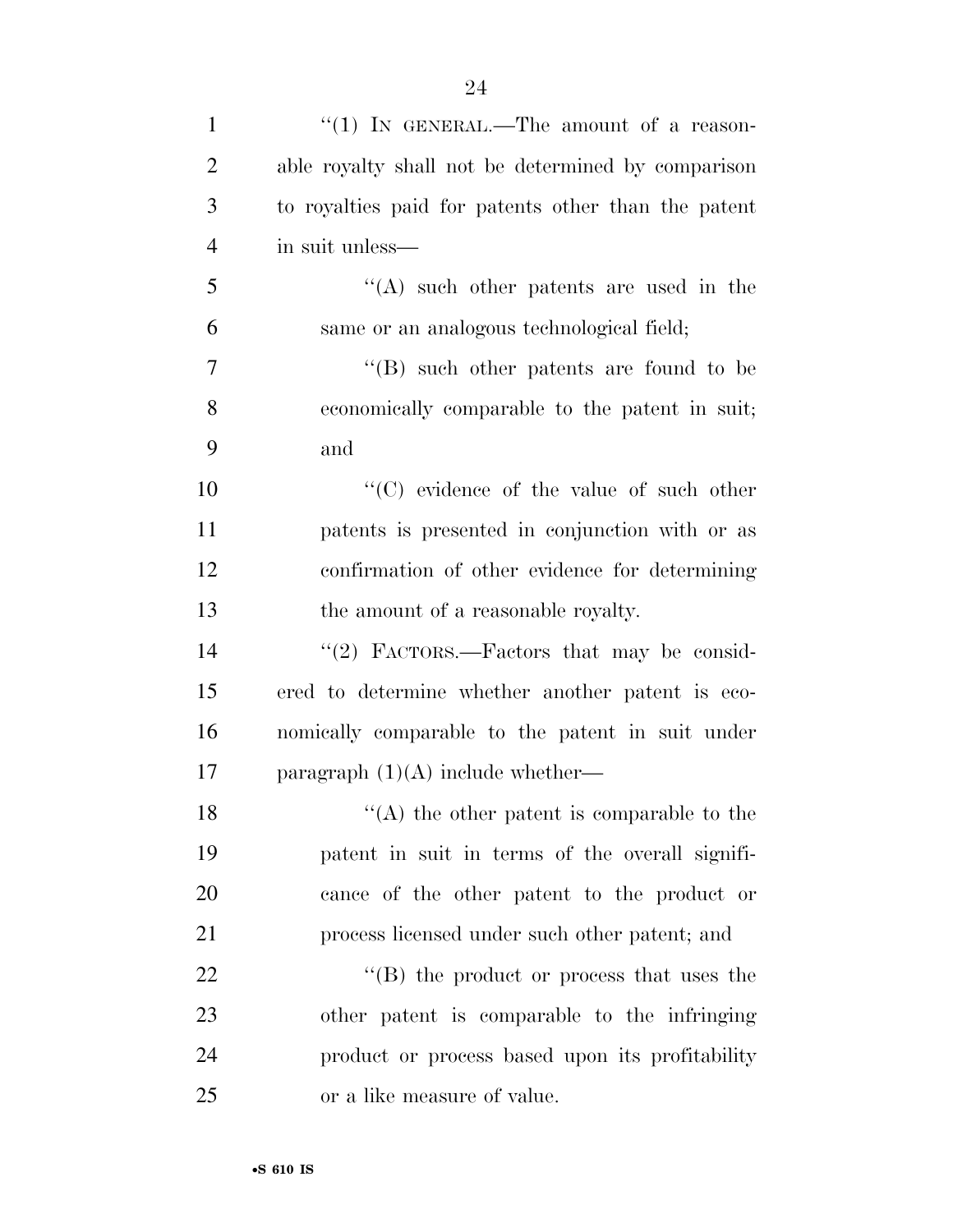| $\mathbf{1}$   | "(1) IN GENERAL.—The amount of a reason-            |
|----------------|-----------------------------------------------------|
| 2              | able royalty shall not be determined by comparison  |
| 3              | to royalties paid for patents other than the patent |
| $\overline{4}$ | in suit unless—                                     |
| 5              | $\lq\lq$ such other patents are used in the         |
| 6              | same or an analogous technological field;           |
| 7              | $\cdot$ (B) such other patents are found to be      |
| 8              | economically comparable to the patent in suit;      |
| 9              | and                                                 |
| 10             | $\lq\lq$ (C) evidence of the value of such other    |
| 11             | patents is presented in conjunction with or as      |
| 12             | confirmation of other evidence for determining      |
| 13             | the amount of a reasonable royalty.                 |
| 14             | "(2) FACTORS.—Factors that may be consid-           |
| 15             | ered to determine whether another patent is eco-    |
| 16             | nomically comparable to the patent in suit under    |
| 17             | paragraph $(1)(A)$ include whether—                 |
| 18             | $\lq($ A) the other patent is comparable to the     |
| 19             | patent in suit in terms of the overall signifi-     |
| 20             | cance of the other patent to the product or         |
| 21             | process licensed under such other patent; and       |
| 22             | "(B) the product or process that uses the           |
| 23             | other patent is comparable to the infringing        |
| 24             | product or process based upon its profitability     |
| 25             | or a like measure of value.                         |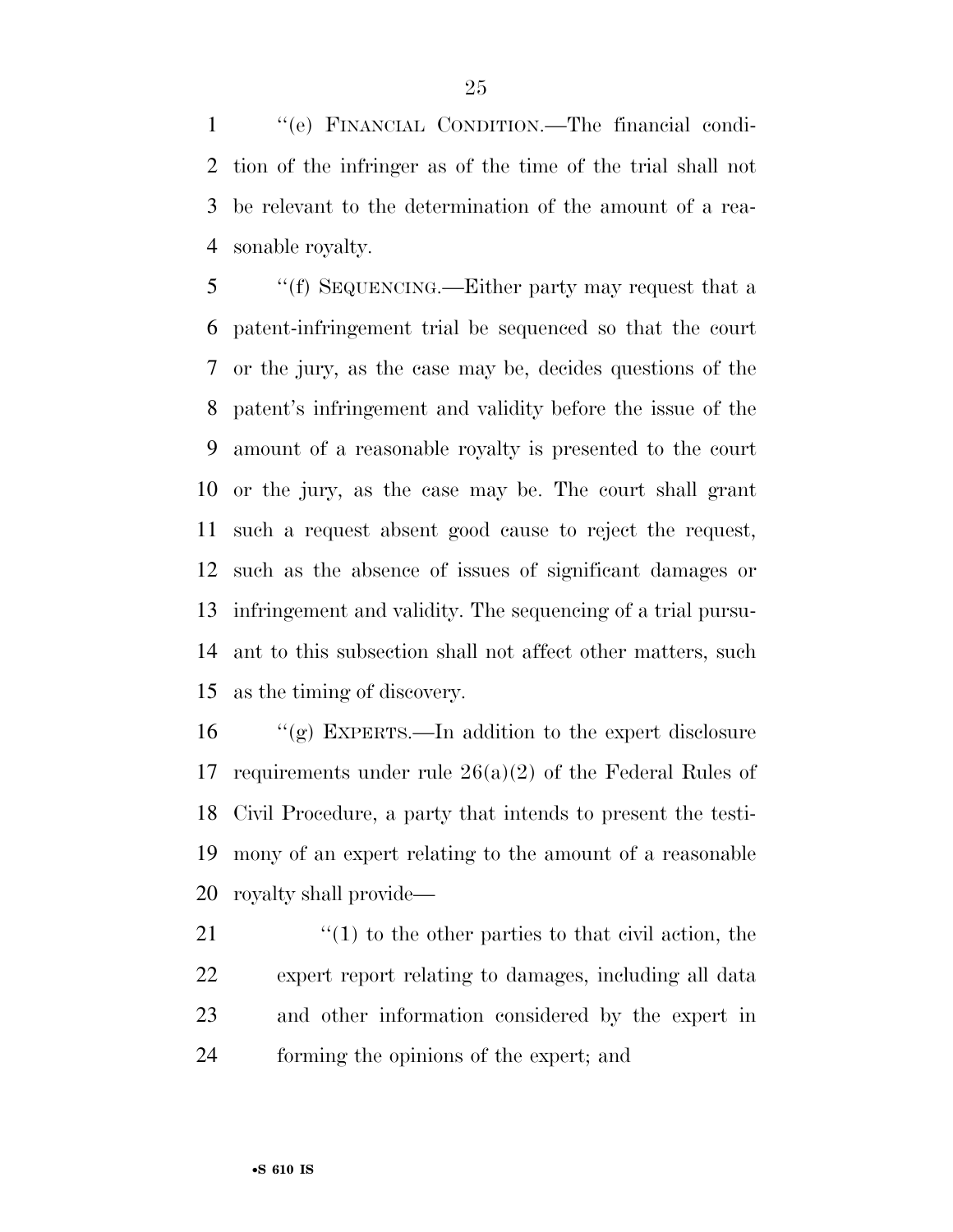''(e) FINANCIAL CONDITION.—The financial condi- tion of the infringer as of the time of the trial shall not be relevant to the determination of the amount of a rea-sonable royalty.

 ''(f) SEQUENCING.—Either party may request that a patent-infringement trial be sequenced so that the court or the jury, as the case may be, decides questions of the patent's infringement and validity before the issue of the amount of a reasonable royalty is presented to the court or the jury, as the case may be. The court shall grant such a request absent good cause to reject the request, such as the absence of issues of significant damages or infringement and validity. The sequencing of a trial pursu- ant to this subsection shall not affect other matters, such as the timing of discovery.

 ''(g) EXPERTS.—In addition to the expert disclosure requirements under rule 26(a)(2) of the Federal Rules of Civil Procedure, a party that intends to present the testi- mony of an expert relating to the amount of a reasonable royalty shall provide—

 $\frac{1}{2}$  (1) to the other parties to that civil action, the expert report relating to damages, including all data and other information considered by the expert in forming the opinions of the expert; and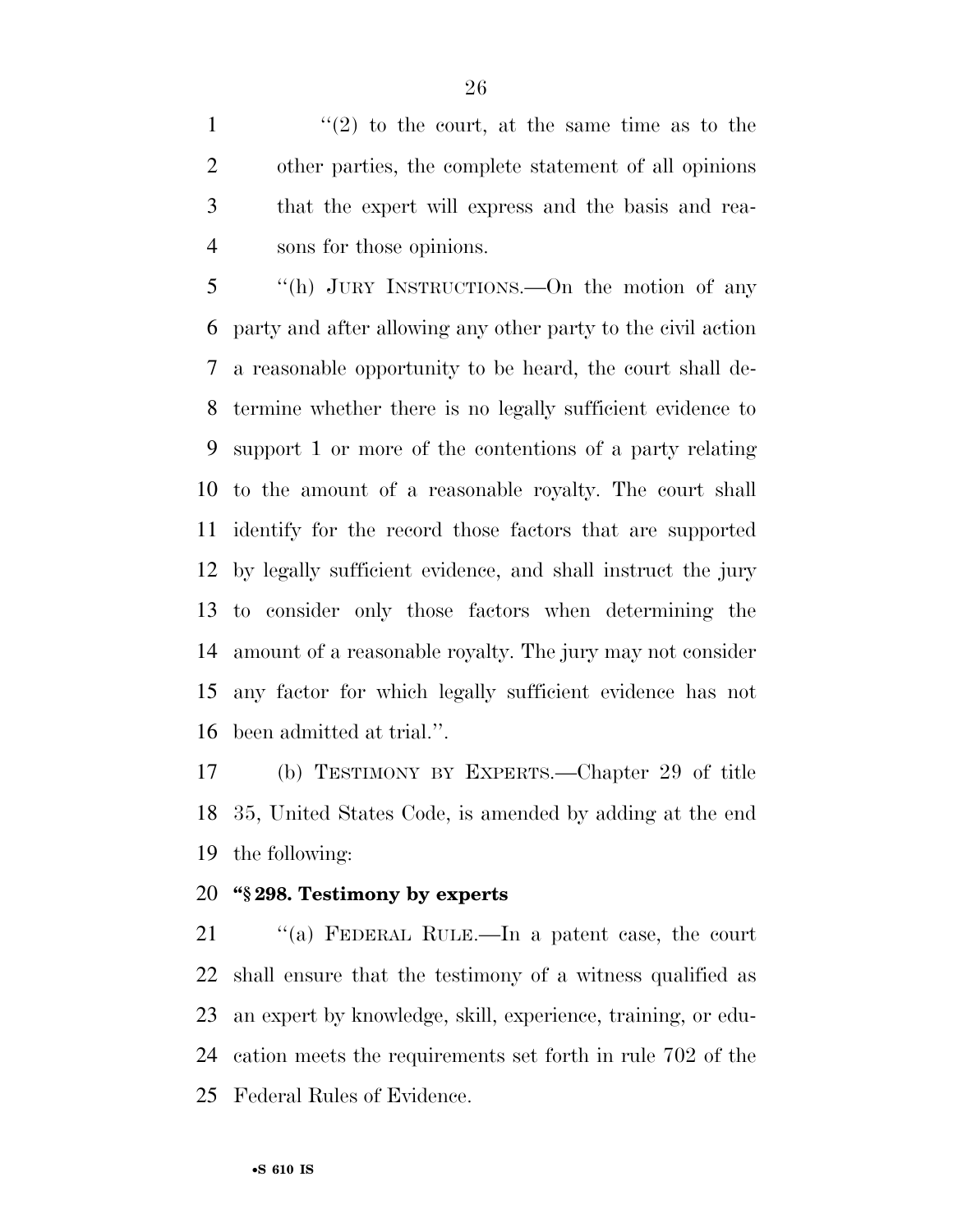$\frac{1}{2}$  to the court, at the same time as to the other parties, the complete statement of all opinions that the expert will express and the basis and rea-sons for those opinions.

 ''(h) JURY INSTRUCTIONS.—On the motion of any party and after allowing any other party to the civil action a reasonable opportunity to be heard, the court shall de- termine whether there is no legally sufficient evidence to support 1 or more of the contentions of a party relating to the amount of a reasonable royalty. The court shall identify for the record those factors that are supported by legally sufficient evidence, and shall instruct the jury to consider only those factors when determining the amount of a reasonable royalty. The jury may not consider any factor for which legally sufficient evidence has not been admitted at trial.''.

 (b) TESTIMONY BY EXPERTS.—Chapter 29 of title 35, United States Code, is amended by adding at the end the following:

#### **''§ 298. Testimony by experts**

 ''(a) FEDERAL RULE.—In a patent case, the court shall ensure that the testimony of a witness qualified as an expert by knowledge, skill, experience, training, or edu- cation meets the requirements set forth in rule 702 of the Federal Rules of Evidence.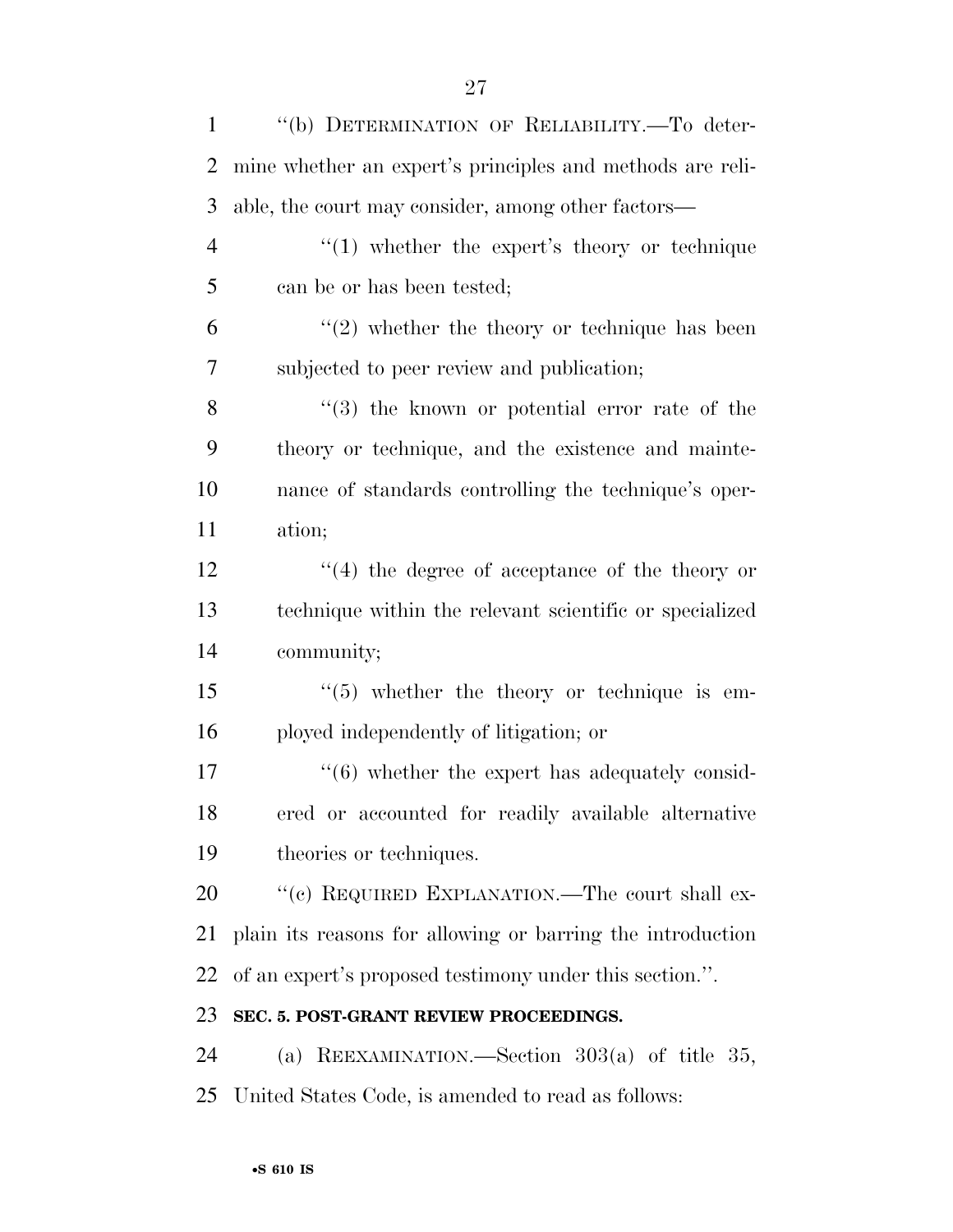| $\mathbf{1}$   | "(b) DETERMINATION OF RELIABILITY.-To deter-                    |
|----------------|-----------------------------------------------------------------|
| $\overline{2}$ | mine whether an expert's principles and methods are reli-       |
| 3              | able, the court may consider, among other factors-              |
| $\overline{4}$ | $\lq(1)$ whether the expert's theory or technique               |
| 5              | can be or has been tested;                                      |
| 6              | $\lq(2)$ whether the theory or technique has been               |
| 7              | subjected to peer review and publication;                       |
| 8              | $(3)$ the known or potential error rate of the                  |
| 9              | theory or technique, and the existence and mainte-              |
| 10             | nance of standards controlling the technique's oper-            |
| 11             | ation;                                                          |
| 12             | $(4)$ the degree of acceptance of the theory or                 |
| 13             | technique within the relevant scientific or specialized         |
| 14             | community;                                                      |
| 15             | $(5)$ whether the theory or technique is em-                    |
| 16             | ployed independently of litigation; or                          |
| 17             | $\cdot\cdot\cdot$ (6) whether the expert has adequately consid- |
| 18             | ered or accounted for readily available alternative             |
| 19             | theories or techniques.                                         |
| 20             | "(c) REQUIRED EXPLANATION.—The court shall ex-                  |
| 21             | plain its reasons for allowing or barring the introduction      |
| 22             | of an expert's proposed testimony under this section.".         |
| 23             | SEC. 5. POST-GRANT REVIEW PROCEEDINGS.                          |
| 24             | (a) REEXAMINATION.—Section $303(a)$ of title 35,                |
| 25             | United States Code, is amended to read as follows:              |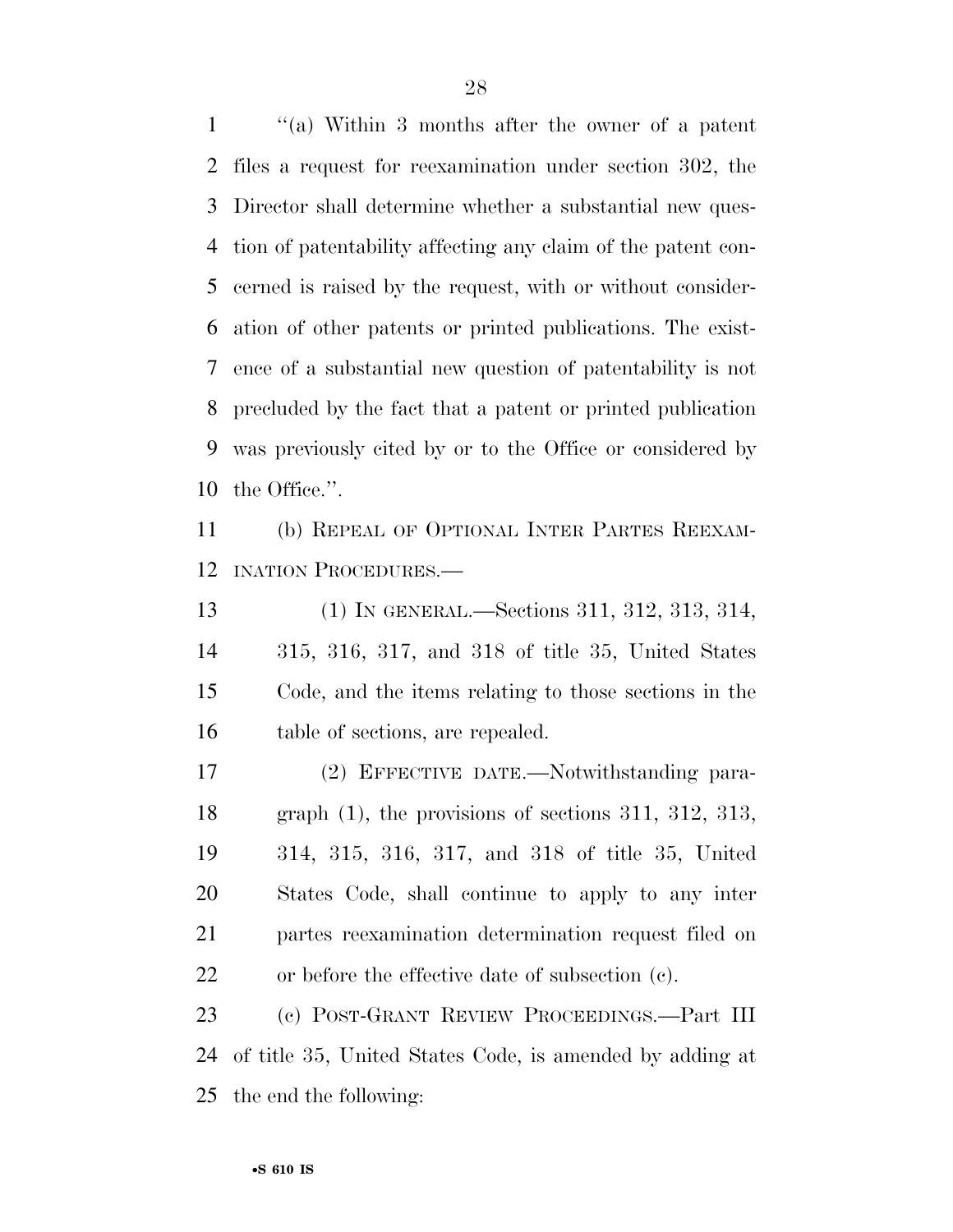''(a) Within 3 months after the owner of a patent files a request for reexamination under section 302, the Director shall determine whether a substantial new ques- tion of patentability affecting any claim of the patent con- cerned is raised by the request, with or without consider- ation of other patents or printed publications. The exist- ence of a substantial new question of patentability is not precluded by the fact that a patent or printed publication was previously cited by or to the Office or considered by the Office.''.

 (b) REPEAL OF OPTIONAL INTER PARTES REEXAM-INATION PROCEDURES.—

 (1) IN GENERAL.—Sections 311, 312, 313, 314, 315, 316, 317, and 318 of title 35, United States Code, and the items relating to those sections in the 16 table of sections, are repealed.

 (2) EFFECTIVE DATE.—Notwithstanding para- graph (1), the provisions of sections 311, 312, 313, 314, 315, 316, 317, and 318 of title 35, United States Code, shall continue to apply to any inter partes reexamination determination request filed on or before the effective date of subsection (c).

 (c) POST-GRANT REVIEW PROCEEDINGS.—Part III of title 35, United States Code, is amended by adding at the end the following: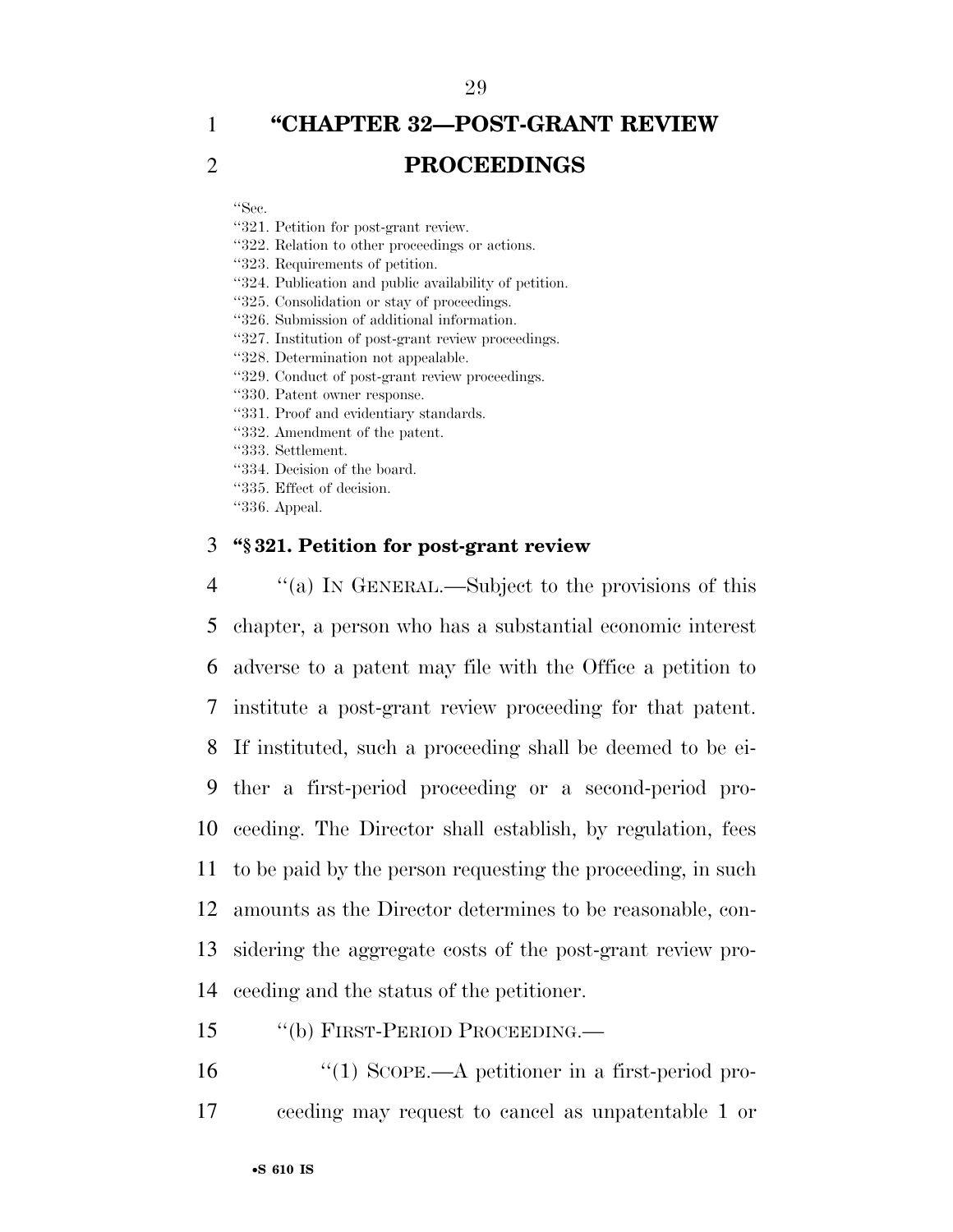## 1 **''CHAPTER 32—POST-GRANT REVIEW**  2 **PROCEEDINGS**

''Sec.

- ''321. Petition for post-grant review.
- ''322. Relation to other proceedings or actions.

''323. Requirements of petition.

- ''324. Publication and public availability of petition.
- ''325. Consolidation or stay of proceedings.
- ''326. Submission of additional information.
- ''327. Institution of post-grant review proceedings.
- ''328. Determination not appealable.
- ''329. Conduct of post-grant review proceedings.
- ''330. Patent owner response.
- ''331. Proof and evidentiary standards.
- ''332. Amendment of the patent.
- ''333. Settlement.
- ''334. Decision of the board.
- ''335. Effect of decision.
- ''336. Appeal.

#### 3 **''§ 321. Petition for post-grant review**

 ''(a) IN GENERAL.—Subject to the provisions of this chapter, a person who has a substantial economic interest adverse to a patent may file with the Office a petition to institute a post-grant review proceeding for that patent. If instituted, such a proceeding shall be deemed to be ei- ther a first-period proceeding or a second-period pro- ceeding. The Director shall establish, by regulation, fees to be paid by the person requesting the proceeding, in such amounts as the Director determines to be reasonable, con- sidering the aggregate costs of the post-grant review pro-ceeding and the status of the petitioner.

- 15 ''(b) FIRST-PERIOD PROCEEDING.—
- 16 ''(1) SCOPE.—A petitioner in a first-period pro-17 ceeding may request to cancel as unpatentable 1 or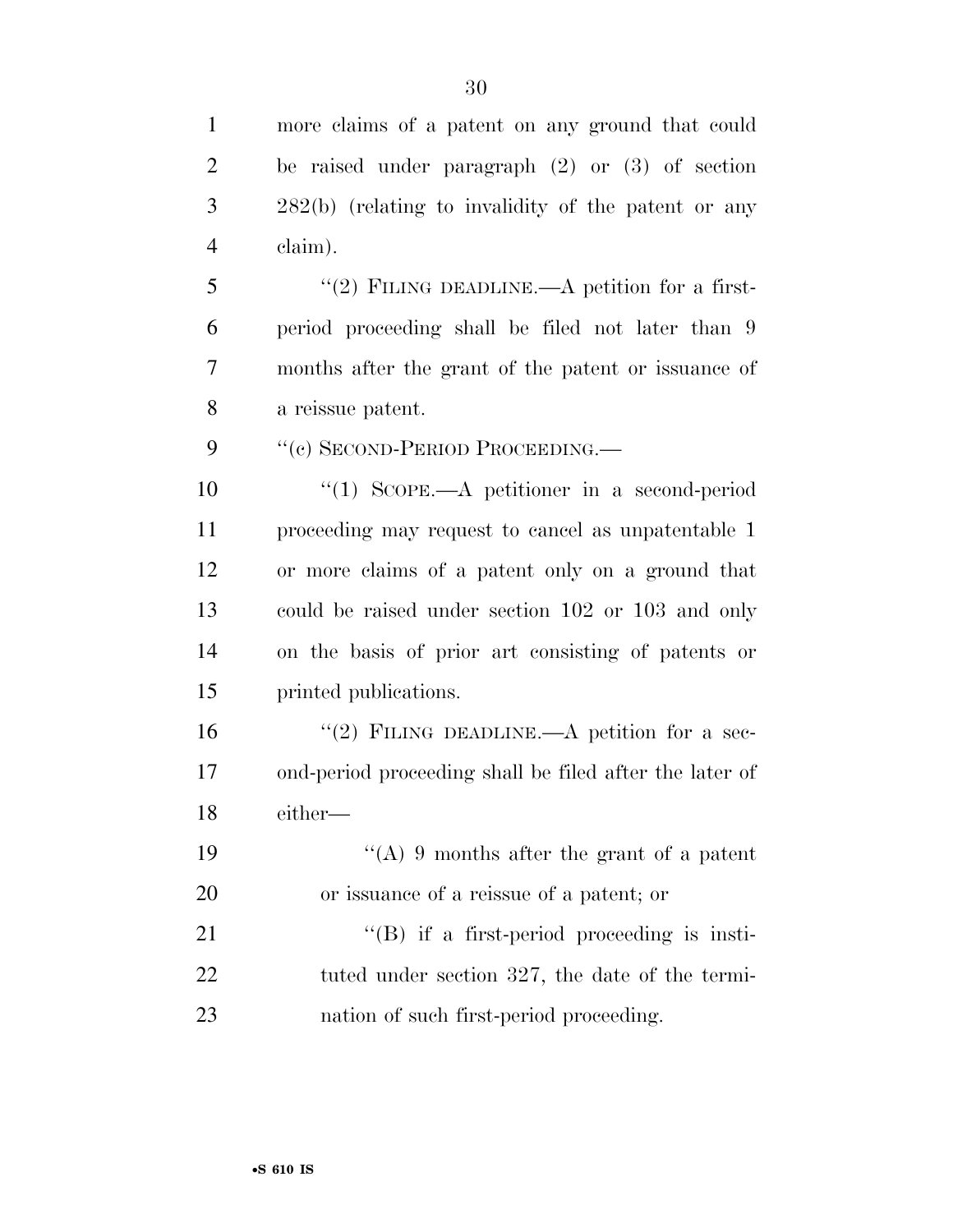more claims of a patent on any ground that could

| $\overline{2}$ | be raised under paragraph $(2)$ or $(3)$ of section     |
|----------------|---------------------------------------------------------|
| 3              | $282(b)$ (relating to invalidity of the patent or any   |
| $\overline{4}$ | claim).                                                 |
| 5              | "(2) FILING DEADLINE.—A petition for a first-           |
| 6              | period proceeding shall be filed not later than 9       |
| 7              | months after the grant of the patent or issuance of     |
| 8              | a reissue patent.                                       |
| 9              | "(c) SECOND-PERIOD PROCEEDING.                          |
| 10             | $\lq(1)$ SCOPE.—A petitioner in a second-period         |
| 11             | proceeding may request to cancel as unpatentable 1      |
| 12             | or more claims of a patent only on a ground that        |
| 13             | could be raised under section 102 or 103 and only       |
| 14             | on the basis of prior art consisting of patents or      |
| 15             | printed publications.                                   |
| 16             | "(2) FILING DEADLINE.—A petition for a sec-             |
| 17             | ond-period proceeding shall be filed after the later of |
| 18             | either—                                                 |
| 19             | "(A) 9 months after the grant of a patent               |
| 20             | or issuance of a reissue of a patent; or                |
| 21             | $\lq\lq (B)$ if a first-period proceeding is insti-     |
| 22             | tuted under section 327, the date of the termi-         |
| 23             | nation of such first-period proceeding.                 |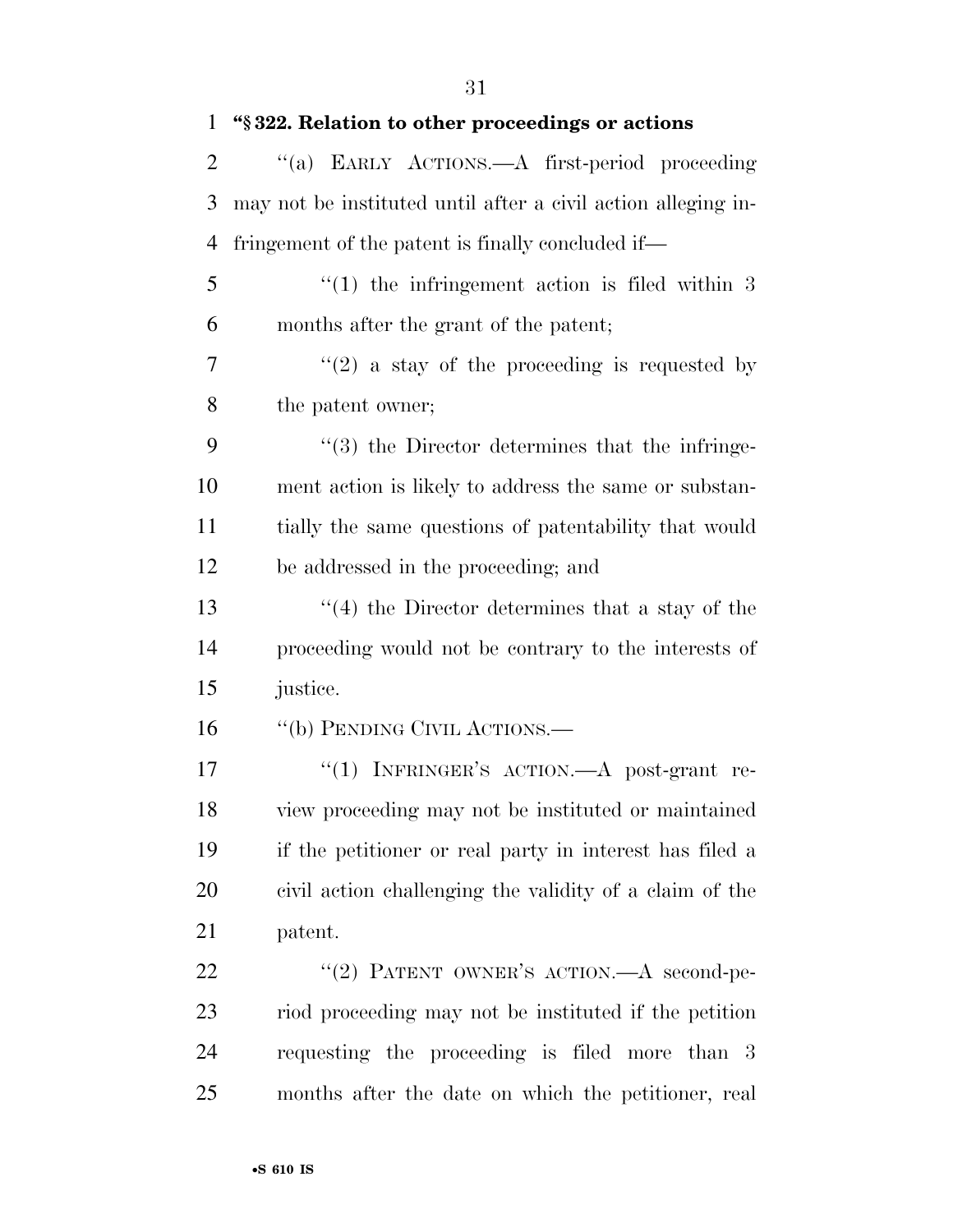| $\mathbf{1}$   | "§322. Relation to other proceedings or actions               |
|----------------|---------------------------------------------------------------|
| $\overline{2}$ | "(a) EARLY ACTIONS.—A first-period proceeding                 |
| 3              | may not be instituted until after a civil action alleging in- |
| 4              | fringement of the patent is finally concluded if—             |
| 5              | $(1)$ the infringement action is filed within 3               |
| 6              | months after the grant of the patent;                         |
| 7              | $f'(2)$ a stay of the proceeding is requested by              |
| 8              | the patent owner;                                             |
| 9              | $\lq(3)$ the Director determines that the infringe-           |
| 10             | ment action is likely to address the same or substan-         |
| 11             | tially the same questions of patentability that would         |
| 12             | be addressed in the proceeding; and                           |
| 13             | $\cdot$ (4) the Director determines that a stay of the        |
| 14             | proceeding would not be contrary to the interests of          |
| 15             | justice.                                                      |
| 16             | "(b) PENDING CIVIL ACTIONS.—                                  |
| 17             | "(1) INFRINGER'S ACTION. $-A$ post-grant re-                  |
| 18             | view proceeding may not be instituted or maintained           |
| 19             | if the petitioner or real party in interest has filed a       |
| 20             | civil action challenging the validity of a claim of the       |
| 21             | patent.                                                       |
| 22             | "(2) PATENT OWNER'S ACTION. A second-pe-                      |
| 23             | riod proceeding may not be instituted if the petition         |
| 24             | requesting the proceeding is filed more than 3                |
| 25             | months after the date on which the petitioner, real           |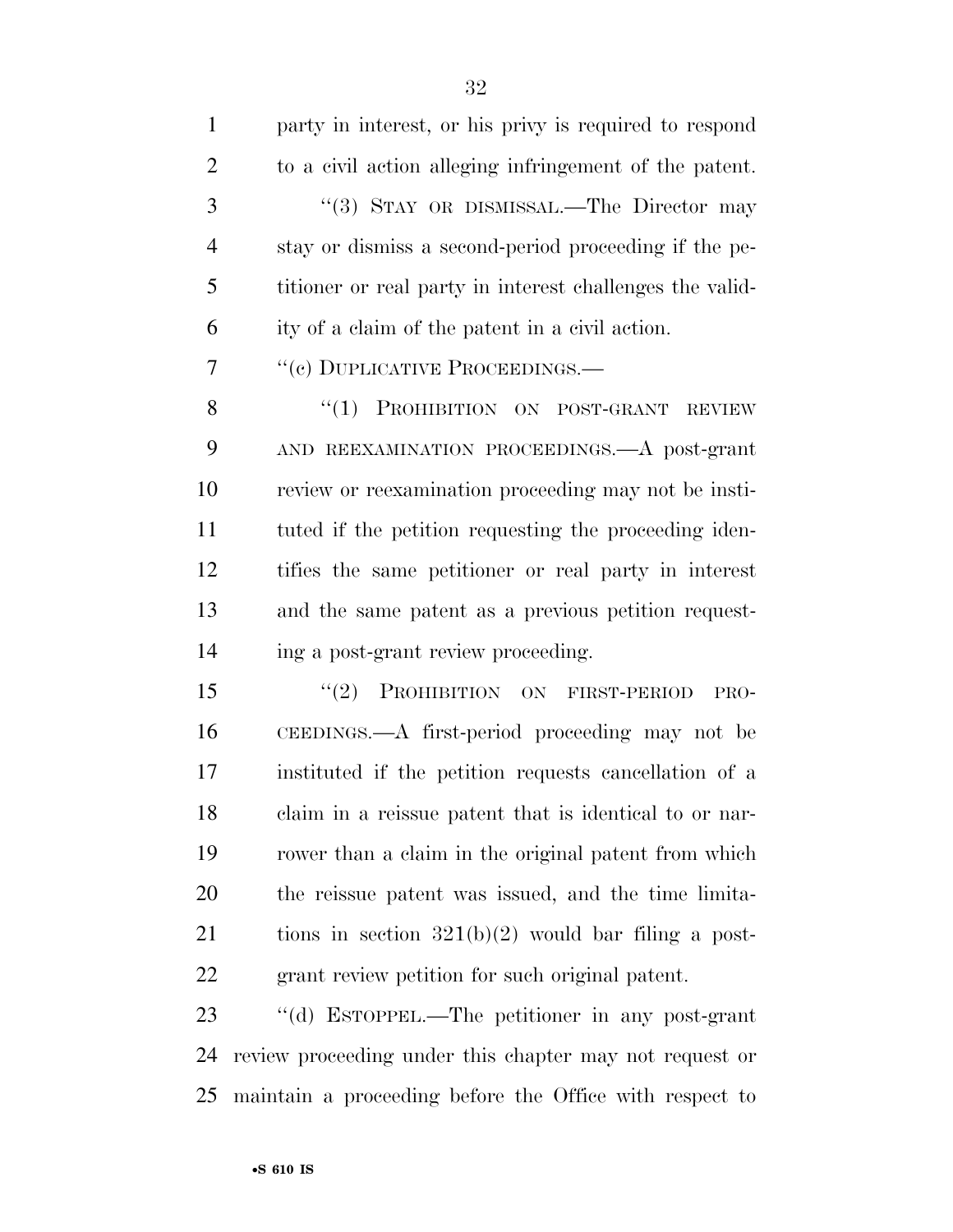| $\mathbf{1}$   | party in interest, or his privy is required to respond   |
|----------------|----------------------------------------------------------|
| $\overline{2}$ | to a civil action alleging infringement of the patent.   |
| 3              | "(3) STAY OR DISMISSAL.—The Director may                 |
| $\overline{4}$ | stay or dismiss a second-period proceeding if the pe-    |
| 5              | titioner or real party in interest challenges the valid- |
| 6              | ity of a claim of the patent in a civil action.          |
| 7              | "(c) DUPLICATIVE PROCEEDINGS.—                           |
| 8              | PROHIBITION ON POST-GRANT<br>``(1)<br><b>REVIEW</b>      |
| 9              | AND REEXAMINATION PROCEEDINGS. A post-grant              |
| 10             | review or reexamination proceeding may not be insti-     |
| 11             | tuted if the petition requesting the proceeding iden-    |
| 12             | tifies the same petitioner or real party in interest     |
| 13             | and the same patent as a previous petition request-      |
| 14             | ing a post-grant review proceeding.                      |
| 15             | PROHIBITION ON FIRST-PERIOD<br>(2)<br>PRO-               |
| 16             | CEEDINGS.—A first-period proceeding may not be           |
| 17             | instituted if the petition requests cancellation of a    |
| 18             | claim in a reissue patent that is identical to or nar-   |
| 19             | rower than a claim in the original patent from which     |
| 20             | the reissue patent was issued, and the time limita-      |
| 21             | tions in section $321(b)(2)$ would bar filing a post-    |
| 22             | grant review petition for such original patent.          |
| 23             | "(d) ESTOPPEL.—The petitioner in any post-grant          |
| 24             | review proceeding under this chapter may not request or  |

maintain a proceeding before the Office with respect to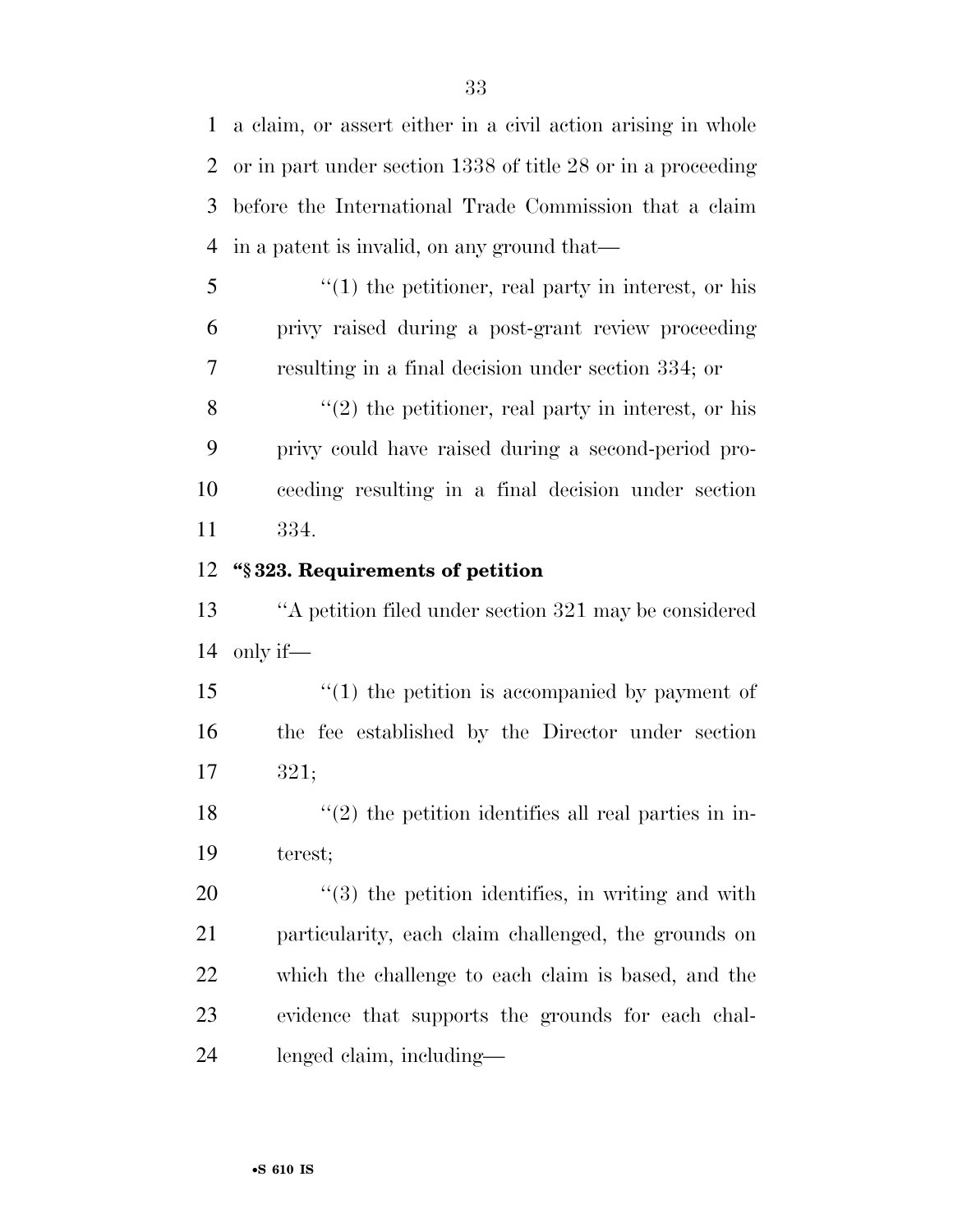a claim, or assert either in a civil action arising in whole or in part under section 1338 of title 28 or in a proceeding before the International Trade Commission that a claim in a patent is invalid, on any ground that—

 ''(1) the petitioner, real party in interest, or his privy raised during a post-grant review proceeding resulting in a final decision under section 334; or

 $\langle (2)$  the petitioner, real party in interest, or his privy could have raised during a second-period pro- ceeding resulting in a final decision under section 334.

#### **''§ 323. Requirements of petition**

 ''A petition filed under section 321 may be considered only if—

15 ''(1) the petition is accompanied by payment of the fee established by the Director under section 321;

18  $\frac{1}{2}$  the petition identifies all real parties in in-terest;

 $\frac{1}{20}$  (3) the petition identifies, in writing and with particularity, each claim challenged, the grounds on which the challenge to each claim is based, and the evidence that supports the grounds for each chal-lenged claim, including—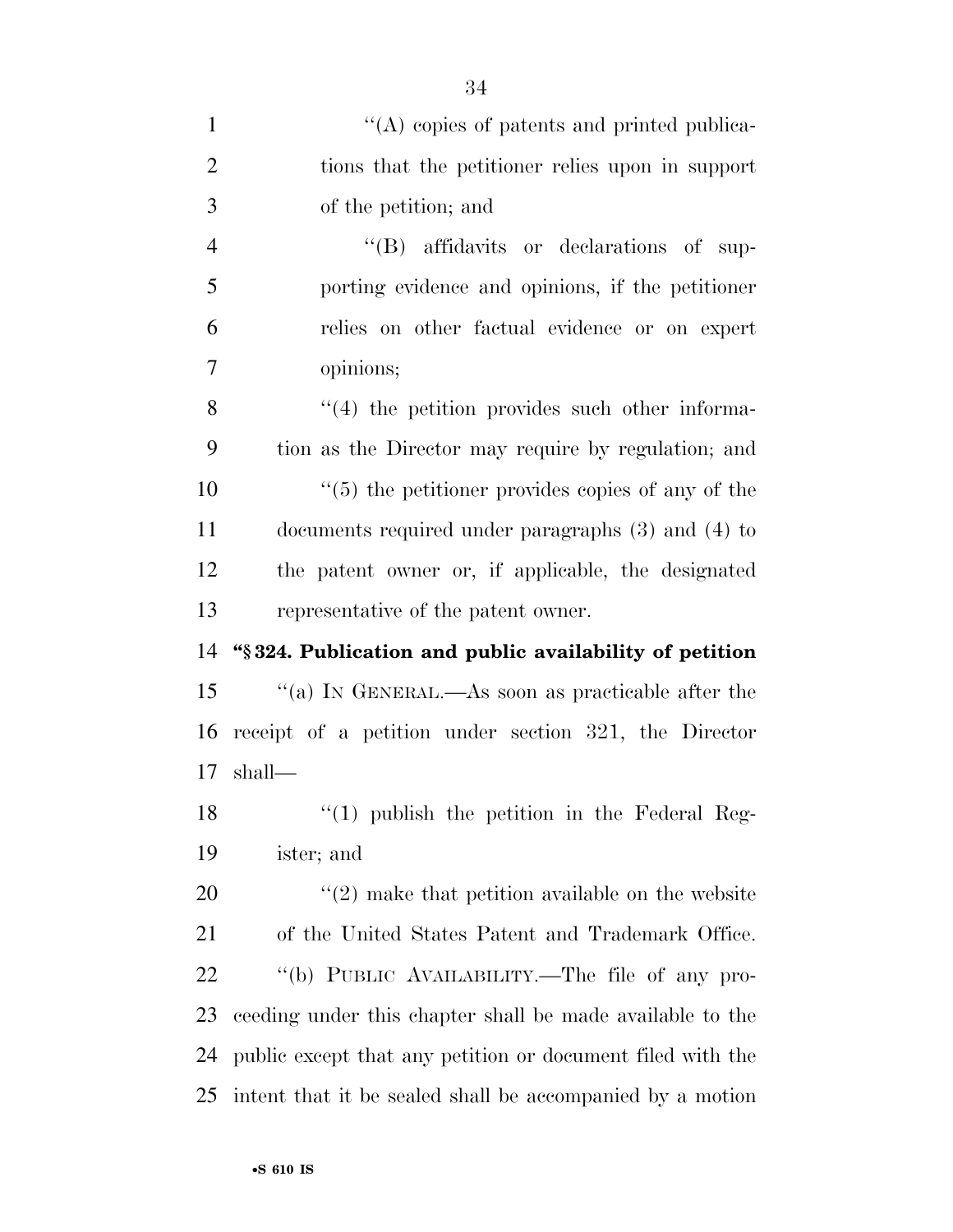| $\mathbf{1}$   | $\lq\lq$ copies of patents and printed publica-            |
|----------------|------------------------------------------------------------|
| $\overline{2}$ | tions that the petitioner relies upon in support           |
| 3              | of the petition; and                                       |
| $\overline{4}$ | "(B) affidavits or declarations of sup-                    |
| 5              | porting evidence and opinions, if the petitioner           |
| 6              | relies on other factual evidence or on expert              |
| 7              | opinions;                                                  |
| 8              | $\cdot$ (4) the petition provides such other informa-      |
| 9              | tion as the Director may require by regulation; and        |
| 10             | $\cdot$ (5) the petitioner provides copies of any of the   |
| 11             | documents required under paragraphs $(3)$ and $(4)$ to     |
| 12             | the patent owner or, if applicable, the designated         |
| 13             | representative of the patent owner.                        |
| 14             | "§324. Publication and public availability of petition     |
| 15             | "(a) IN GENERAL.—As soon as practicable after the          |
| 16             | receipt of a petition under section 321, the Director      |
| 17             | shall—                                                     |
| 18             | $\lq(1)$ publish the petition in the Federal Reg-          |
| 19             | ister; and                                                 |
| 20             | $\lq(2)$ make that petition available on the website       |
| 21             | of the United States Patent and Trademark Office.          |
| 22             | "(b) PUBLIC AVAILABILITY.—The file of any pro-             |
| 23             | ceeding under this chapter shall be made available to the  |
| 24             | public except that any petition or document filed with the |
| 25             | intent that it be sealed shall be accompanied by a motion  |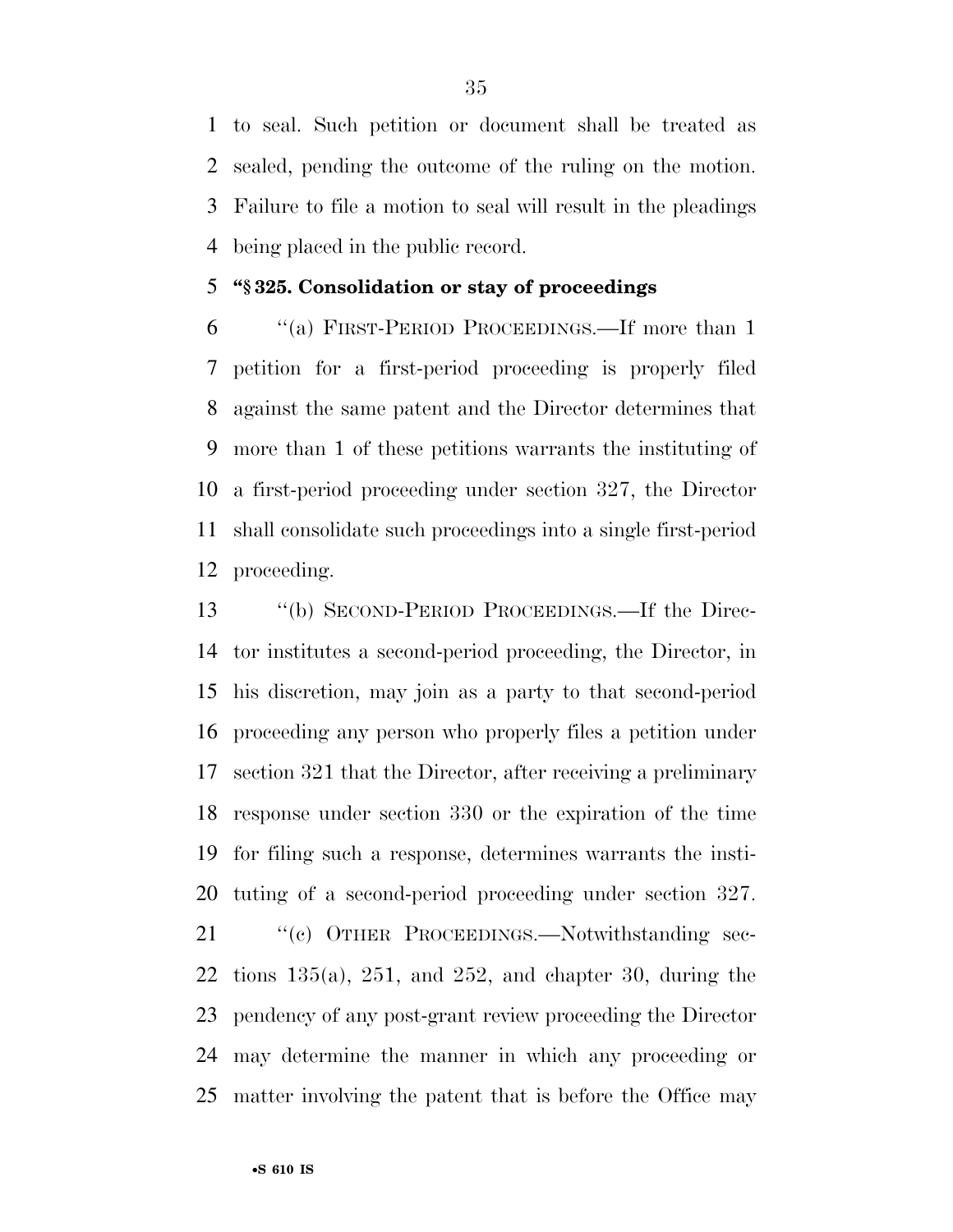to seal. Such petition or document shall be treated as sealed, pending the outcome of the ruling on the motion. Failure to file a motion to seal will result in the pleadings being placed in the public record.

#### **''§ 325. Consolidation or stay of proceedings**

 ''(a) FIRST-PERIOD PROCEEDINGS.—If more than 1 petition for a first-period proceeding is properly filed against the same patent and the Director determines that more than 1 of these petitions warrants the instituting of a first-period proceeding under section 327, the Director shall consolidate such proceedings into a single first-period proceeding.

 ''(b) SECOND-PERIOD PROCEEDINGS.—If the Direc- tor institutes a second-period proceeding, the Director, in his discretion, may join as a party to that second-period proceeding any person who properly files a petition under section 321 that the Director, after receiving a preliminary response under section 330 or the expiration of the time for filing such a response, determines warrants the insti-tuting of a second-period proceeding under section 327.

21 " (c) OTHER PROCEEDINGS.—Notwithstanding sec-22 tions  $135(a)$ ,  $251$ , and  $252$ , and chapter 30, during the pendency of any post-grant review proceeding the Director may determine the manner in which any proceeding or matter involving the patent that is before the Office may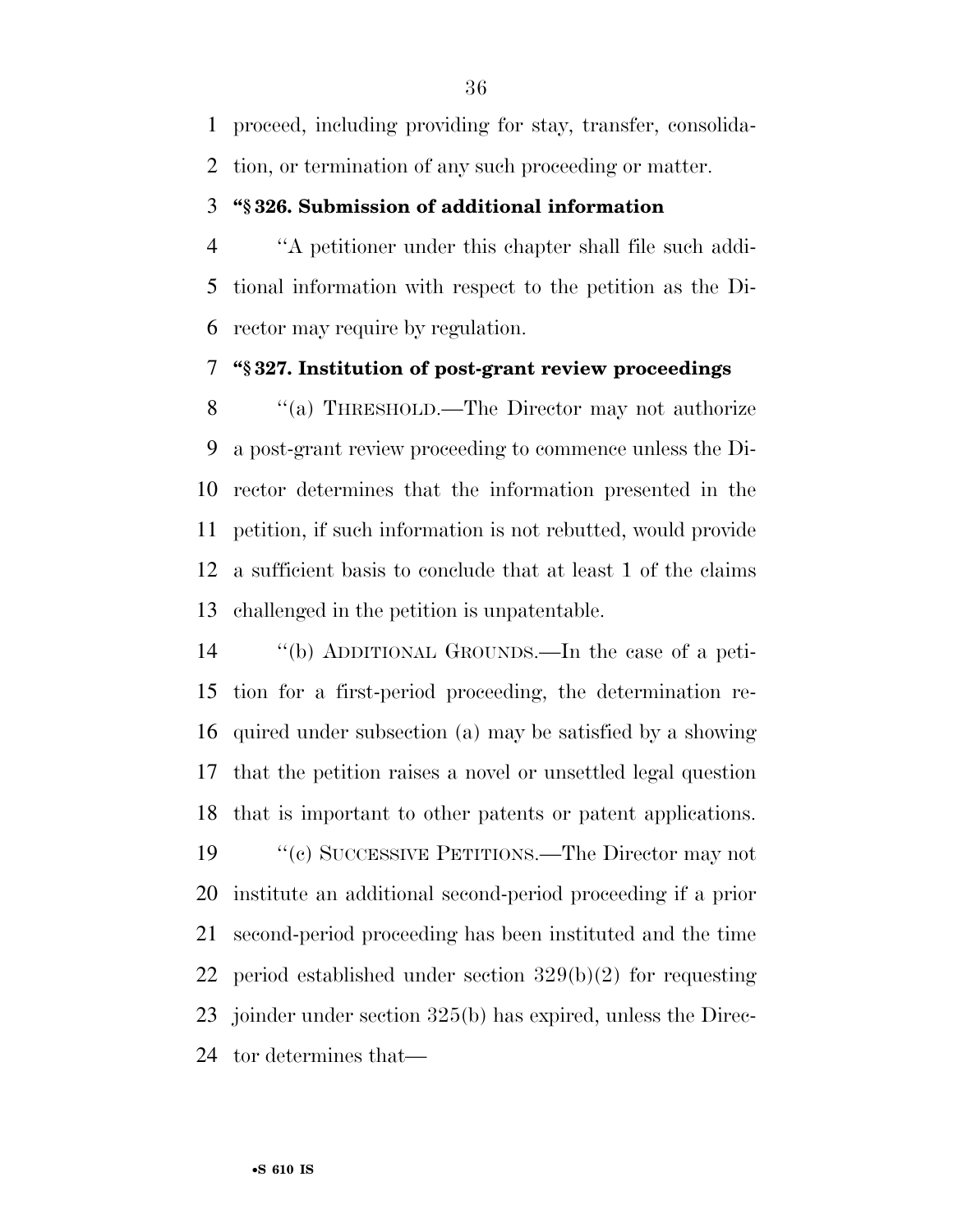proceed, including providing for stay, transfer, consolida-

tion, or termination of any such proceeding or matter.

#### **''§ 326. Submission of additional information**

 ''A petitioner under this chapter shall file such addi- tional information with respect to the petition as the Di-rector may require by regulation.

#### **''§ 327. Institution of post-grant review proceedings**

8 "(a) THRESHOLD.—The Director may not authorize a post-grant review proceeding to commence unless the Di- rector determines that the information presented in the petition, if such information is not rebutted, would provide a sufficient basis to conclude that at least 1 of the claims challenged in the petition is unpatentable.

 ''(b) ADDITIONAL GROUNDS.—In the case of a peti- tion for a first-period proceeding, the determination re- quired under subsection (a) may be satisfied by a showing that the petition raises a novel or unsettled legal question that is important to other patents or patent applications.

 ''(c) SUCCESSIVE PETITIONS.—The Director may not institute an additional second-period proceeding if a prior second-period proceeding has been instituted and the time period established under section 329(b)(2) for requesting joinder under section 325(b) has expired, unless the Direc-tor determines that—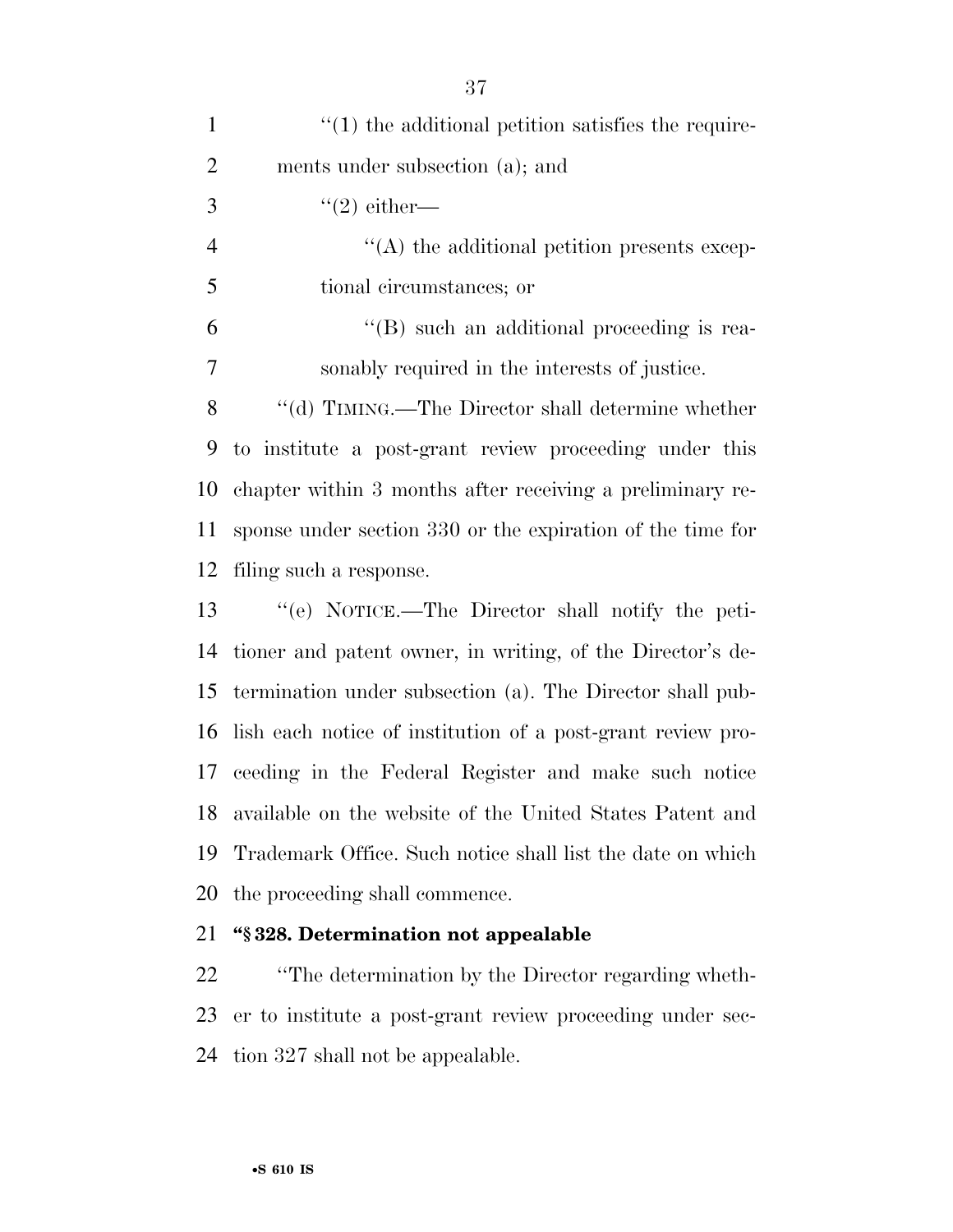| $\mathbf{1}$   | $\lq(1)$ the additional petition satisfies the require-     |
|----------------|-------------------------------------------------------------|
| $\overline{2}$ | ments under subsection (a); and                             |
| 3              | $"(2)$ either—                                              |
| $\overline{4}$ | $\lq\lq$ the additional petition presents excep-            |
| 5              | tional circumstances; or                                    |
| 6              | $\lq\lq (B)$ such an additional proceeding is rea-          |
| 7              | sonably required in the interests of justice.               |
| 8              | "(d) TIMING.—The Director shall determine whether           |
| 9              | to institute a post-grant review proceeding under this      |
| 10             | chapter within 3 months after receiving a preliminary re-   |
| 11             | sponse under section 330 or the expiration of the time for  |
| 12             | filing such a response.                                     |
| 13             | "(e) NOTICE.—The Director shall notify the peti-            |
| 14             | tioner and patent owner, in writing, of the Director's de-  |
| 15             | termination under subsection (a). The Director shall pub-   |
| 16             | lish each notice of institution of a post-grant review pro- |
| 17             | ceeding in the Federal Register and make such notice        |
| 18             | available on the website of the United States Patent and    |
| 19             | Trademark Office. Such notice shall list the date on which  |
| 20             | the proceeding shall commence.                              |
| 21             | "§328. Determination not appealable                         |

 ''The determination by the Director regarding wheth- er to institute a post-grant review proceeding under sec-tion 327 shall not be appealable.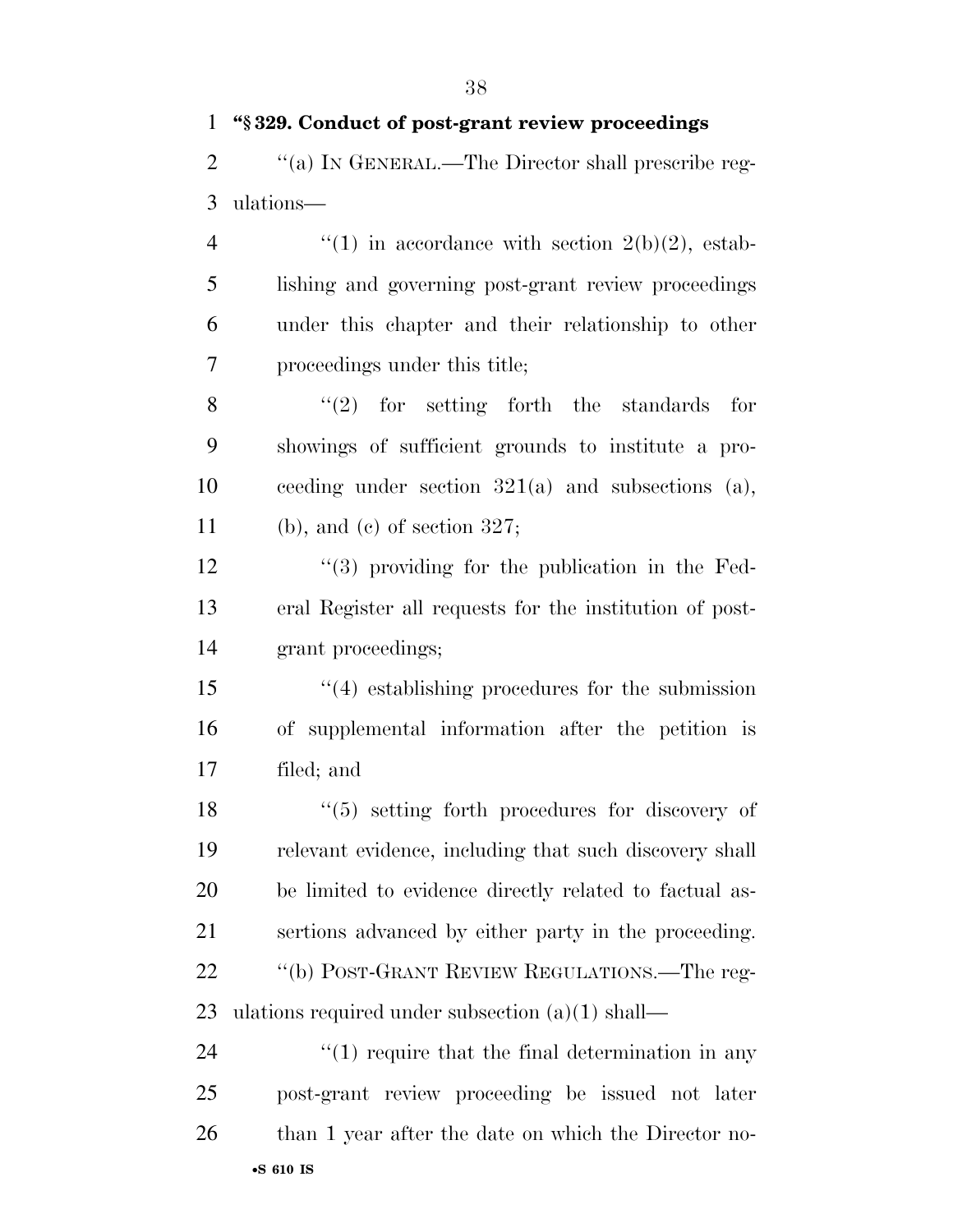# **''§ 329. Conduct of post-grant review proceedings**

2  $\text{``(a)}$  IN GENERAL.—The Director shall prescribe reg-ulations—

 $\frac{4}{1}$  in accordance with section 2(b)(2), estab- lishing and governing post-grant review proceedings under this chapter and their relationship to other proceedings under this title;

 ''(2) for setting forth the standards for showings of sufficient grounds to institute a pro- ceeding under section 321(a) and subsections (a), (b), and (c) of section 327;

 ''(3) providing for the publication in the Fed- eral Register all requests for the institution of post-grant proceedings;

 ''(4) establishing procedures for the submission of supplemental information after the petition is filed; and

18 ''(5) setting forth procedures for discovery of relevant evidence, including that such discovery shall be limited to evidence directly related to factual as- sertions advanced by either party in the proceeding. ''(b) POST-GRANT REVIEW REGULATIONS.—The reg-ulations required under subsection (a)(1) shall—

•**S 610 IS**  $\frac{4}{1}$  require that the final determination in any post-grant review proceeding be issued not later 26 than 1 year after the date on which the Director no-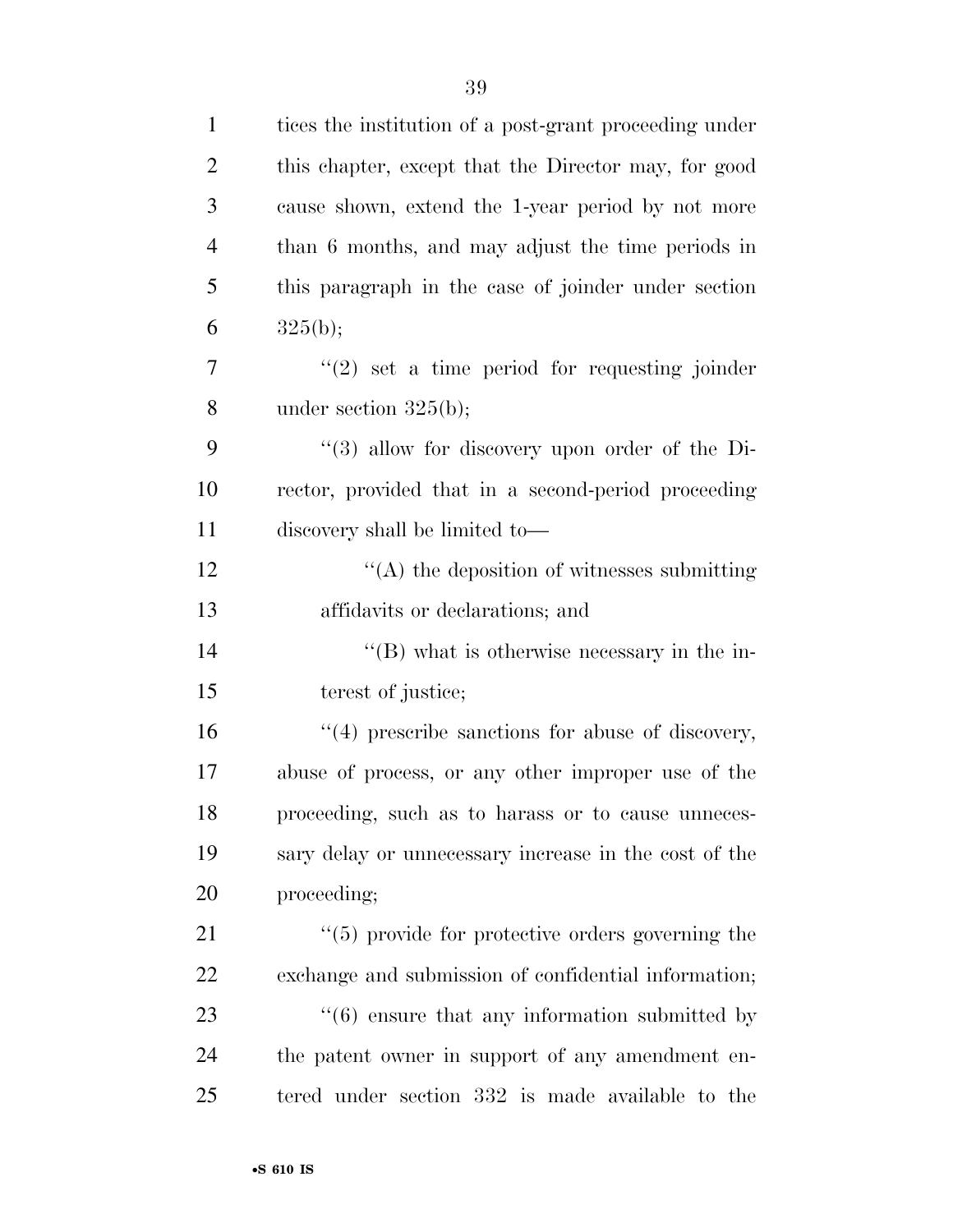| $\mathbf{1}$   | tices the institution of a post-grant proceeding under        |
|----------------|---------------------------------------------------------------|
| $\overline{2}$ | this chapter, except that the Director may, for good          |
| 3              | cause shown, extend the 1-year period by not more             |
| $\overline{4}$ | than 6 months, and may adjust the time periods in             |
| 5              | this paragraph in the case of joinder under section           |
| 6              | 325(b);                                                       |
| 7              | $"(2)$ set a time period for requesting joinder               |
| 8              | under section $325(b)$ ;                                      |
| 9              | $\lq(3)$ allow for discovery upon order of the Di-            |
| 10             | rector, provided that in a second-period proceeding           |
| 11             | discovery shall be limited to-                                |
| 12             | $\cdot$ (A) the deposition of witnesses submitting            |
| 13             | affidavits or declarations; and                               |
| 14             | $\lq\lq (B)$ what is otherwise necessary in the in-           |
| 15             | terest of justice;                                            |
| 16             | $"(4)$ prescribe sanctions for abuse of discovery,            |
| 17             | abuse of process, or any other improper use of the            |
| 18             | proceeding, such as to harass or to cause unneces-            |
| 19             | sary delay or unnecessary increase in the cost of the         |
| 20             | proceeding;                                                   |
| 21             | $\cdot$ (5) provide for protective orders governing the       |
| 22             | exchange and submission of confidential information;          |
| 23             | $\cdot\cdot\cdot(6)$ ensure that any information submitted by |
| 24             | the patent owner in support of any amendment en-              |
| 25             | tered under section 332 is made available to the              |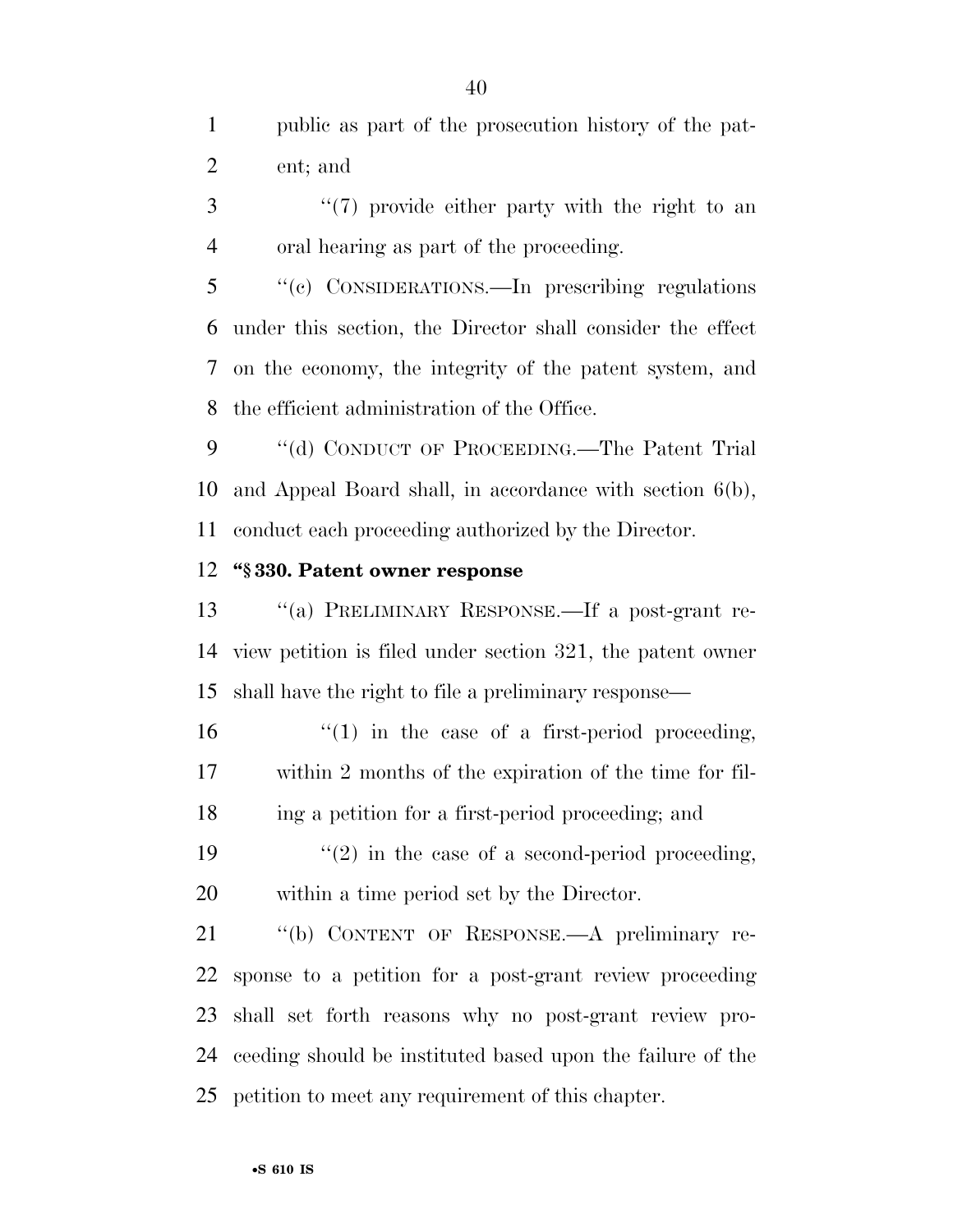public as part of the prosecution history of the pat-ent; and

3 "(7) provide either party with the right to an oral hearing as part of the proceeding.

 ''(c) CONSIDERATIONS.—In prescribing regulations under this section, the Director shall consider the effect on the economy, the integrity of the patent system, and the efficient administration of the Office.

9 "(d) CONDUCT OF PROCEEDING.—The Patent Trial and Appeal Board shall, in accordance with section 6(b), conduct each proceeding authorized by the Director.

### **''§ 330. Patent owner response**

 ''(a) PRELIMINARY RESPONSE.—If a post-grant re- view petition is filed under section 321, the patent owner shall have the right to file a preliminary response—

16  $\frac{1}{2}$  (1) in the case of a first-period proceeding, within 2 months of the expiration of the time for fil-ing a petition for a first-period proceeding; and

19  $\frac{1}{2}$  in the case of a second-period proceeding, within a time period set by the Director.

 ''(b) CONTENT OF RESPONSE.—A preliminary re- sponse to a petition for a post-grant review proceeding shall set forth reasons why no post-grant review pro- ceeding should be instituted based upon the failure of the petition to meet any requirement of this chapter.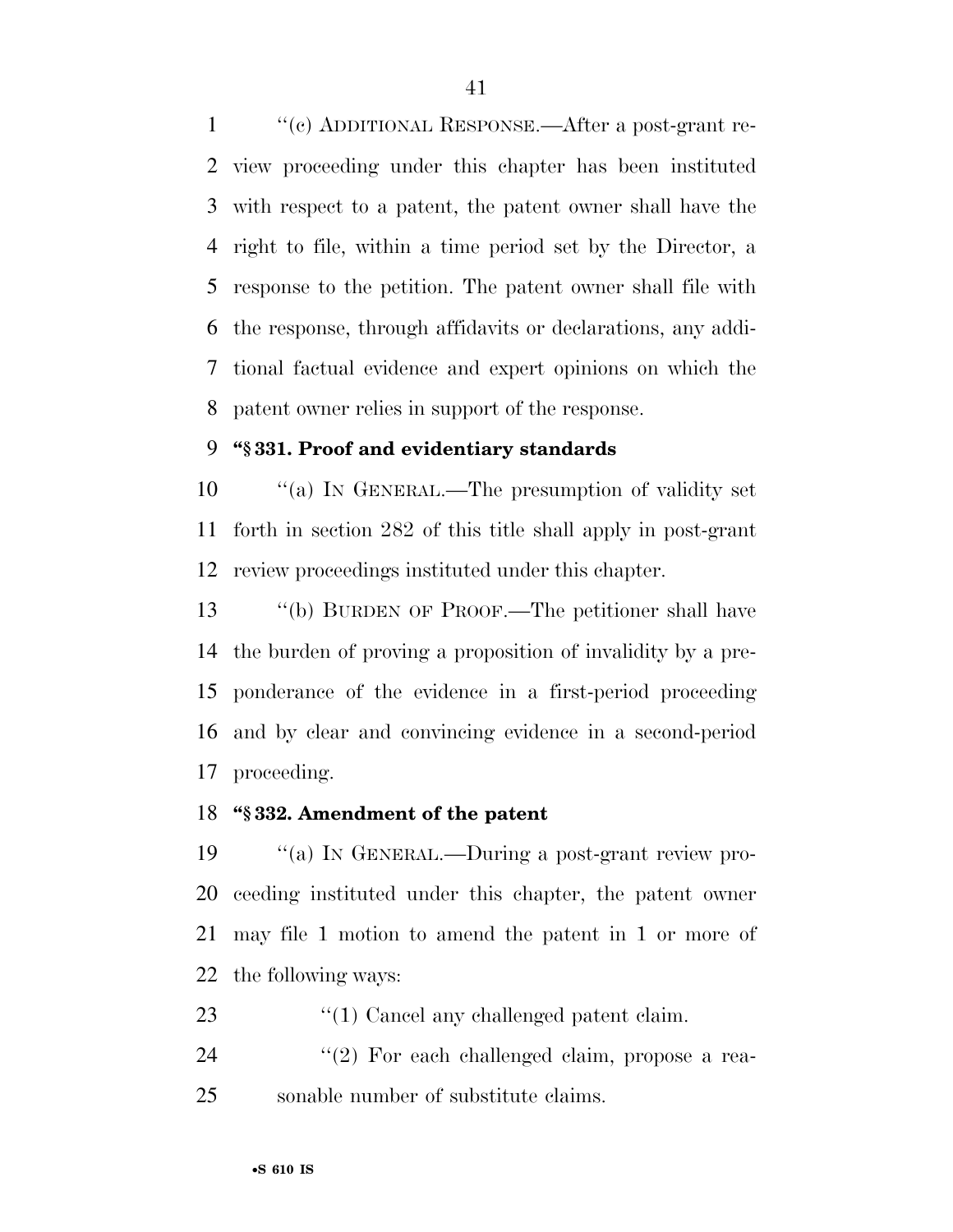''(c) ADDITIONAL RESPONSE.—After a post-grant re- view proceeding under this chapter has been instituted with respect to a patent, the patent owner shall have the right to file, within a time period set by the Director, a response to the petition. The patent owner shall file with the response, through affidavits or declarations, any addi- tional factual evidence and expert opinions on which the patent owner relies in support of the response.

# **''§ 331. Proof and evidentiary standards**

 ''(a) IN GENERAL.—The presumption of validity set forth in section 282 of this title shall apply in post-grant review proceedings instituted under this chapter.

 ''(b) BURDEN OF PROOF.—The petitioner shall have the burden of proving a proposition of invalidity by a pre- ponderance of the evidence in a first-period proceeding and by clear and convincing evidence in a second-period proceeding.

# **''§ 332. Amendment of the patent**

 ''(a) IN GENERAL.—During a post-grant review pro- ceeding instituted under this chapter, the patent owner may file 1 motion to amend the patent in 1 or more of the following ways:

- 23  $\frac{1}{2}$  (1) Cancel any challenged patent claim.
- 24  $(2)$  For each challenged claim, propose a rea-sonable number of substitute claims.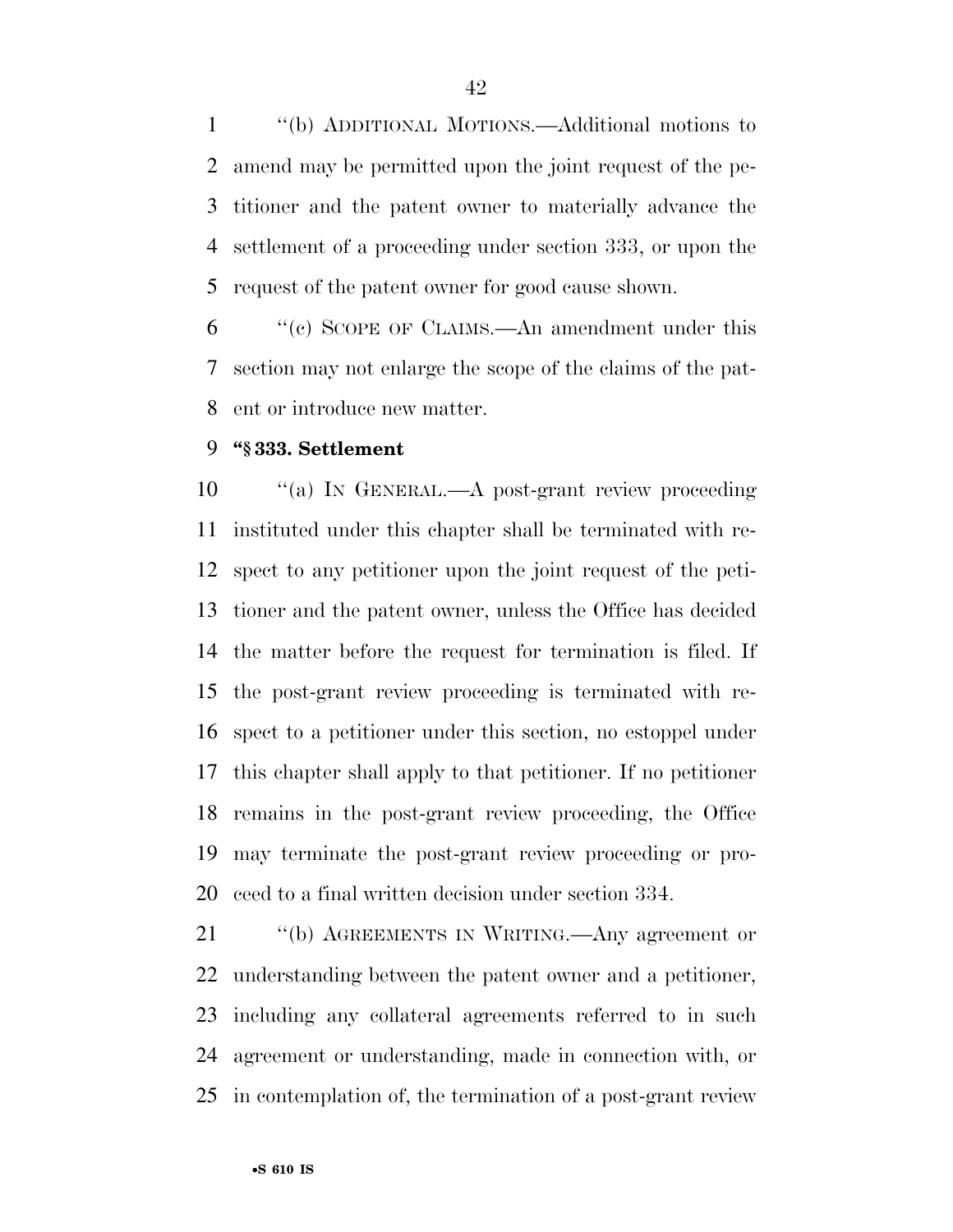''(b) ADDITIONAL MOTIONS.—Additional motions to amend may be permitted upon the joint request of the pe- titioner and the patent owner to materially advance the settlement of a proceeding under section 333, or upon the request of the patent owner for good cause shown.

 ''(c) SCOPE OF CLAIMS.—An amendment under this section may not enlarge the scope of the claims of the pat-ent or introduce new matter.

### **''§ 333. Settlement**

10 "(a) In GENERAL.—A post-grant review proceeding instituted under this chapter shall be terminated with re- spect to any petitioner upon the joint request of the peti- tioner and the patent owner, unless the Office has decided the matter before the request for termination is filed. If the post-grant review proceeding is terminated with re- spect to a petitioner under this section, no estoppel under this chapter shall apply to that petitioner. If no petitioner remains in the post-grant review proceeding, the Office may terminate the post-grant review proceeding or pro-ceed to a final written decision under section 334.

 ''(b) AGREEMENTS IN WRITING.—Any agreement or understanding between the patent owner and a petitioner, including any collateral agreements referred to in such agreement or understanding, made in connection with, or in contemplation of, the termination of a post-grant review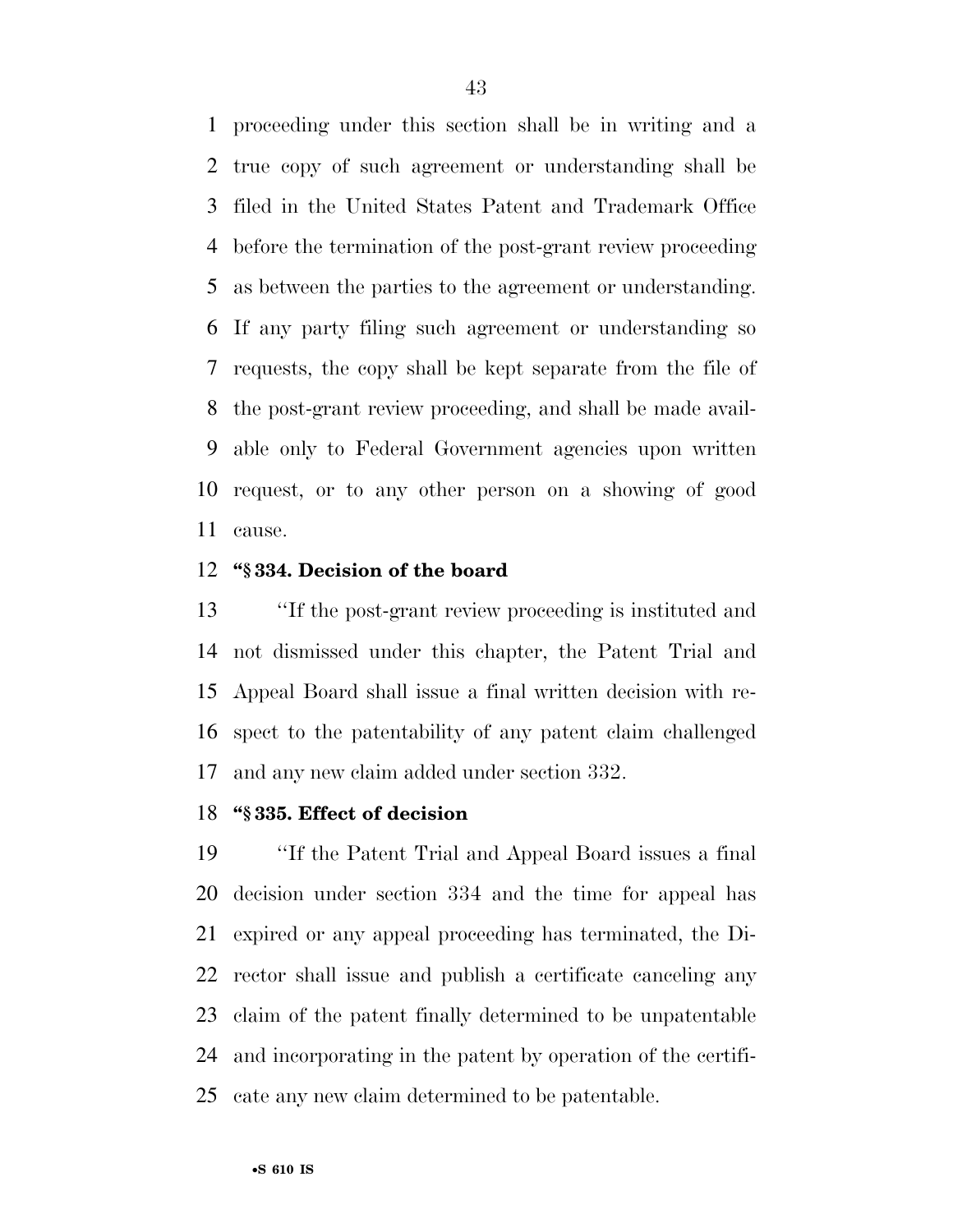proceeding under this section shall be in writing and a true copy of such agreement or understanding shall be filed in the United States Patent and Trademark Office before the termination of the post-grant review proceeding as between the parties to the agreement or understanding. If any party filing such agreement or understanding so requests, the copy shall be kept separate from the file of the post-grant review proceeding, and shall be made avail- able only to Federal Government agencies upon written request, or to any other person on a showing of good cause.

### **''§ 334. Decision of the board**

 ''If the post-grant review proceeding is instituted and not dismissed under this chapter, the Patent Trial and Appeal Board shall issue a final written decision with re- spect to the patentability of any patent claim challenged and any new claim added under section 332.

# **''§ 335. Effect of decision**

 ''If the Patent Trial and Appeal Board issues a final decision under section 334 and the time for appeal has expired or any appeal proceeding has terminated, the Di- rector shall issue and publish a certificate canceling any claim of the patent finally determined to be unpatentable and incorporating in the patent by operation of the certifi-cate any new claim determined to be patentable.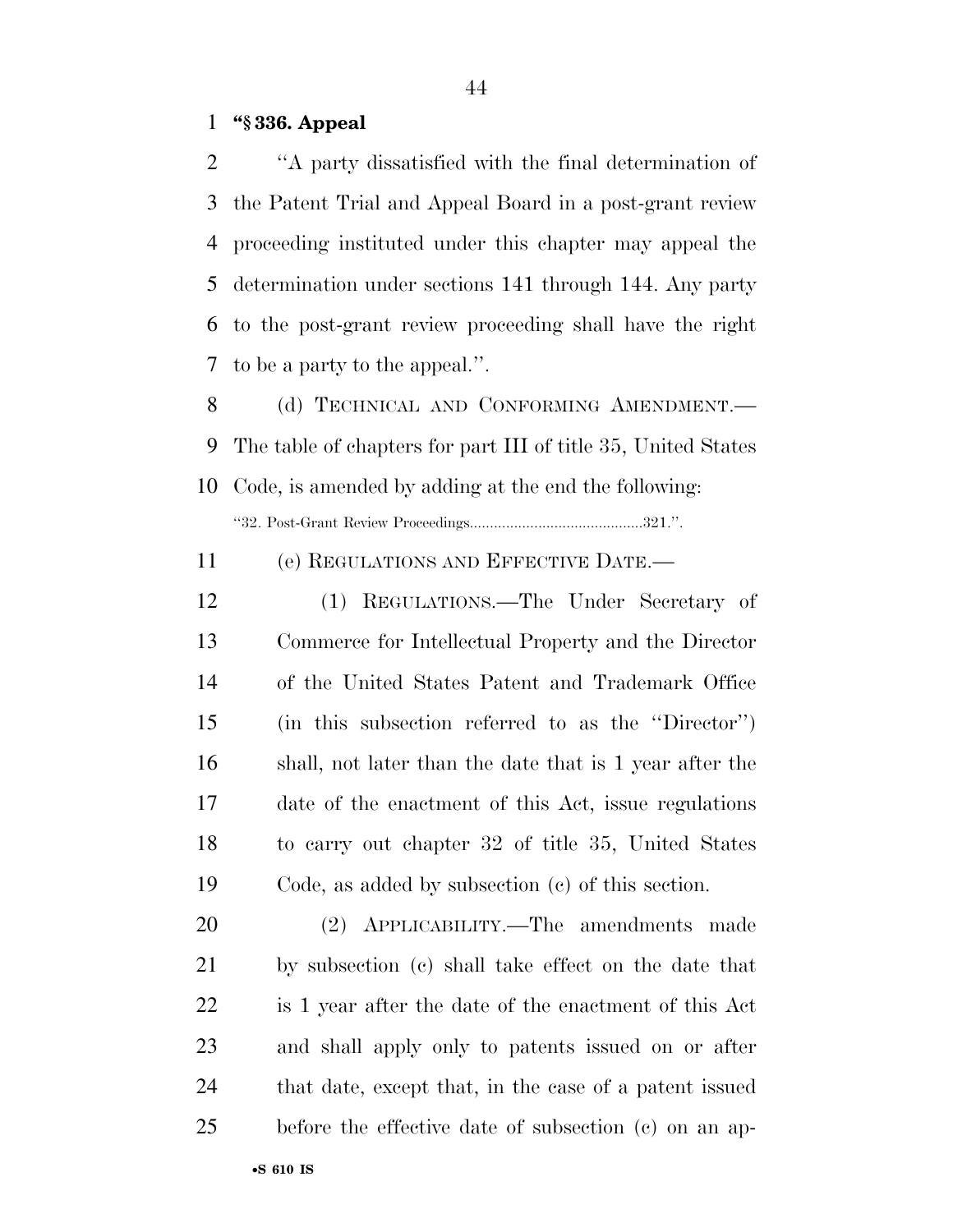### **''§ 336. Appeal**

 ''A party dissatisfied with the final determination of the Patent Trial and Appeal Board in a post-grant review proceeding instituted under this chapter may appeal the determination under sections 141 through 144. Any party to the post-grant review proceeding shall have the right to be a party to the appeal.''.

8 (d) TECHNICAL AND CONFORMING AMENDMENT. The table of chapters for part III of title 35, United States Code, is amended by adding at the end the following:

''32. Post-Grant Review Proceedings...........................................321.''.

(e) REGULATIONS AND EFFECTIVE DATE.—

 (1) REGULATIONS.—The Under Secretary of Commerce for Intellectual Property and the Director of the United States Patent and Trademark Office (in this subsection referred to as the ''Director'') shall, not later than the date that is 1 year after the date of the enactment of this Act, issue regulations to carry out chapter 32 of title 35, United States Code, as added by subsection (c) of this section.

 (2) APPLICABILITY.—The amendments made by subsection (c) shall take effect on the date that is 1 year after the date of the enactment of this Act and shall apply only to patents issued on or after that date, except that, in the case of a patent issued before the effective date of subsection (c) on an ap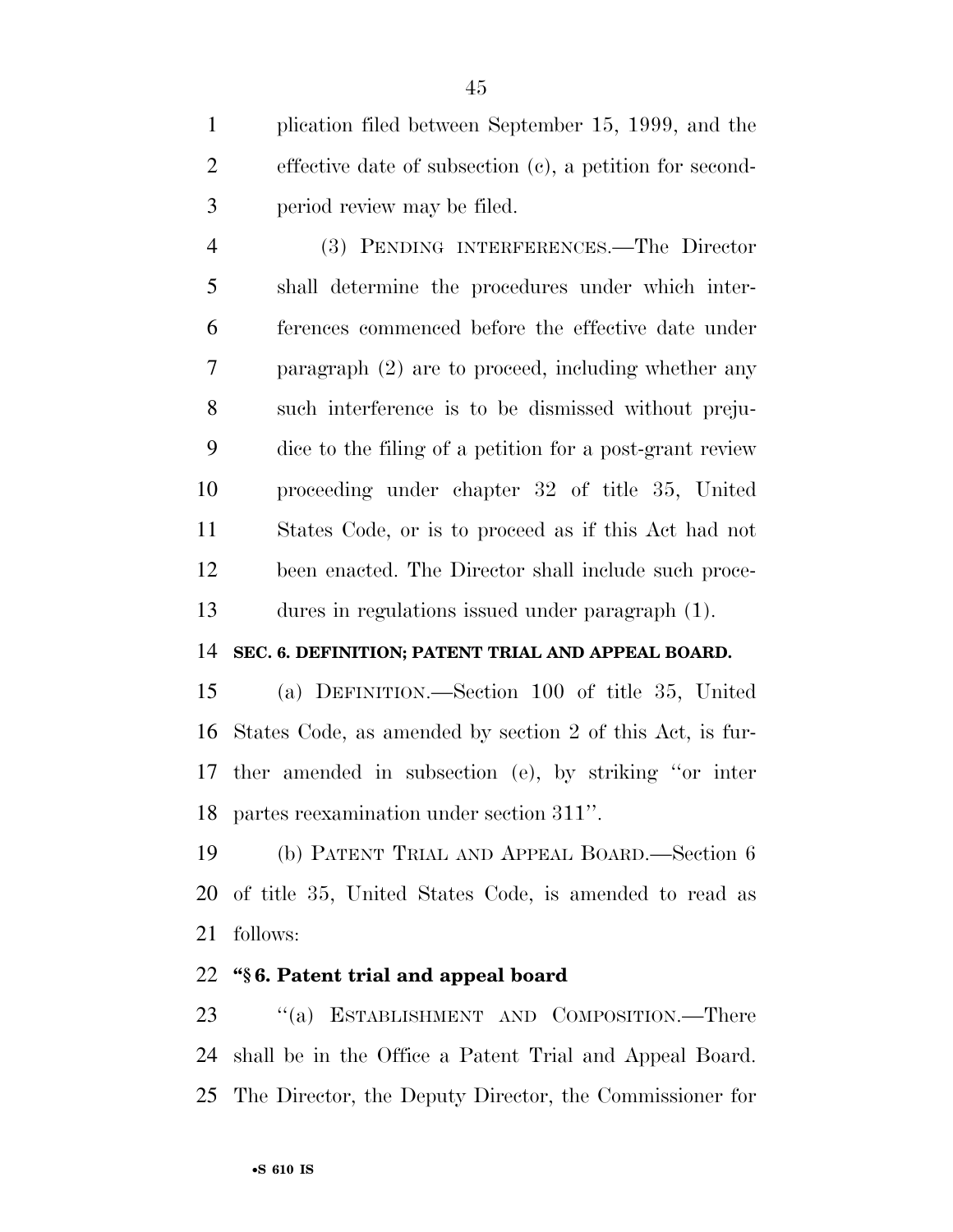plication filed between September 15, 1999, and the effective date of subsection (c), a petition for second-period review may be filed.

 (3) PENDING INTERFERENCES.—The Director shall determine the procedures under which inter- ferences commenced before the effective date under paragraph (2) are to proceed, including whether any such interference is to be dismissed without preju- dice to the filing of a petition for a post-grant review proceeding under chapter 32 of title 35, United States Code, or is to proceed as if this Act had not been enacted. The Director shall include such proce-dures in regulations issued under paragraph (1).

## **SEC. 6. DEFINITION; PATENT TRIAL AND APPEAL BOARD.**

 (a) DEFINITION.—Section 100 of title 35, United States Code, as amended by section 2 of this Act, is fur- ther amended in subsection (e), by striking ''or inter partes reexamination under section 311''.

 (b) PATENT TRIAL AND APPEAL BOARD.—Section 6 of title 35, United States Code, is amended to read as follows:

# **''§ 6. Patent trial and appeal board**

23 "(a) ESTABLISHMENT AND COMPOSITION.—There shall be in the Office a Patent Trial and Appeal Board. The Director, the Deputy Director, the Commissioner for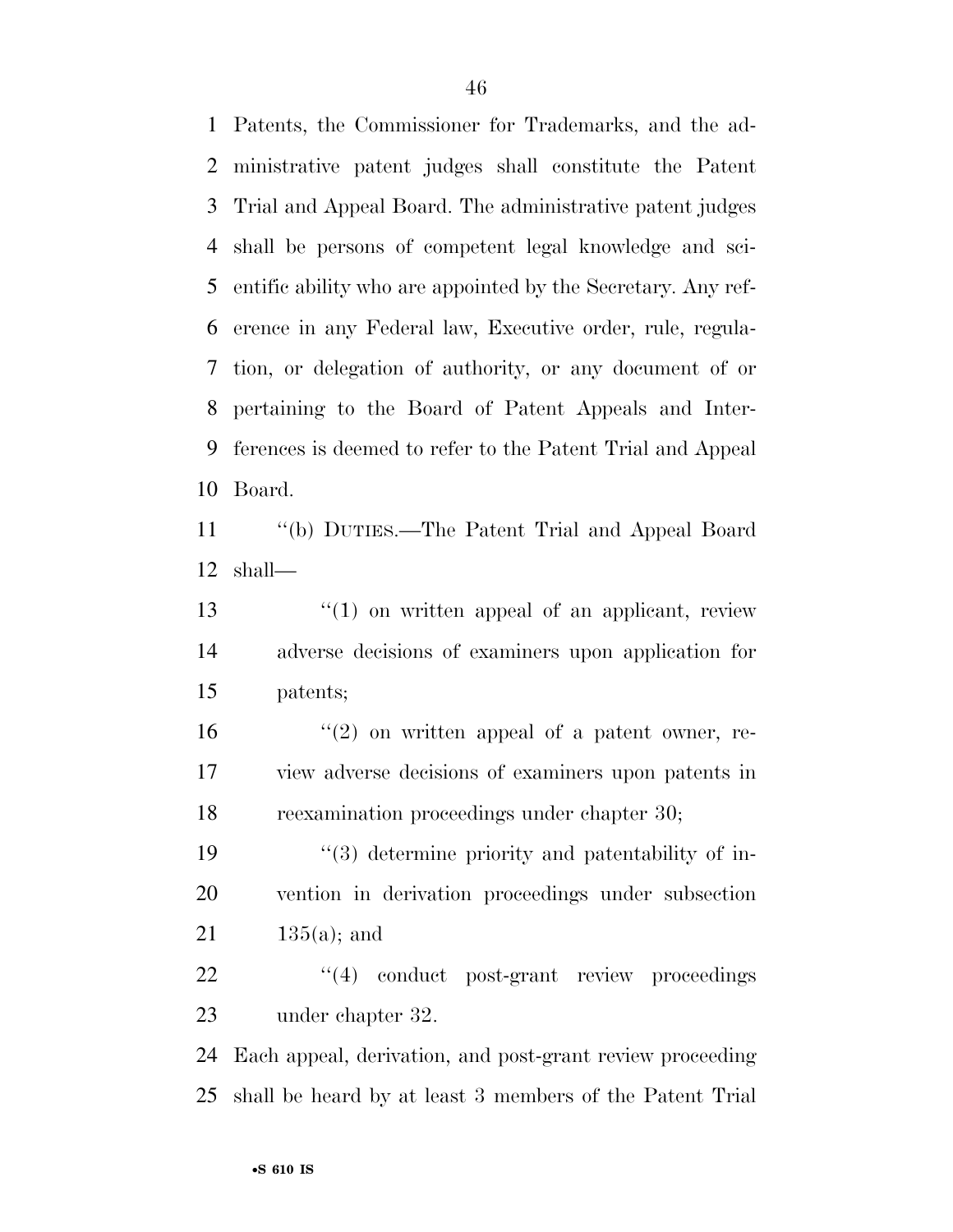Patents, the Commissioner for Trademarks, and the ad- ministrative patent judges shall constitute the Patent Trial and Appeal Board. The administrative patent judges shall be persons of competent legal knowledge and sci- entific ability who are appointed by the Secretary. Any ref- erence in any Federal law, Executive order, rule, regula- tion, or delegation of authority, or any document of or pertaining to the Board of Patent Appeals and Inter- ferences is deemed to refer to the Patent Trial and Appeal Board.

 ''(b) DUTIES.—The Patent Trial and Appeal Board shall—

13 ''(1) on written appeal of an applicant, review adverse decisions of examiners upon application for patents;

 $\frac{16}{2}$  ''(2) on written appeal of a patent owner, re- view adverse decisions of examiners upon patents in reexamination proceedings under chapter 30;

19  $\frac{1}{3}$  determine priority and patentability of in- vention in derivation proceedings under subsection  $21 \t 135(a);$  and

22  $\frac{4}{4}$  conduct post-grant review proceedings under chapter 32.

 Each appeal, derivation, and post-grant review proceeding shall be heard by at least 3 members of the Patent Trial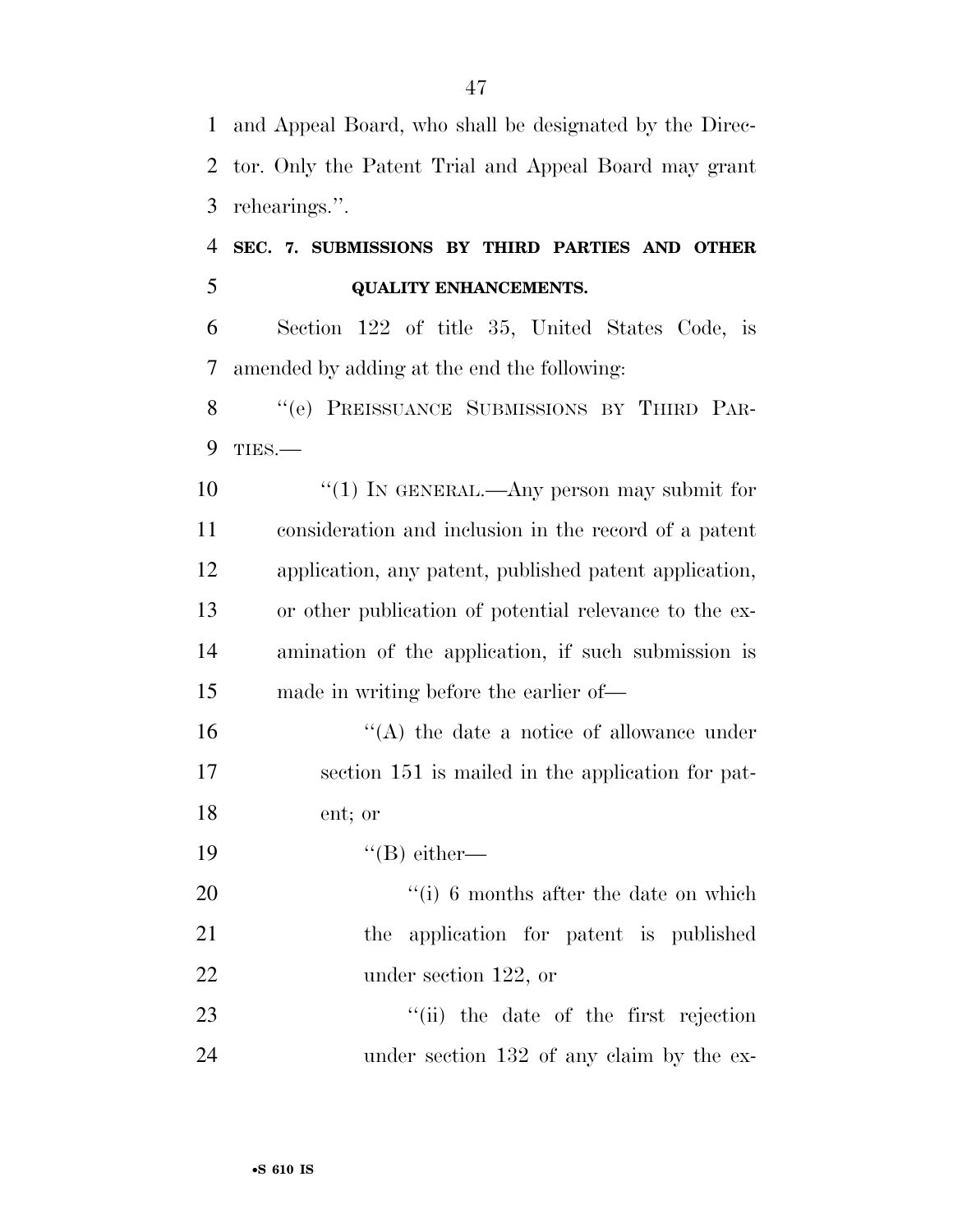and Appeal Board, who shall be designated by the Direc- tor. Only the Patent Trial and Appeal Board may grant rehearings.''.

# **SEC. 7. SUBMISSIONS BY THIRD PARTIES AND OTHER QUALITY ENHANCEMENTS.**

 Section 122 of title 35, United States Code, is amended by adding at the end the following:

8 "(e) PREISSUANCE SUBMISSIONS BY THIRD PAR-TIES.—

10 ''(1) IN GENERAL.—Any person may submit for consideration and inclusion in the record of a patent application, any patent, published patent application, or other publication of potential relevance to the ex- amination of the application, if such submission is made in writing before the earlier of—

16  $\langle A \rangle$  the date a notice of allowance under section 151 is mailed in the application for pat-ent; or

19  $"({\rm B})$  either—

20  $\frac{1}{10}$  6 months after the date on which the application for patent is published 22 under section 122, or

23 ''(ii) the date of the first rejection 24 under section 132 of any claim by the ex-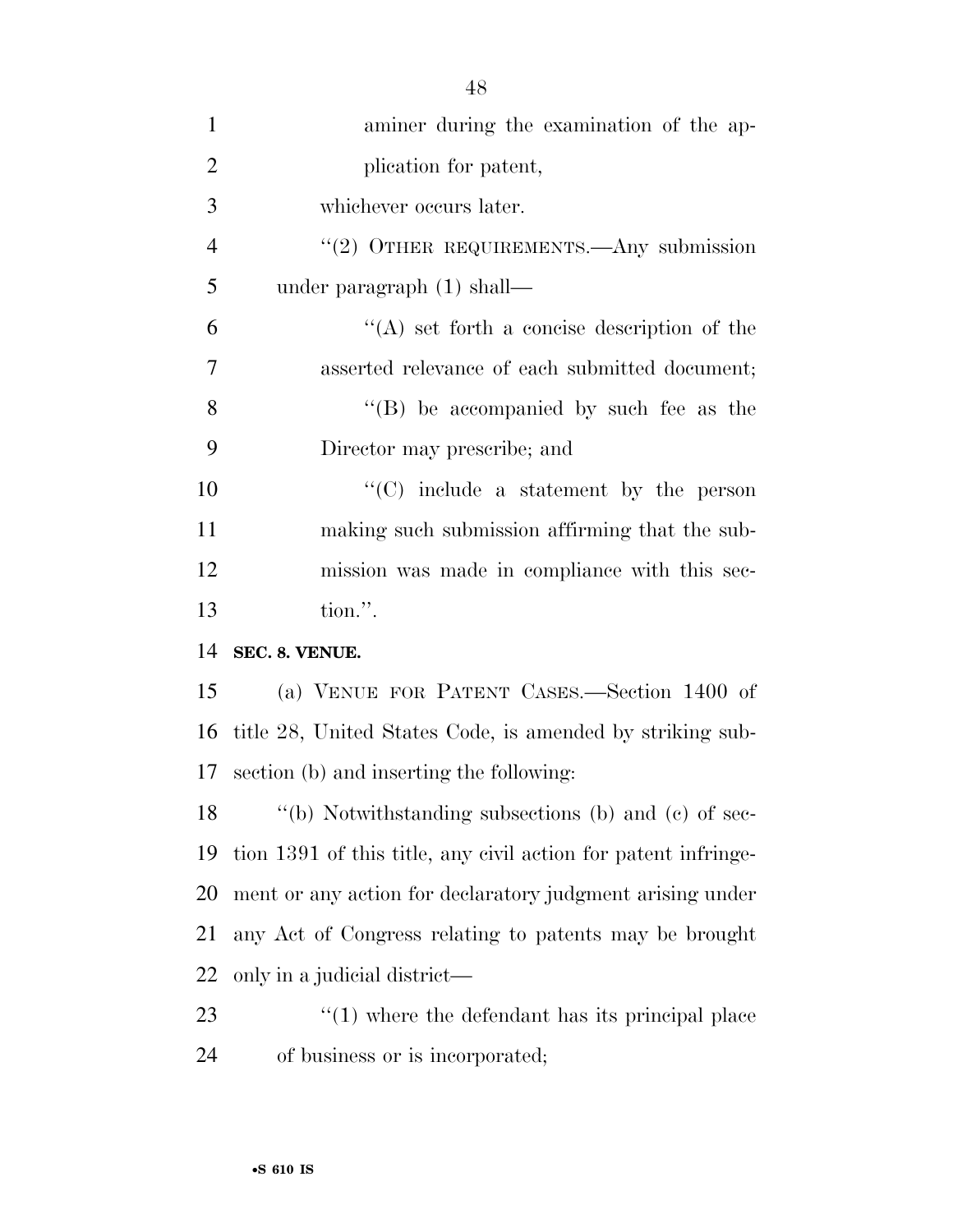| $\mathbf{1}$   | aminer during the examination of the ap-                       |
|----------------|----------------------------------------------------------------|
| $\overline{2}$ | plication for patent,                                          |
| 3              | whichever occurs later.                                        |
| $\overline{4}$ | "(2) OTHER REQUIREMENTS.—Any submission                        |
| 5              | under paragraph $(1)$ shall—                                   |
| 6              | $\lq\lq$ set forth a concise description of the                |
| 7              | asserted relevance of each submitted document;                 |
| 8              | "(B) be accompanied by such fee as the                         |
| 9              | Director may prescribe; and                                    |
| 10             | $\lq\lq$ include a statement by the person                     |
| 11             | making such submission affirming that the sub-                 |
| 12             | mission was made in compliance with this sec-                  |
| 13             | tion.".                                                        |
| 14             | SEC. 8. VENUE.                                                 |
| 15             | (a) VENUE FOR PATENT CASES.—Section 1400 of                    |
| 16             | title 28, United States Code, is amended by striking sub-      |
| 17             | section (b) and inserting the following:                       |
| 18             | "(b) Notwithstanding subsections (b) and (c) of sec-           |
| 19             | tion 1391 of this title, any civil action for patent infringe- |
| 20             | ment or any action for declaratory judgment arising under      |
| 21             | any Act of Congress relating to patents may be brought         |
| 22             | only in a judicial district—                                   |
| 23             | $\lq(1)$ where the defendant has its principal place           |
| 24             | of business or is incorporated;                                |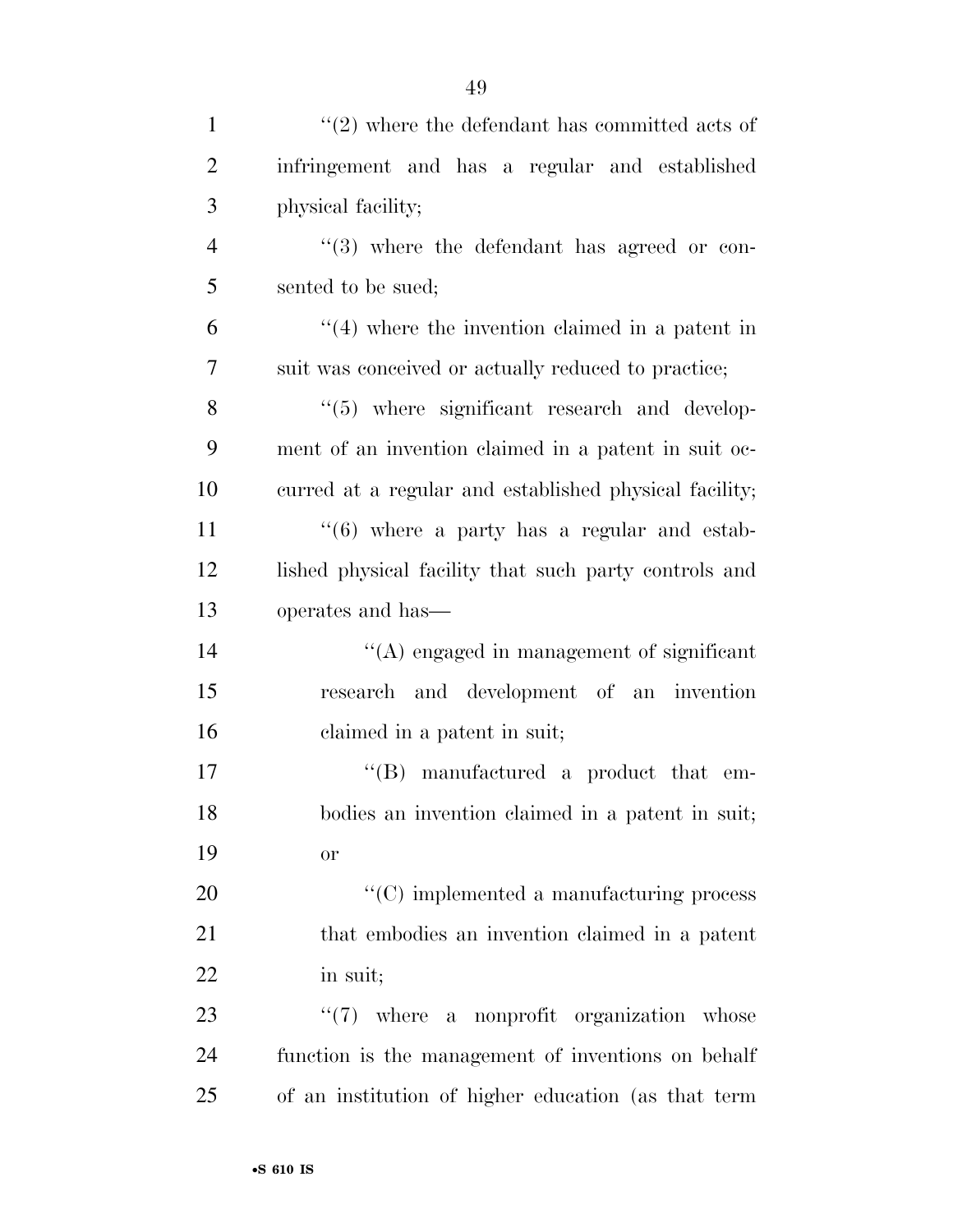| $\mathbf{1}$   | $\lq(2)$ where the defendant has committed acts of     |
|----------------|--------------------------------------------------------|
| $\overline{2}$ | infringement and has a regular and established         |
| 3              | physical facility;                                     |
| $\overline{4}$ | $(3)$ where the defendant has agreed or con-           |
| 5              | sented to be sued;                                     |
| 6              | $\cdot$ (4) where the invention claimed in a patent in |
| $\overline{7}$ | suit was conceived or actually reduced to practice;    |
| 8              | "(5) where significant research and develop-           |
| 9              | ment of an invention claimed in a patent in suit oc-   |
| 10             | curred at a regular and established physical facility; |
| 11             | $((6)$ where a party has a regular and estab-          |
| 12             | lished physical facility that such party controls and  |
| 13             | operates and has—                                      |
| 14             | $\lq\lq$ engaged in management of significant          |
| 15             | research and development of an invention               |
| 16             | claimed in a patent in suit;                           |
| 17             | $\lq\lq$ . manufactured a product that em-             |
| 18             | bodies an invention claimed in a patent in suit;       |
| 19             | <b>or</b>                                              |
| 20             | $\lq\lq$ (C) implemented a manufacturing process       |
| 21             | that embodies an invention claimed in a patent         |
| 22             | in suit;                                               |
| 23             | $\lq(7)$ where a nonprofit organization whose          |
| 24             | function is the management of inventions on behalf     |
| 25             | of an institution of higher education (as that term    |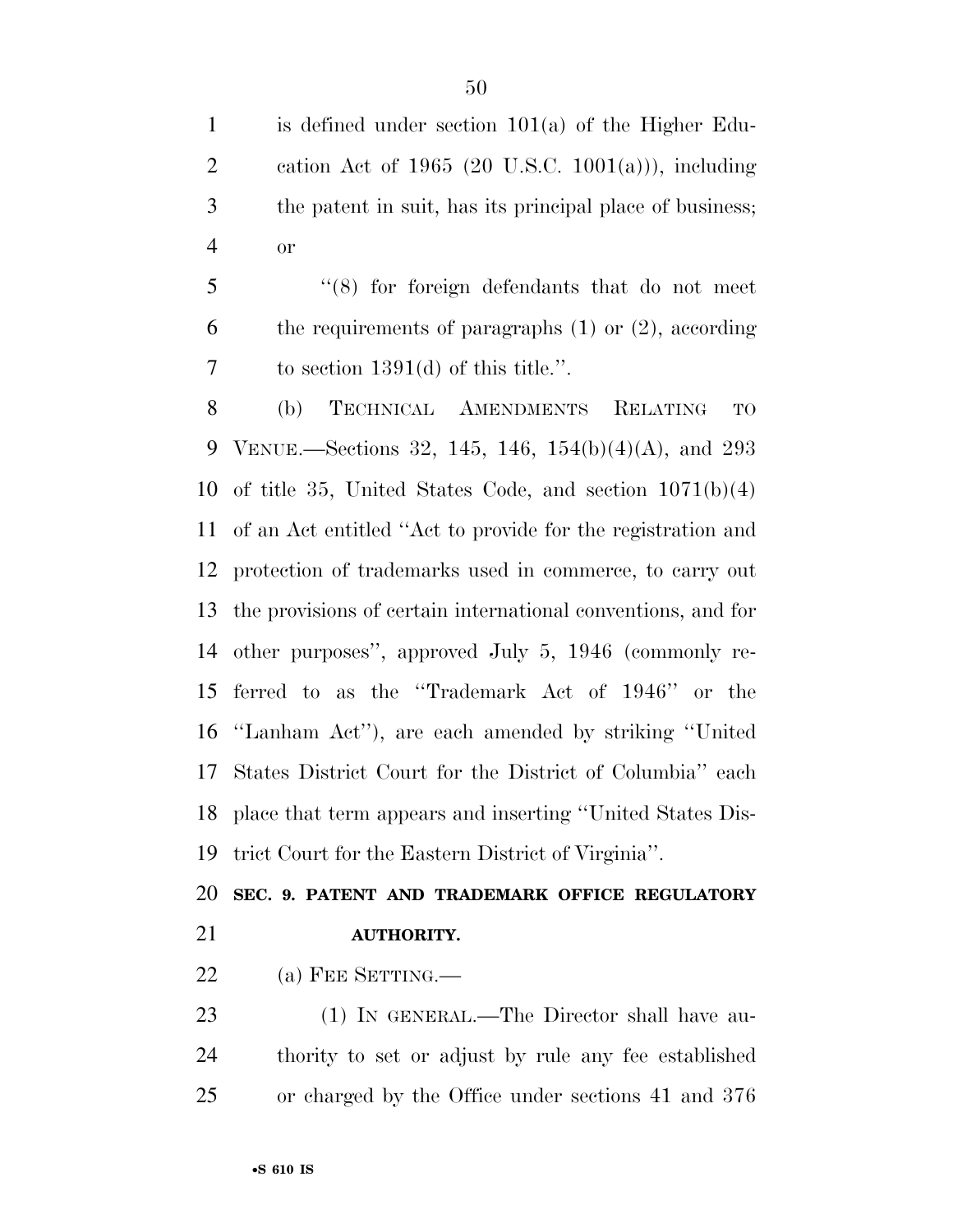is defined under section 101(a) of the Higher Edu- cation Act of 1965 (20 U.S.C. 1001(a))), including the patent in suit, has its principal place of business; or

 ''(8) for foreign defendants that do not meet the requirements of paragraphs (1) or (2), according to section 1391(d) of this title.''.

 (b) TECHNICAL AMENDMENTS RELATING TO VENUE.—Sections 32, 145, 146, 154(b)(4)(A), and 293 of title 35, United States Code, and section 1071(b)(4) of an Act entitled ''Act to provide for the registration and protection of trademarks used in commerce, to carry out the provisions of certain international conventions, and for other purposes'', approved July 5, 1946 (commonly re- ferred to as the ''Trademark Act of 1946'' or the ''Lanham Act''), are each amended by striking ''United States District Court for the District of Columbia'' each place that term appears and inserting ''United States Dis-trict Court for the Eastern District of Virginia''.

# **SEC. 9. PATENT AND TRADEMARK OFFICE REGULATORY AUTHORITY.**

22 (a) FEE SETTING.—

 (1) IN GENERAL.—The Director shall have au- thority to set or adjust by rule any fee established or charged by the Office under sections 41 and 376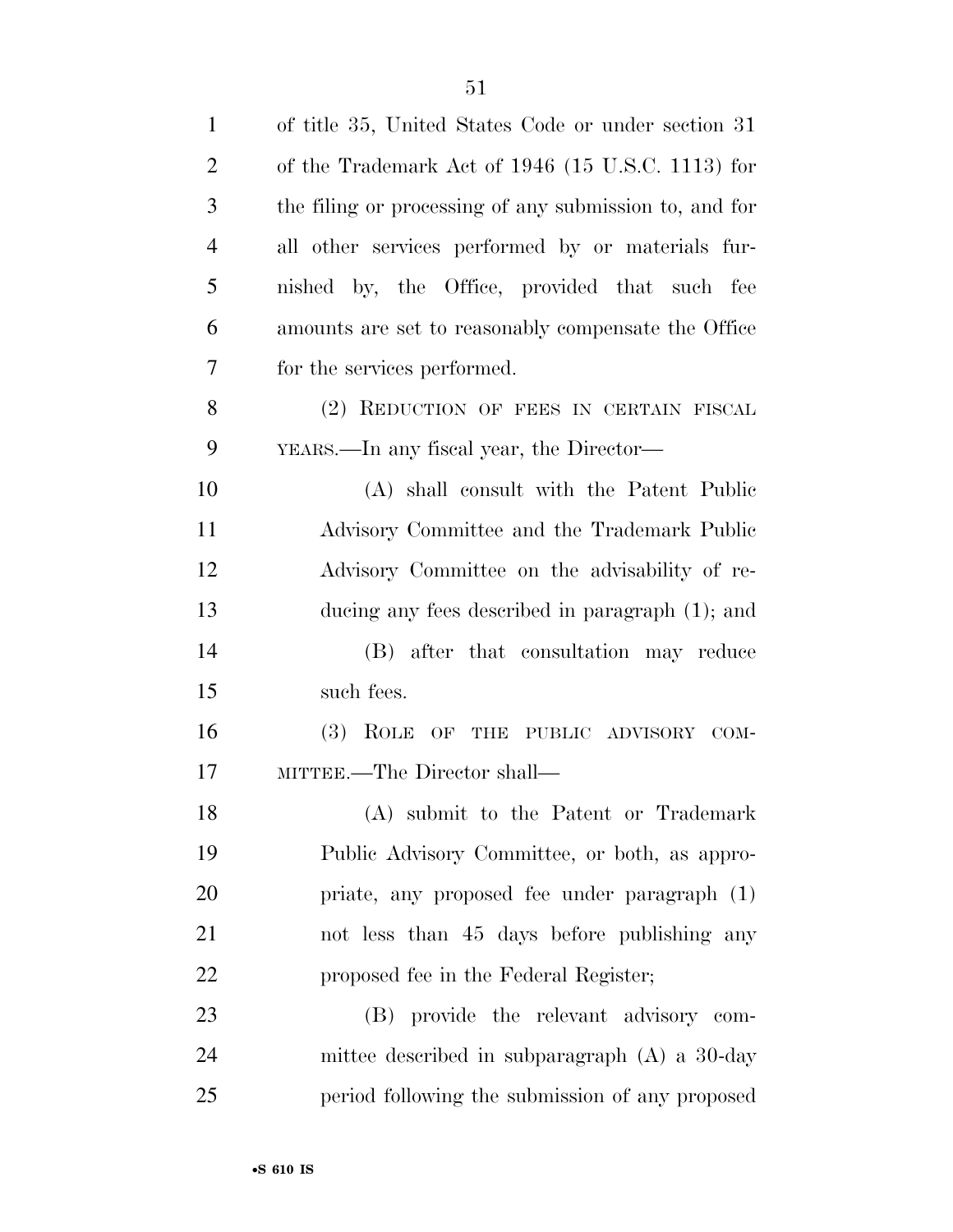| $\mathbf{1}$   | of title 35, United States Code or under section 31    |
|----------------|--------------------------------------------------------|
| $\overline{2}$ | of the Trademark Act of 1946 (15 U.S.C. 1113) for      |
| 3              | the filing or processing of any submission to, and for |
| 4              | all other services performed by or materials fur-      |
| 5              | nished by, the Office, provided that such fee          |
| 6              | amounts are set to reasonably compensate the Office    |
| 7              | for the services performed.                            |
| 8              | (2) REDUCTION OF FEES IN CERTAIN FISCAL                |
| 9              | YEARS.—In any fiscal year, the Director—               |
| 10             | (A) shall consult with the Patent Public               |
| 11             | Advisory Committee and the Trademark Public            |
| 12             | Advisory Committee on the advisability of re-          |
| 13             | ducing any fees described in paragraph $(1)$ ; and     |
| 14             | (B) after that consultation may reduce                 |
| 15             | such fees.                                             |
| 16             | (3) ROLE OF THE PUBLIC ADVISORY COM-                   |
| 17             | MITTEE.—The Director shall—                            |
| 18             | (A) submit to the Patent or Trademark                  |
| 19             | Public Advisory Committee, or both, as appro-          |
| 20             | priate, any proposed fee under paragraph (1)           |
| 21             | not less than 45 days before publishing any            |
| 22             | proposed fee in the Federal Register;                  |
| 23             | (B) provide the relevant advisory com-                 |
| 24             | mittee described in subparagraph (A) a 30-day          |
| 25             | period following the submission of any proposed        |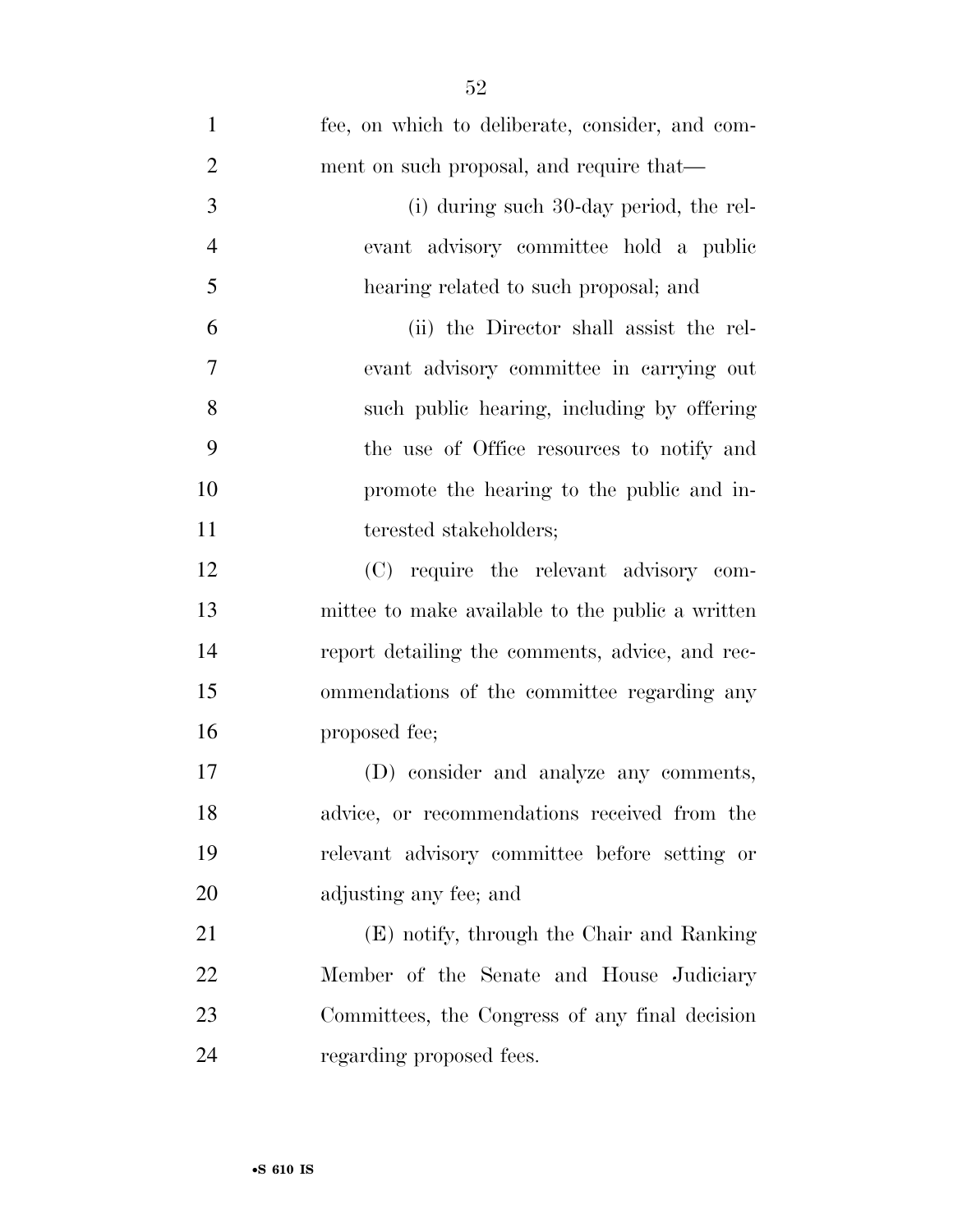| $\mathbf{1}$   | fee, on which to deliberate, consider, and com-  |
|----------------|--------------------------------------------------|
| $\overline{2}$ | ment on such proposal, and require that—         |
| 3              | (i) during such 30-day period, the rel-          |
| $\overline{4}$ | evant advisory committee hold a public           |
| 5              | hearing related to such proposal; and            |
| 6              | (ii) the Director shall assist the rel-          |
| 7              | evant advisory committee in carrying out         |
| 8              | such public hearing, including by offering       |
| 9              | the use of Office resources to notify and        |
| 10             | promote the hearing to the public and in-        |
| 11             | terested stakeholders;                           |
| 12             | (C) require the relevant advisory com-           |
| 13             | mittee to make available to the public a written |
| 14             | report detailing the comments, advice, and rec-  |
| 15             | ommendations of the committee regarding any      |
| 16             | proposed fee;                                    |
| $17\,$         | (D) consider and analyze any comments,           |
| 18             | advice, or recommendations received from the     |
| 19             | relevant advisory committee before setting or    |
| 20             | adjusting any fee; and                           |
| 21             | (E) notify, through the Chair and Ranking        |
| 22             | Member of the Senate and House Judiciary         |
| 23             | Committees, the Congress of any final decision   |
| 24             | regarding proposed fees.                         |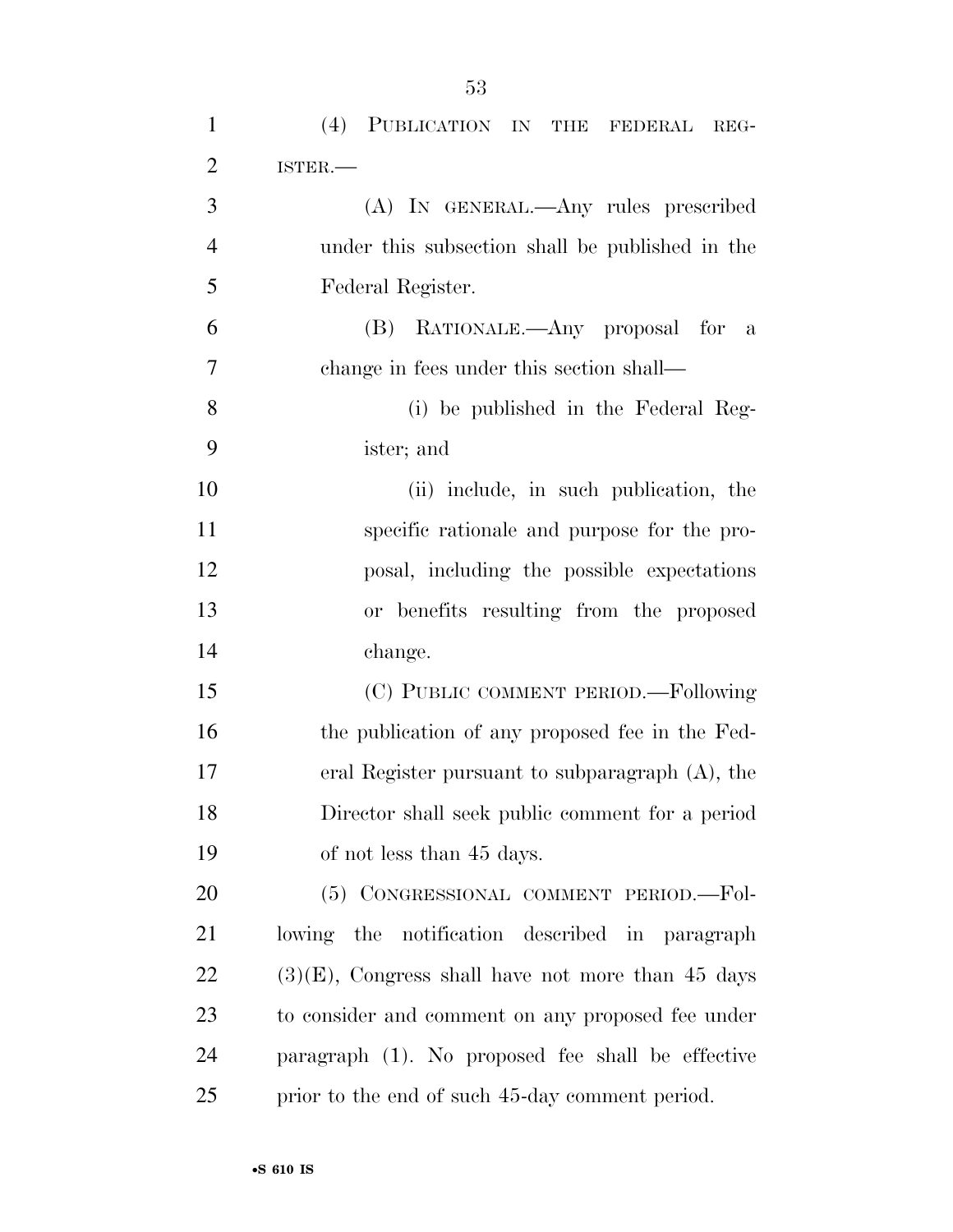| $\mathbf{1}$   | (4) PUBLICATION IN<br>THE FEDERAL REG-               |
|----------------|------------------------------------------------------|
| $\overline{2}$ | ISTER.                                               |
| 3              | (A) IN GENERAL.—Any rules prescribed                 |
| $\overline{4}$ | under this subsection shall be published in the      |
| 5              | Federal Register.                                    |
| 6              | RATIONALE.—Any proposal for<br>(B)<br>a              |
| $\overline{7}$ | change in fees under this section shall—             |
| 8              | (i) be published in the Federal Reg-                 |
| 9              | ister; and                                           |
| 10             | (ii) include, in such publication, the               |
| 11             | specific rationale and purpose for the pro-          |
| 12             | posal, including the possible expectations           |
| 13             | or benefits resulting from the proposed              |
| 14             | change.                                              |
| 15             | (C) PUBLIC COMMENT PERIOD.-Following                 |
| 16             | the publication of any proposed fee in the Fed-      |
| 17             | eral Register pursuant to subparagraph $(A)$ , the   |
| 18             | Director shall seek public comment for a period      |
| 19             | of not less than 45 days.                            |
| 20             | (5) CONGRESSIONAL COMMENT PERIOD.-Fol-               |
| 21             | lowing the notification described in paragraph       |
| 22             | $(3)(E)$ , Congress shall have not more than 45 days |
| 23             | to consider and comment on any proposed fee under    |
| 24             | paragraph (1). No proposed fee shall be effective    |
| 25             | prior to the end of such 45-day comment period.      |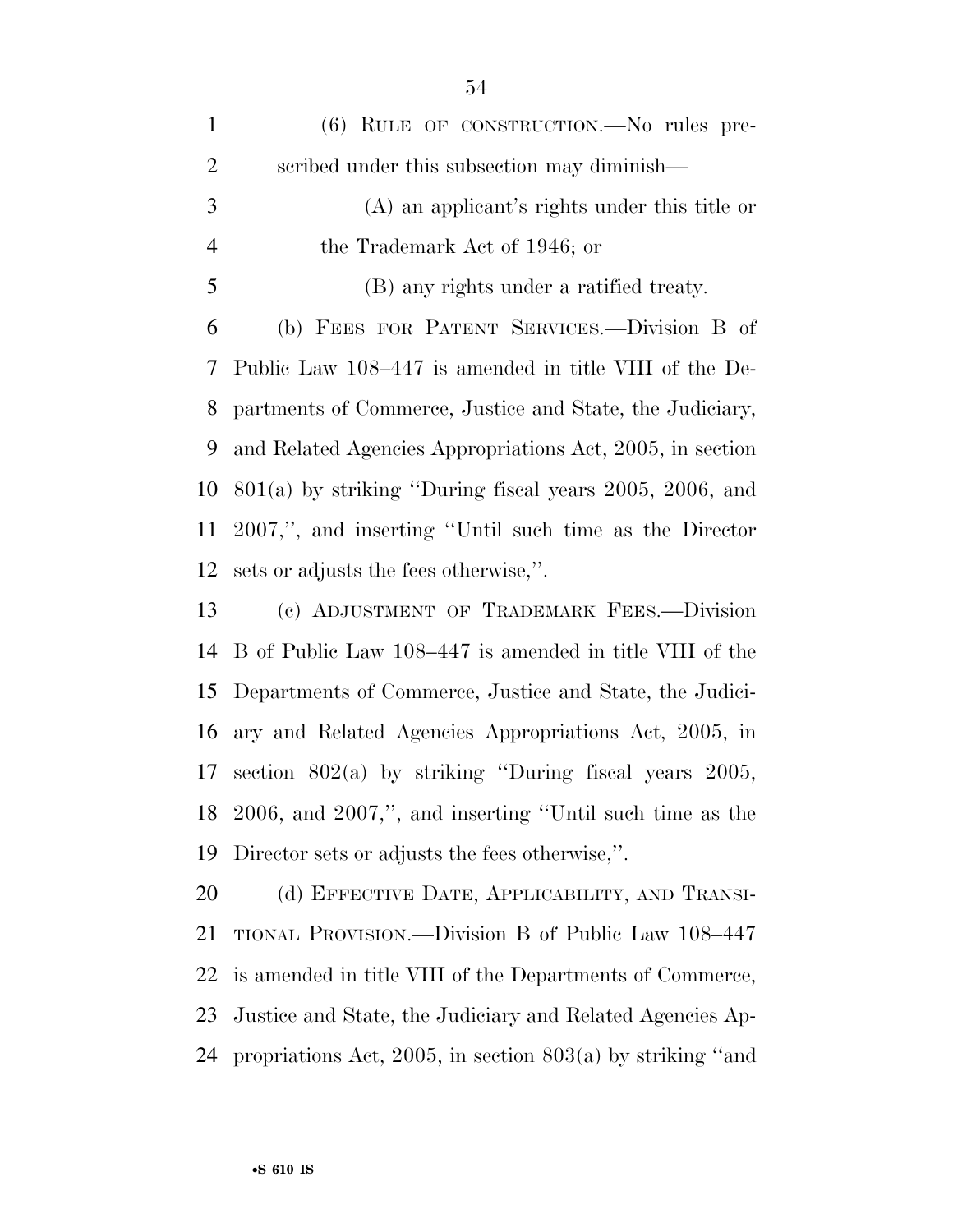| $\mathbf{1}$   | $(6)$ RULE OF CONSTRUCTION.—No rules pre-                  |
|----------------|------------------------------------------------------------|
| $\overline{2}$ | scribed under this subsection may diminish—                |
| 3              | (A) an applicant's rights under this title or              |
| $\overline{4}$ | the Trademark Act of 1946; or                              |
| 5              | (B) any rights under a ratified treaty.                    |
| 6              | (b) FEES FOR PATENT SERVICES.—Division B of                |
| 7              | Public Law 108–447 is amended in title VIII of the De-     |
| 8              | partments of Commerce, Justice and State, the Judiciary,   |
| 9              | and Related Agencies Appropriations Act, 2005, in section  |
| 10             | $801(a)$ by striking "During fiscal years 2005, 2006, and  |
| 11             | 2007,", and inserting "Until such time as the Director"    |
| 12             | sets or adjusts the fees otherwise,".                      |
| 13             | (c) ADJUSTMENT OF TRADEMARK FEES.-Division                 |
| 14             | B of Public Law 108–447 is amended in title VIII of the    |
| 15             | Departments of Commerce, Justice and State, the Judici-    |
| 16             | ary and Related Agencies Appropriations Act, 2005, in      |
| 17             | section $802(a)$ by striking "During fiscal years $2005$ , |
|                | 18 2006, and 2007,", and inserting "Until such time as the |
| 19             | Director sets or adjusts the fees otherwise,".             |
| 20             | (d) EFFECTIVE DATE, APPLICABILITY, AND TRANSI-             |
| 21             | TIONAL PROVISION.—Division B of Public Law 108–447         |
| 22             | is amended in title VIII of the Departments of Commerce,   |
|                |                                                            |

 Justice and State, the Judiciary and Related Agencies Ap-propriations Act, 2005, in section 803(a) by striking ''and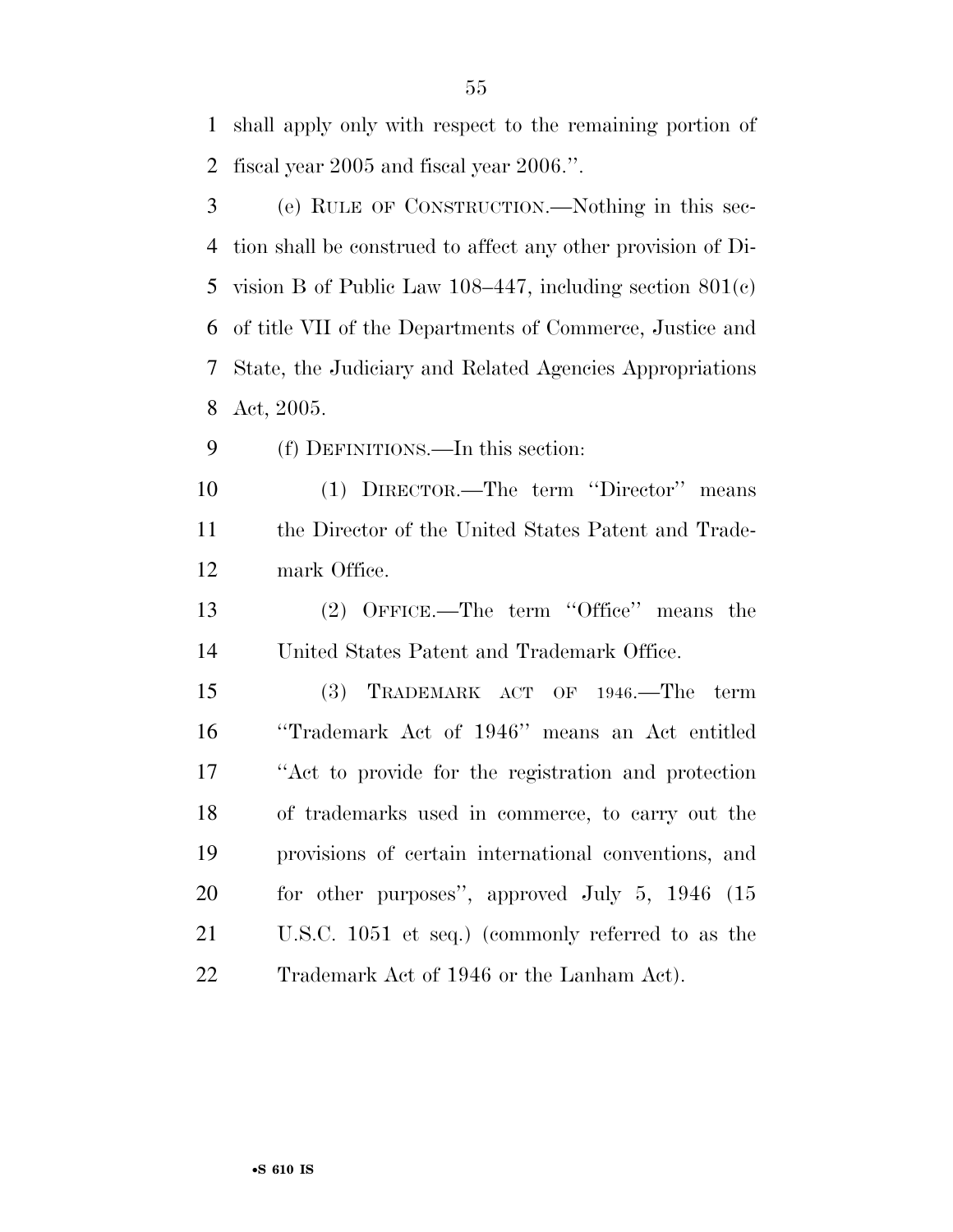shall apply only with respect to the remaining portion of fiscal year 2005 and fiscal year 2006.''.

 (e) RULE OF CONSTRUCTION.—Nothing in this sec- tion shall be construed to affect any other provision of Di- vision B of Public Law 108–447, including section 801(c) of title VII of the Departments of Commerce, Justice and State, the Judiciary and Related Agencies Appropriations Act, 2005.

(f) DEFINITIONS.—In this section:

 (1) DIRECTOR.—The term ''Director'' means the Director of the United States Patent and Trade-mark Office.

 (2) OFFICE.—The term ''Office'' means the United States Patent and Trademark Office.

 (3) TRADEMARK ACT OF 1946.—The term ''Trademark Act of 1946'' means an Act entitled ''Act to provide for the registration and protection of trademarks used in commerce, to carry out the provisions of certain international conventions, and 20 for other purposes", approved July 5, 1946 (15 U.S.C. 1051 et seq.) (commonly referred to as the 22 Trademark Act of 1946 or the Lanham Act).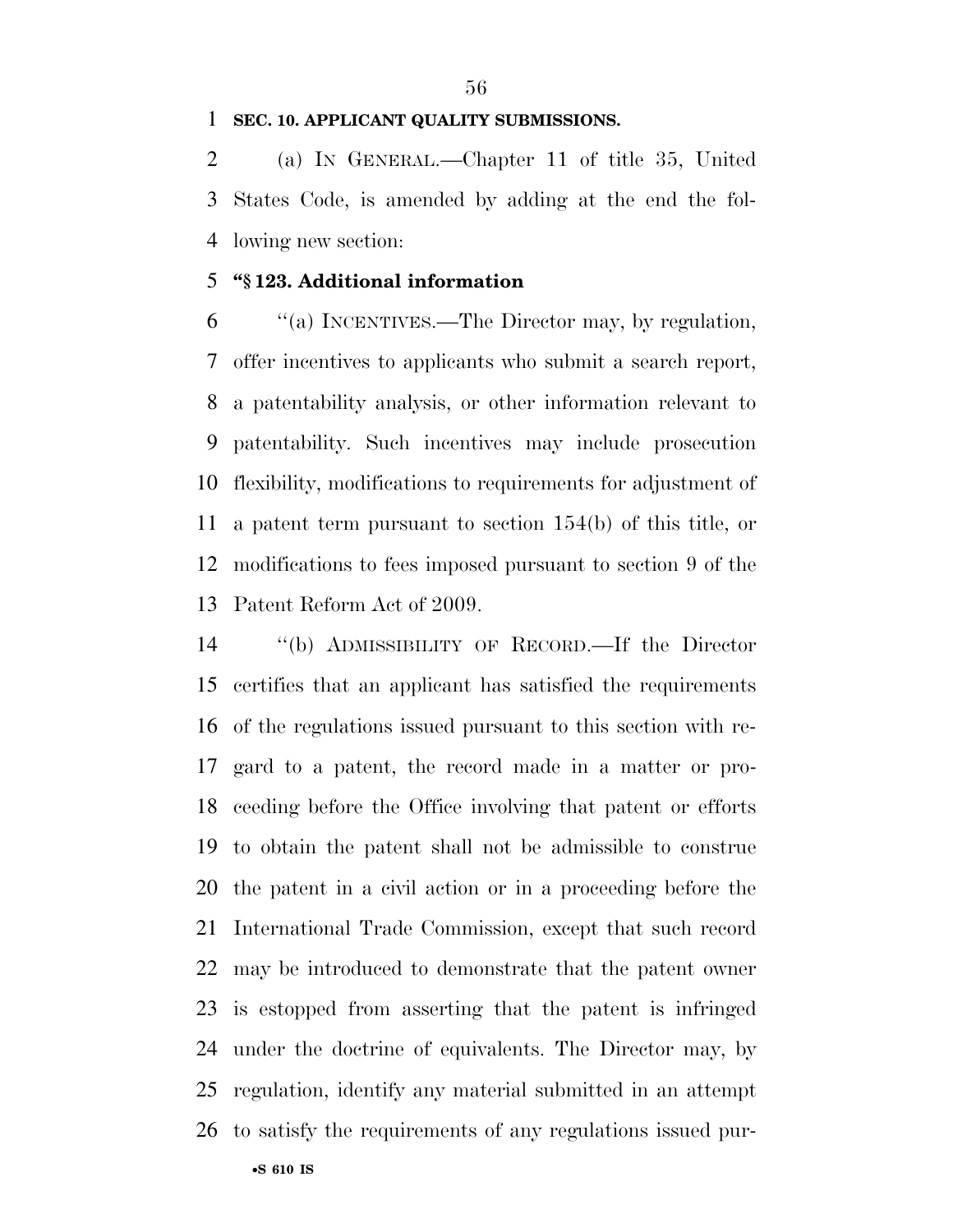#### **SEC. 10. APPLICANT QUALITY SUBMISSIONS.**

 (a) IN GENERAL.—Chapter 11 of title 35, United States Code, is amended by adding at the end the fol-lowing new section:

# **''§ 123. Additional information**

 ''(a) INCENTIVES.—The Director may, by regulation, offer incentives to applicants who submit a search report, a patentability analysis, or other information relevant to patentability. Such incentives may include prosecution flexibility, modifications to requirements for adjustment of a patent term pursuant to section 154(b) of this title, or modifications to fees imposed pursuant to section 9 of the Patent Reform Act of 2009.

 ''(b) ADMISSIBILITY OF RECORD.—If the Director certifies that an applicant has satisfied the requirements of the regulations issued pursuant to this section with re- gard to a patent, the record made in a matter or pro- ceeding before the Office involving that patent or efforts to obtain the patent shall not be admissible to construe the patent in a civil action or in a proceeding before the International Trade Commission, except that such record may be introduced to demonstrate that the patent owner is estopped from asserting that the patent is infringed under the doctrine of equivalents. The Director may, by regulation, identify any material submitted in an attempt to satisfy the requirements of any regulations issued pur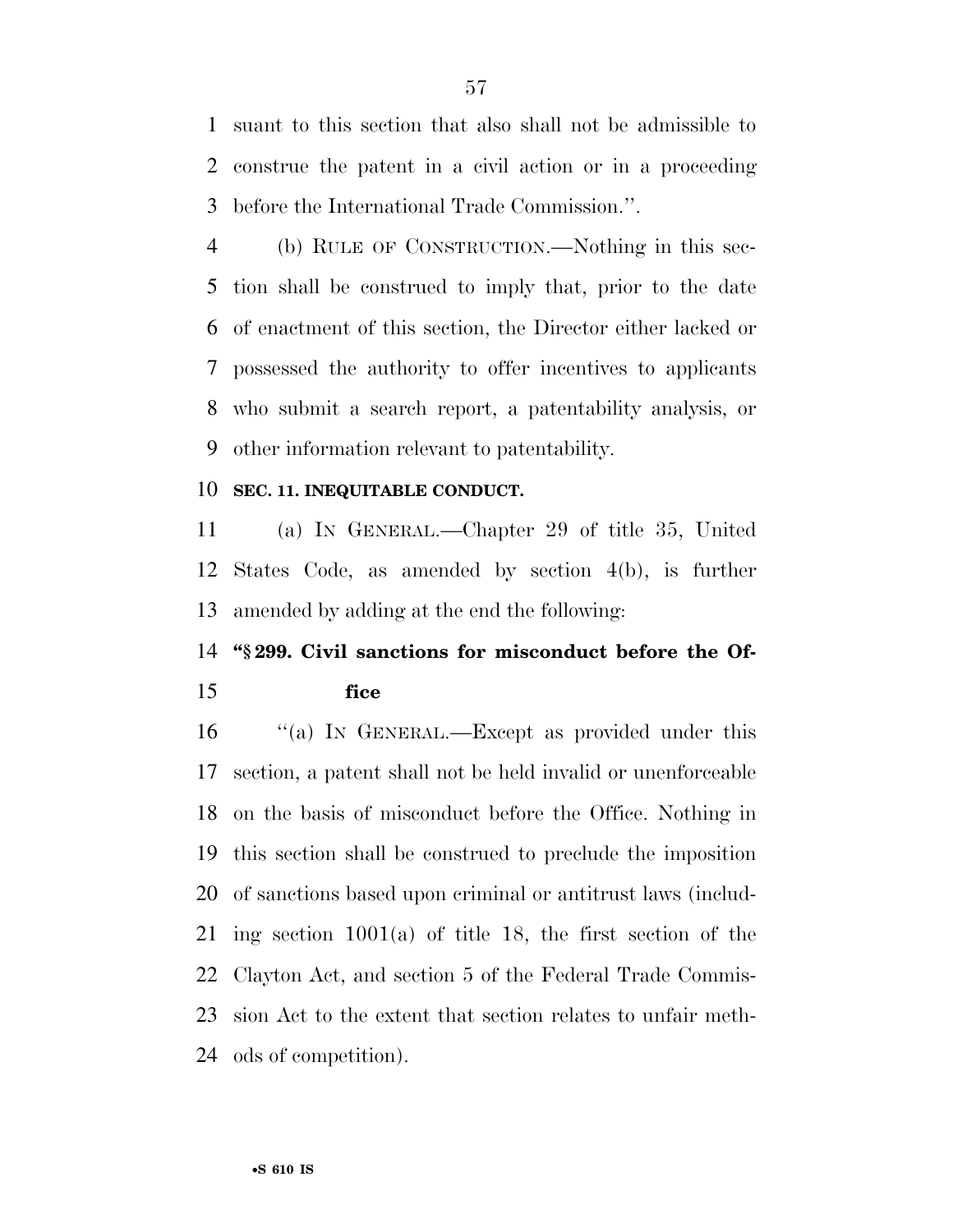suant to this section that also shall not be admissible to construe the patent in a civil action or in a proceeding before the International Trade Commission.''.

 (b) RULE OF CONSTRUCTION.—Nothing in this sec- tion shall be construed to imply that, prior to the date of enactment of this section, the Director either lacked or possessed the authority to offer incentives to applicants who submit a search report, a patentability analysis, or other information relevant to patentability.

#### **SEC. 11. INEQUITABLE CONDUCT.**

 (a) IN GENERAL.—Chapter 29 of title 35, United States Code, as amended by section 4(b), is further amended by adding at the end the following:

# **''§ 299. Civil sanctions for misconduct before the Of-fice**

16 "(a) IN GENERAL.—Except as provided under this section, a patent shall not be held invalid or unenforceable on the basis of misconduct before the Office. Nothing in this section shall be construed to preclude the imposition of sanctions based upon criminal or antitrust laws (includ- ing section 1001(a) of title 18, the first section of the Clayton Act, and section 5 of the Federal Trade Commis- sion Act to the extent that section relates to unfair meth-ods of competition).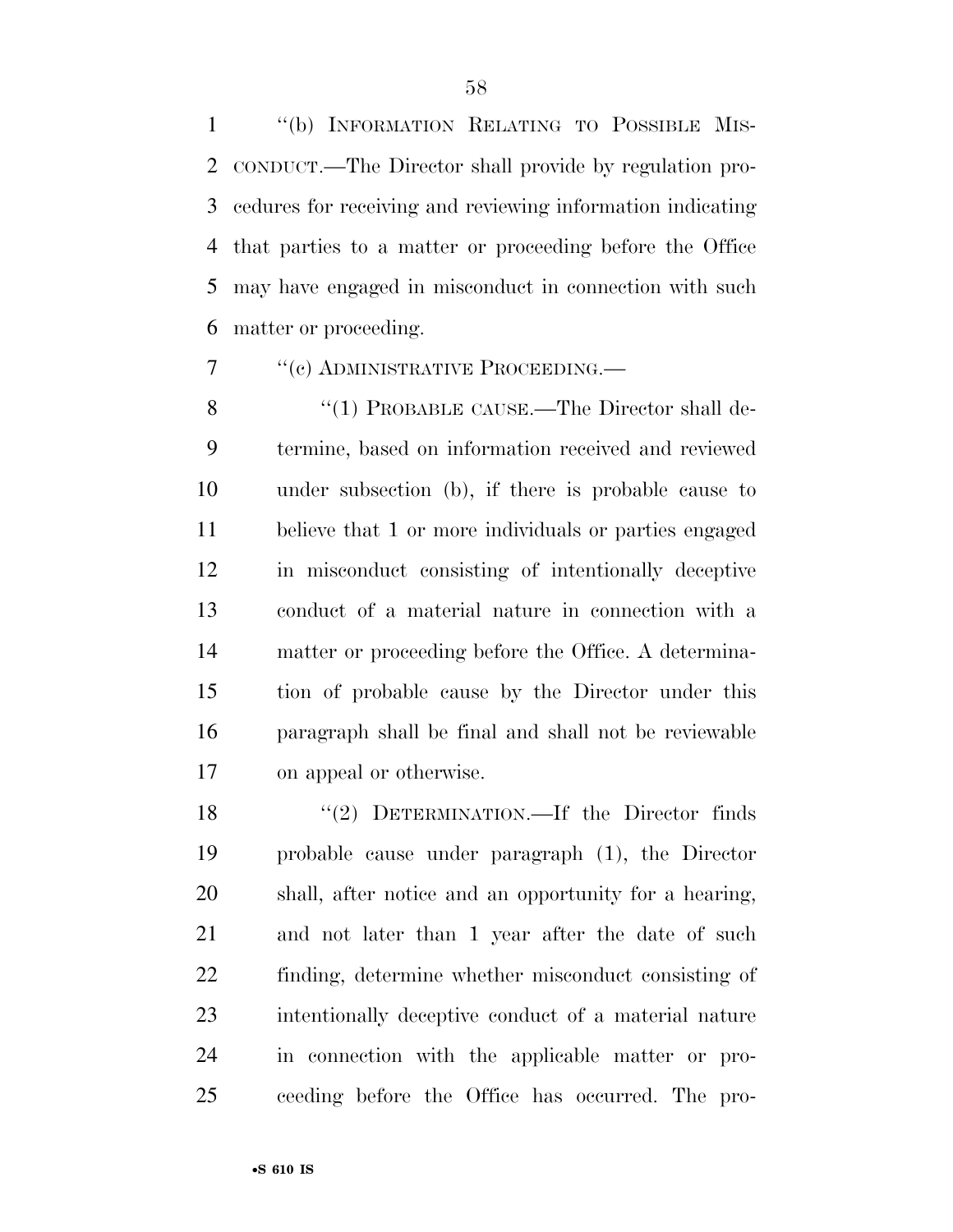''(b) INFORMATION RELATING TO POSSIBLE MIS- CONDUCT.—The Director shall provide by regulation pro- cedures for receiving and reviewing information indicating that parties to a matter or proceeding before the Office may have engaged in misconduct in connection with such matter or proceeding.

7 <sup>''</sup>(c) ADMINISTRATIVE PROCEEDING.

8 "(1) PROBABLE CAUSE.—The Director shall de- termine, based on information received and reviewed under subsection (b), if there is probable cause to believe that 1 or more individuals or parties engaged in misconduct consisting of intentionally deceptive conduct of a material nature in connection with a matter or proceeding before the Office. A determina- tion of probable cause by the Director under this paragraph shall be final and shall not be reviewable on appeal or otherwise.

18 "(2) DETERMINATION.—If the Director finds probable cause under paragraph (1), the Director shall, after notice and an opportunity for a hearing, and not later than 1 year after the date of such finding, determine whether misconduct consisting of intentionally deceptive conduct of a material nature in connection with the applicable matter or pro-ceeding before the Office has occurred. The pro-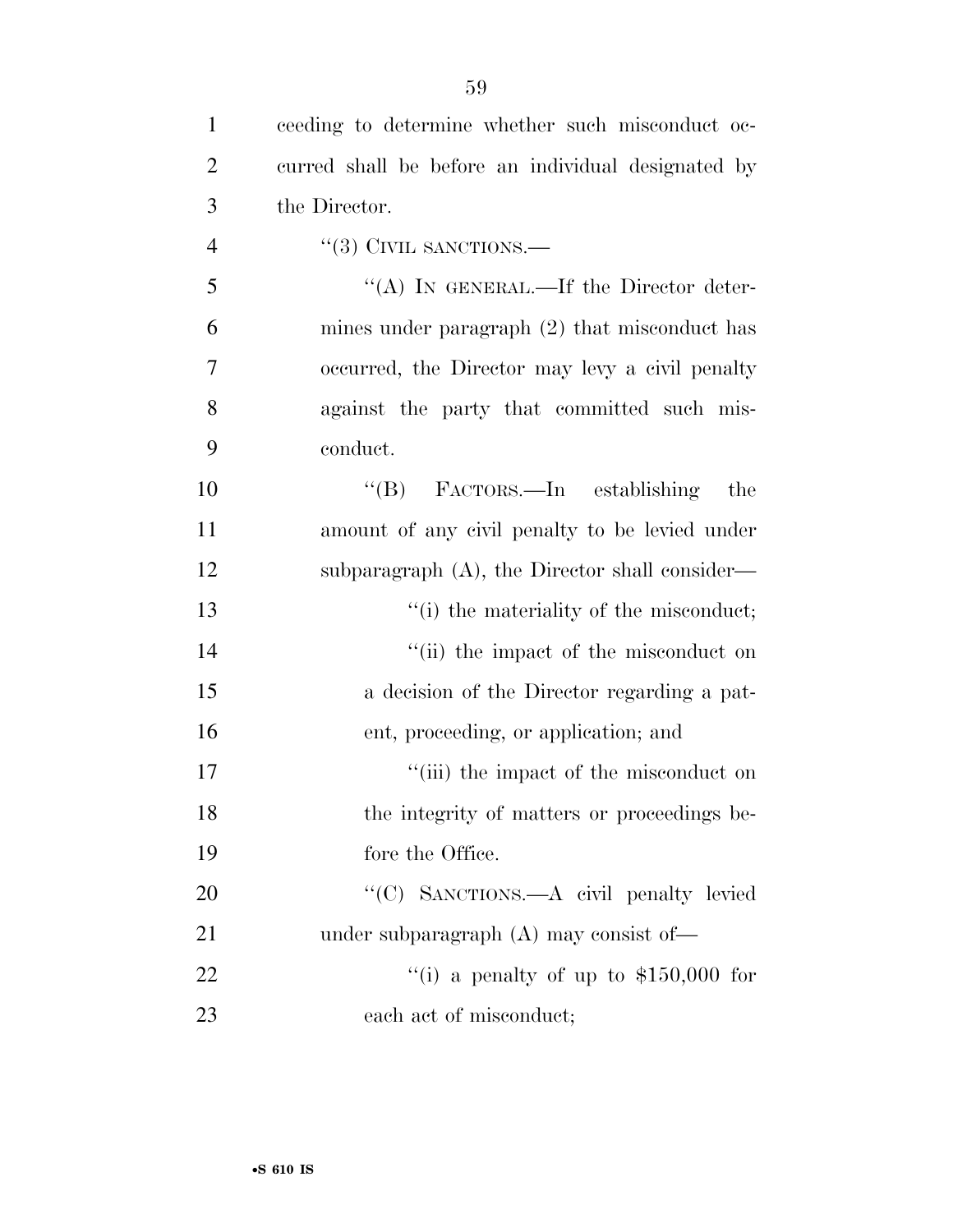| $\mathbf{1}$   | ceeding to determine whether such misconduct oc-   |
|----------------|----------------------------------------------------|
| 2              | curred shall be before an individual designated by |
| 3              | the Director.                                      |
| $\overline{4}$ | $``(3)$ CIVIL SANCTIONS.—                          |
| 5              | "(A) IN GENERAL.—If the Director deter-            |
| 6              | mines under paragraph $(2)$ that misconduct has    |
| 7              | occurred, the Director may levy a civil penalty    |
| 8              | against the party that committed such mis-         |
| 9              | conduct.                                           |
| 10             | "(B) FACTORS.—In establishing<br>the               |
| 11             | amount of any civil penalty to be levied under     |
| 12             | subparagraph $(A)$ , the Director shall consider—  |
| 13             | "(i) the materiality of the misconduct;            |
| 14             | "(ii) the impact of the misconduct on              |
| 15             | a decision of the Director regarding a pat-        |
| 16             | ent, proceeding, or application; and               |
| 17             | "(iii) the impact of the misconduct on             |
| 18             | the integrity of matters or proceedings be-        |
| 19             | fore the Office.                                   |
| 20             | "(C) SANCTIONS.—A civil penalty levied             |
| 21             | under subparagraph $(A)$ may consist of —          |
| 22             | "(i) a penalty of up to $$150,000$ for             |
| 23             | each act of misconduct;                            |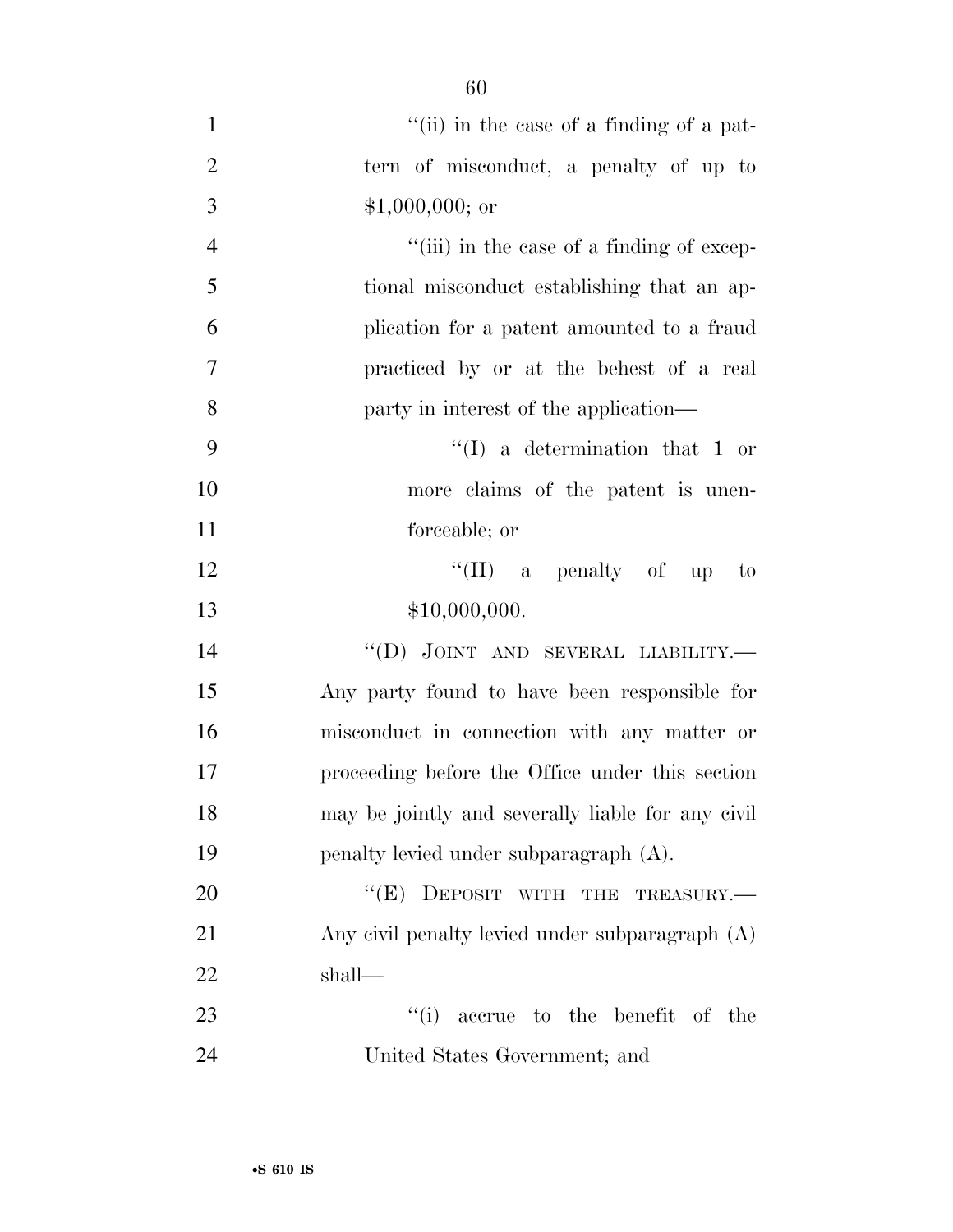| $\mathbf{1}$   | "(ii) in the case of a finding of a pat-          |
|----------------|---------------------------------------------------|
| $\overline{2}$ | tern of misconduct, a penalty of up to            |
| 3              | $$1,000,000;$ or                                  |
| $\overline{4}$ | "(iii) in the case of a finding of excep-         |
| 5              | tional misconduct establishing that an ap-        |
| 6              | plication for a patent amounted to a fraud        |
| $\overline{7}$ | practiced by or at the behest of a real           |
| 8              | party in interest of the application—             |
| 9              | $\lq (I)$ a determination that 1 or               |
| 10             | more claims of the patent is unen-                |
| 11             | forceable; or                                     |
| 12             | "(II) a penalty of up<br>$\sim$ to                |
| 13             | \$10,000,000.                                     |
| 14             | "(D) JOINT AND SEVERAL LIABILITY.—                |
| 15             | Any party found to have been responsible for      |
| 16             | misconduct in connection with any matter or       |
| 17             | proceeding before the Office under this section   |
| 18             | may be jointly and severally liable for any civil |
| 19             | penalty levied under subparagraph (A).            |
| 20             | "(E) DEPOSIT WITH THE TREASURY.-                  |
| 21             | Any civil penalty levied under subparagraph (A)   |
| 22             | shall—                                            |
| 23             | ``(i)<br>accrue to the benefit of the             |
| 24             | United States Government; and                     |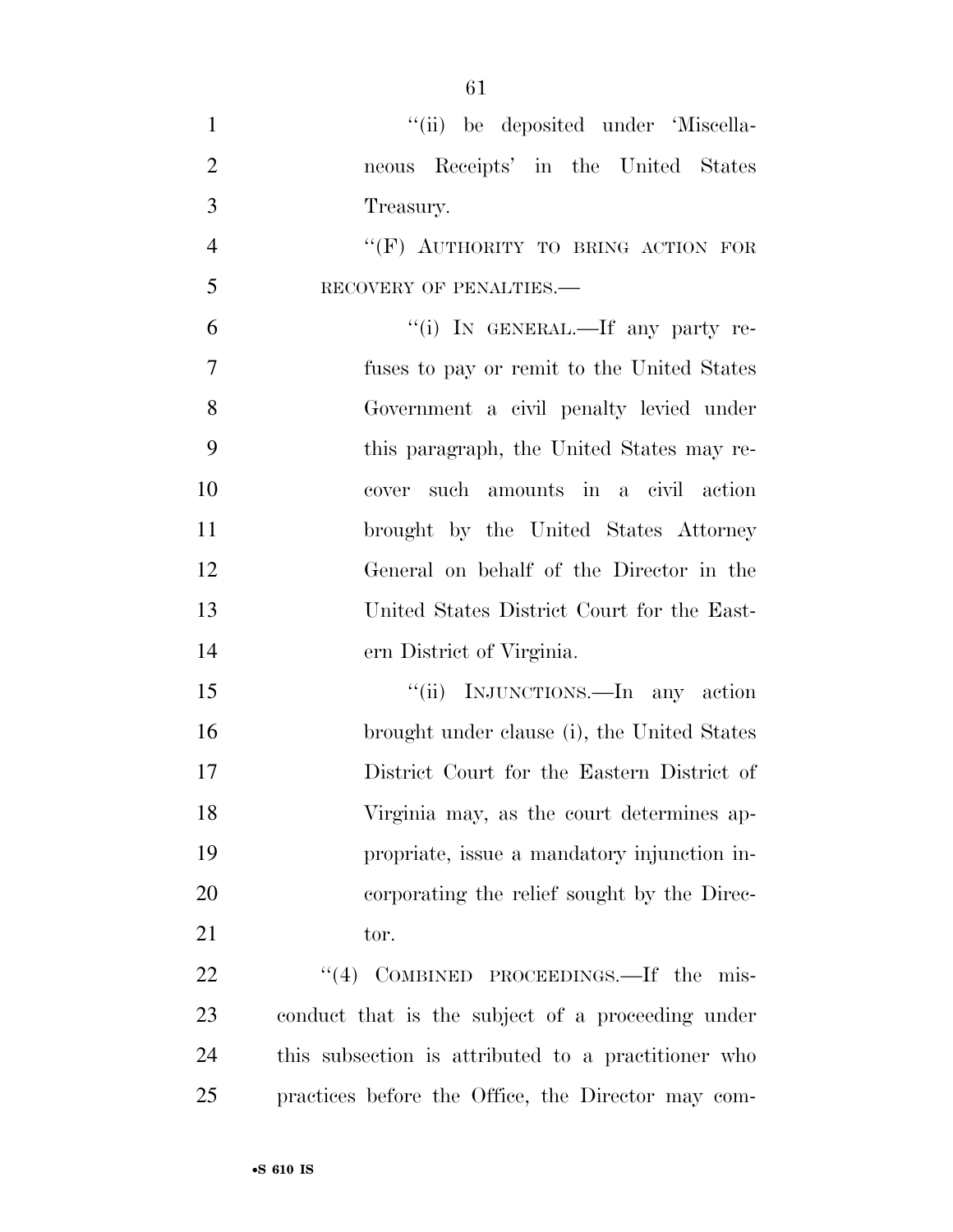$"(*ii*)$  be deposited under 'Miscella- neous Receipts' in the United States Treasury. 4 "(F) AUTHORITY TO BRING ACTION FOR 5 RECOVERY OF PENALTIES.— 6 "(i) IN GENERAL.—If any party re- fuses to pay or remit to the United States Government a civil penalty levied under this paragraph, the United States may re- cover such amounts in a civil action brought by the United States Attorney General on behalf of the Director in the United States District Court for the East- ern District of Virginia. 15 "(ii) INJUNCTIONS.—In any action brought under clause (i), the United States District Court for the Eastern District of Virginia may, as the court determines ap- propriate, issue a mandatory injunction in- corporating the relief sought by the Direc-21 tor.

22 "(4) COMBINED PROCEEDINGS.—If the mis- conduct that is the subject of a proceeding under this subsection is attributed to a practitioner who practices before the Office, the Director may com-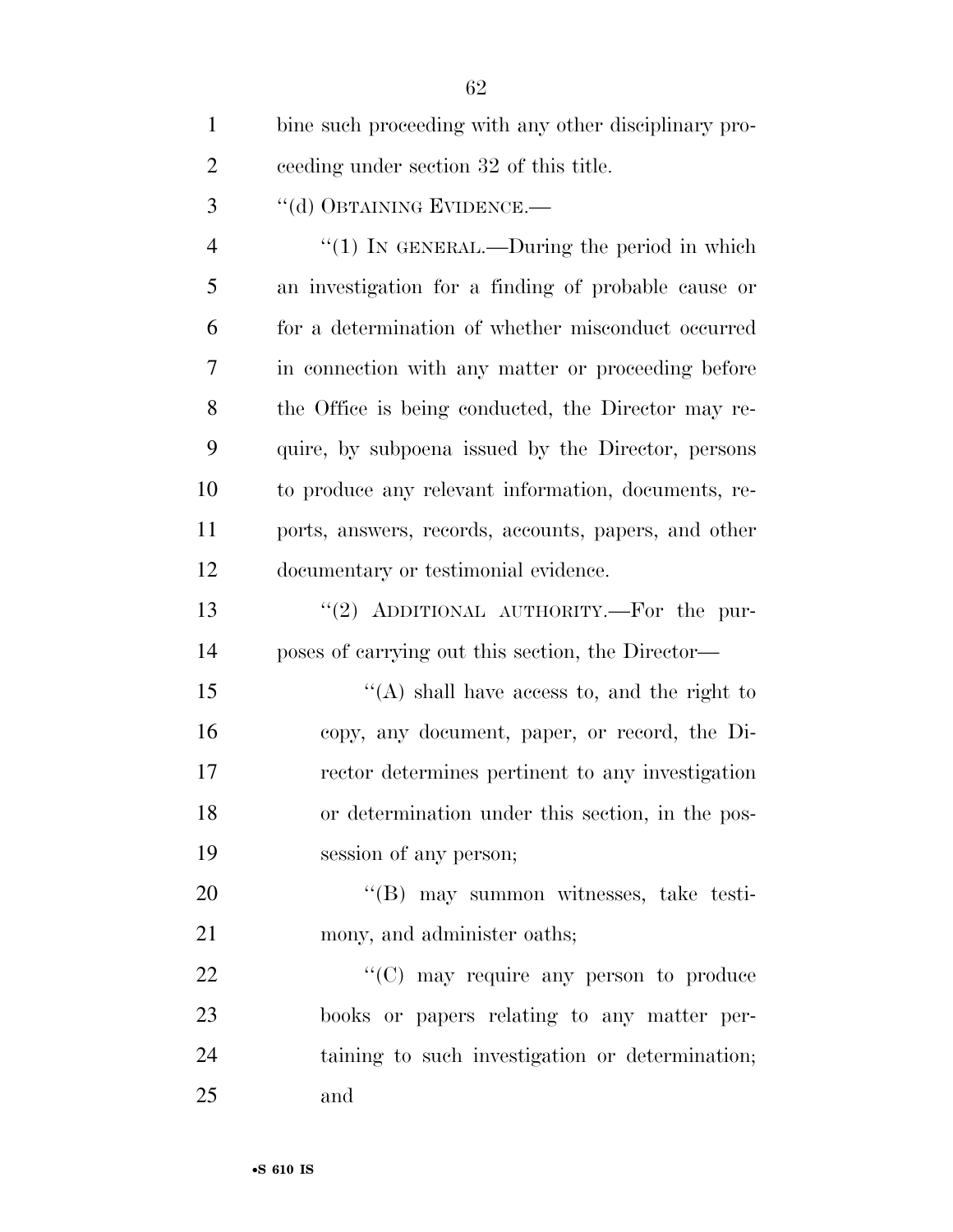| $\mathbf{1}$   | bine such proceeding with any other disciplinary pro- |
|----------------|-------------------------------------------------------|
| $\overline{2}$ | ceeding under section 32 of this title.               |
| 3              | "(d) OBTAINING EVIDENCE.-                             |
| $\overline{4}$ | " $(1)$ IN GENERAL.—During the period in which        |
| 5              | an investigation for a finding of probable cause or   |
| 6              | for a determination of whether misconduct occurred    |
| 7              | in connection with any matter or proceeding before    |
| 8              | the Office is being conducted, the Director may re-   |
| 9              | quire, by subpoena issued by the Director, persons    |
| 10             | to produce any relevant information, documents, re-   |
| 11             | ports, answers, records, accounts, papers, and other  |
| 12             | documentary or testimonial evidence.                  |
| 13             | "(2) ADDITIONAL AUTHORITY.—For the pur-               |
| 14             | poses of carrying out this section, the Director—     |
| 15             | "(A) shall have access to, and the right to           |
| 16             | copy, any document, paper, or record, the Di-         |
| 17             | rector determines pertinent to any investigation      |
| 18             | or determination under this section, in the pos-      |
| 19             | session of any person;                                |
| 20             | "(B) may summon witnesses, take testi-                |
| 21             | mony, and administer oaths;                           |
| 22             | $\lq\lq$ (C) may require any person to produce        |
| 23             | books or papers relating to any matter per-           |
| 24             | taining to such investigation or determination;       |
| 25             | and                                                   |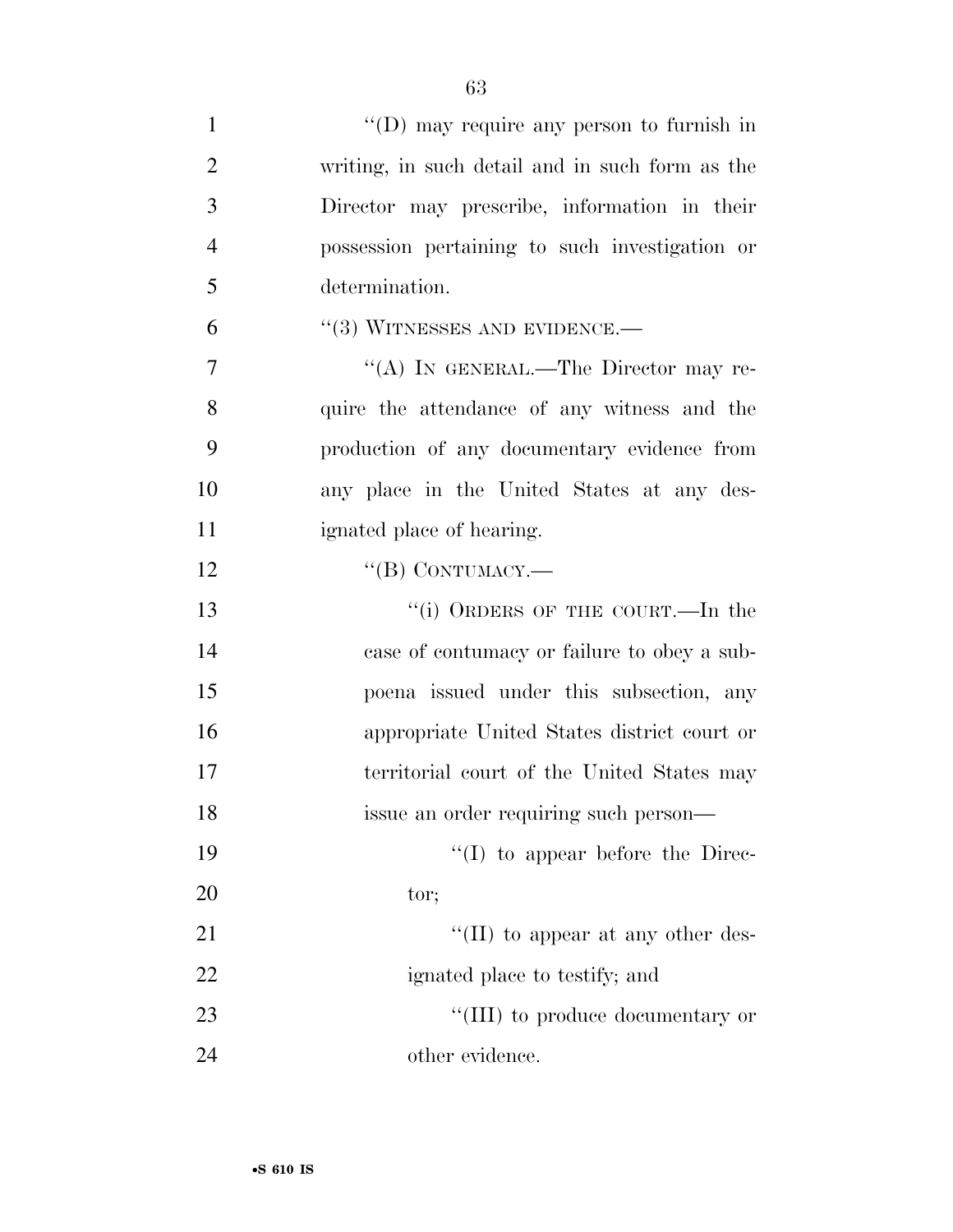| $\mathbf{1}$   | $\lq\lq$ (D) may require any person to furnish in |
|----------------|---------------------------------------------------|
| $\overline{2}$ | writing, in such detail and in such form as the   |
| 3              | Director may prescribe, information in their      |
| $\overline{4}$ | possession pertaining to such investigation or    |
| 5              | determination.                                    |
| 6              | $``(3)$ WITNESSES AND EVIDENCE.—                  |
| $\overline{7}$ | "(A) IN GENERAL.—The Director may re-             |
| 8              | quire the attendance of any witness and the       |
| 9              | production of any documentary evidence from       |
| 10             | any place in the United States at any des-        |
| 11             | ignated place of hearing.                         |
| 12             | $``$ (B) CONTUMACY.—                              |
| 13             | "(i) ORDERS OF THE COURT.—In the                  |
| 14             | case of contumacy or failure to obey a sub-       |
| 15             | poena issued under this subsection, any           |
| 16             | appropriate United States district court or       |
| 17             | territorial court of the United States may        |
| 18             | issue an order requiring such person-             |
| 19             | $\lq\lq$ to appear before the Direc-              |
| 20             | tor;                                              |
| 21             | $\lq\lq$ (II) to appear at any other des-         |
| 22             | ignated place to testify; and                     |
| 23             | "(III) to produce documentary or                  |
| 24             | other evidence.                                   |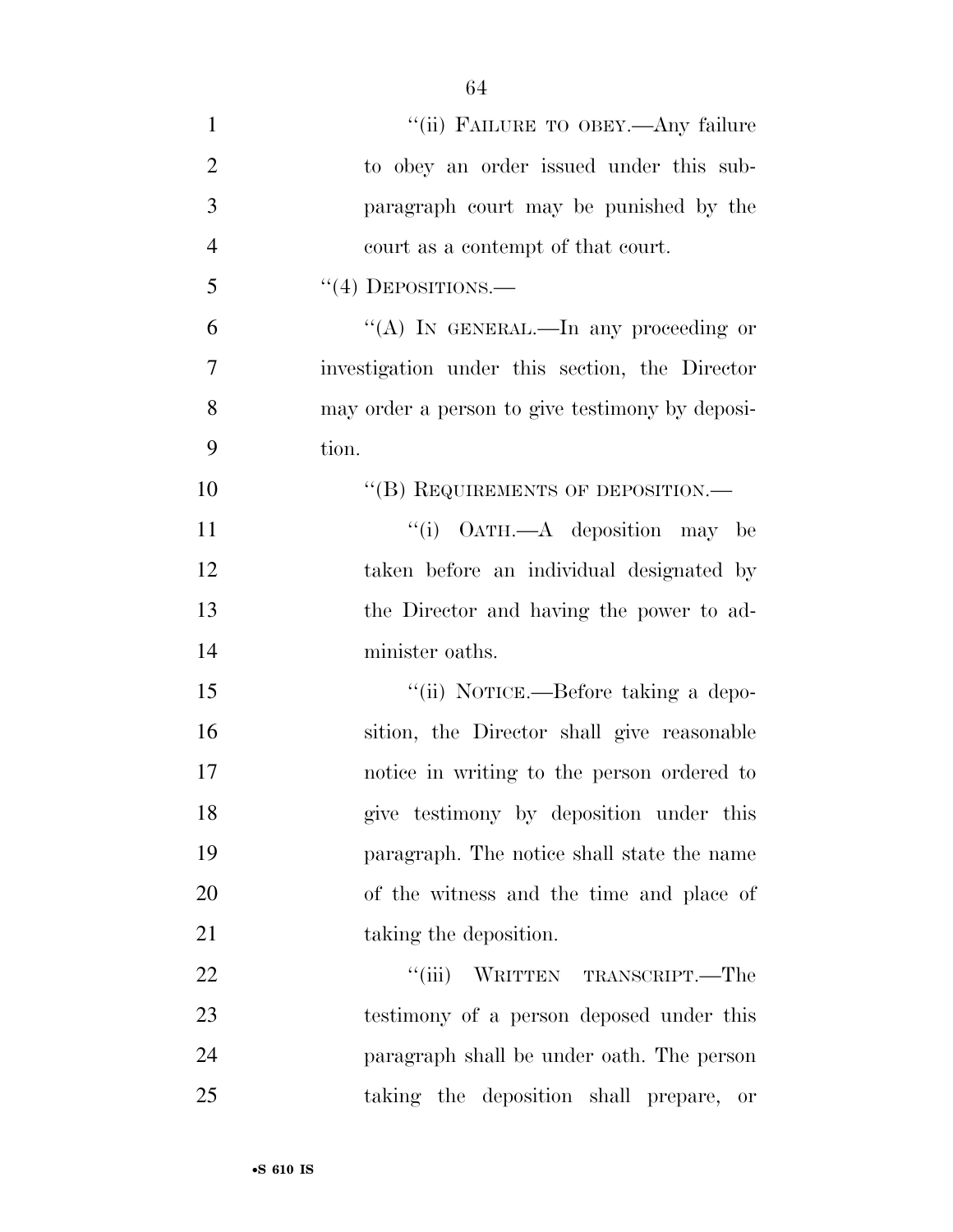- 1 "(ii) FAILURE TO OBEY.—Any failure to obey an order issued under this sub- paragraph court may be punished by the court as a contempt of that court. "(4) DEPOSITIONS.— ''(A) IN GENERAL.—In any proceeding or investigation under this section, the Director may order a person to give testimony by deposi- tion. 10 "(B) REQUIREMENTS OF DEPOSITION.— 11 ''(i) OATH.—A deposition may be taken before an individual designated by the Director and having the power to ad- minister oaths. 15  $\frac{1}{10}$  NOTICE.—Before taking a depo- sition, the Director shall give reasonable notice in writing to the person ordered to give testimony by deposition under this paragraph. The notice shall state the name of the witness and the time and place of 21 taking the deposition. 22  $\text{``(iii)}$  WRITTEN TRANSCRIPT.—The testimony of a person deposed under this paragraph shall be under oath. The person
- taking the deposition shall prepare, or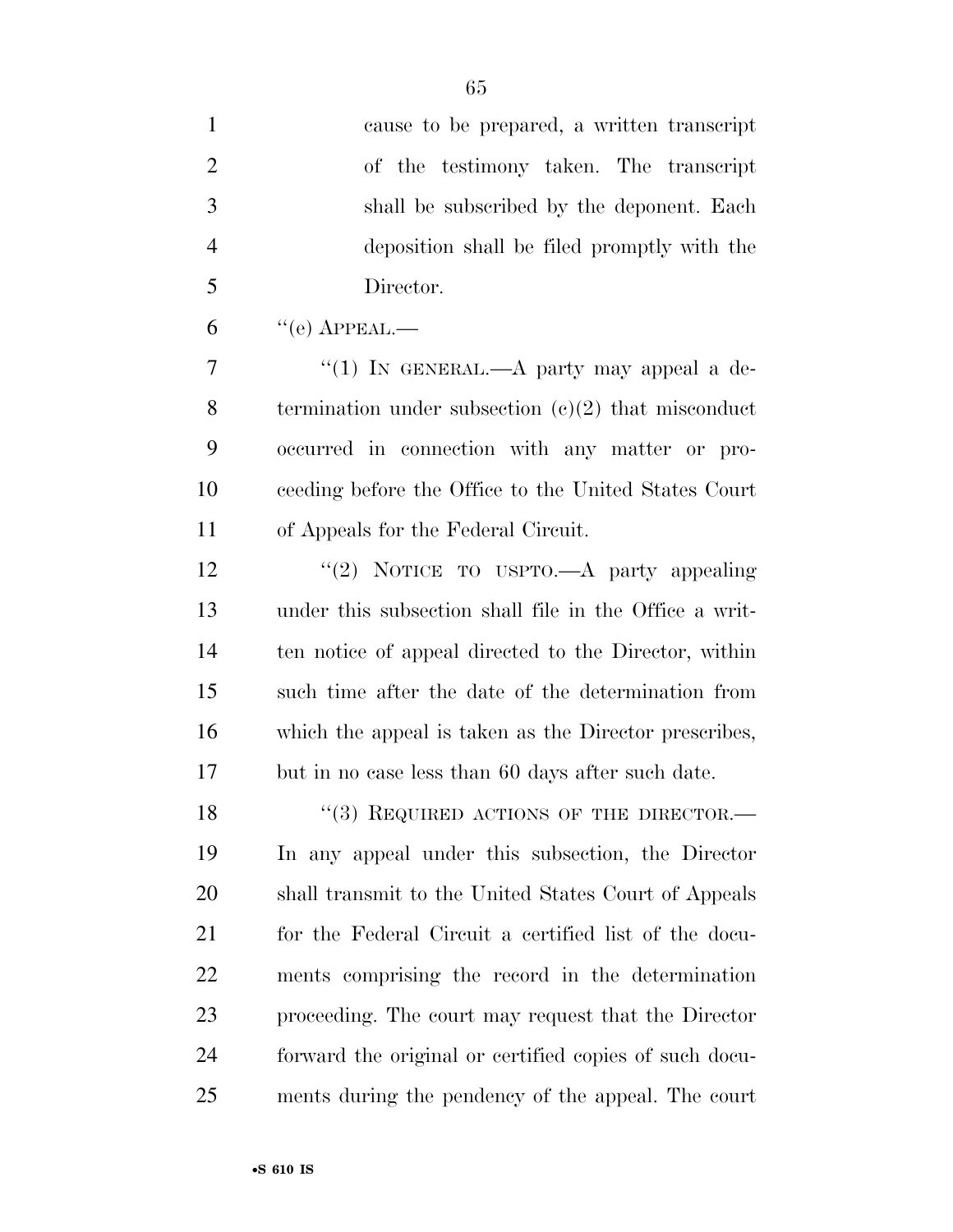| $\mathbf{1}$   | cause to be prepared, a written transcript             |
|----------------|--------------------------------------------------------|
| $\overline{2}$ | of the testimony taken. The transcript                 |
| 3              | shall be subscribed by the deponent. Each              |
| $\overline{4}$ | deposition shall be filed promptly with the            |
| 5              | Director.                                              |
| 6              | $``$ (e) APPEAL.—                                      |
| $\overline{7}$ | "(1) IN GENERAL.—A party may appeal a de-              |
| 8              | termination under subsection $(e)(2)$ that misconduct  |
| 9              | occurred in connection with any matter or pro-         |
| 10             | ceeding before the Office to the United States Court   |
| 11             | of Appeals for the Federal Circuit.                    |
| 12             | "(2) NOTICE TO USPTO.—A party appealing                |
| 13             | under this subsection shall file in the Office a writ- |
| 14             | ten notice of appeal directed to the Director, within  |
| 15             | such time after the date of the determination from     |
| 16             | which the appeal is taken as the Director prescribes,  |
| 17             | but in no case less than 60 days after such date.      |
| 18             | $(3)$ REQUIRED ACTIONS OF THE DIRECTOR.—               |
| 19             | In any appeal under this subsection, the Director      |
| 20             | shall transmit to the United States Court of Appeals   |
| 21             | for the Federal Circuit a certified list of the docu-  |
| 22             | ments comprising the record in the determination       |
| 23             | proceeding. The court may request that the Director    |
| 24             | forward the original or certified copies of such docu- |
| 25             | ments during the pendency of the appeal. The court     |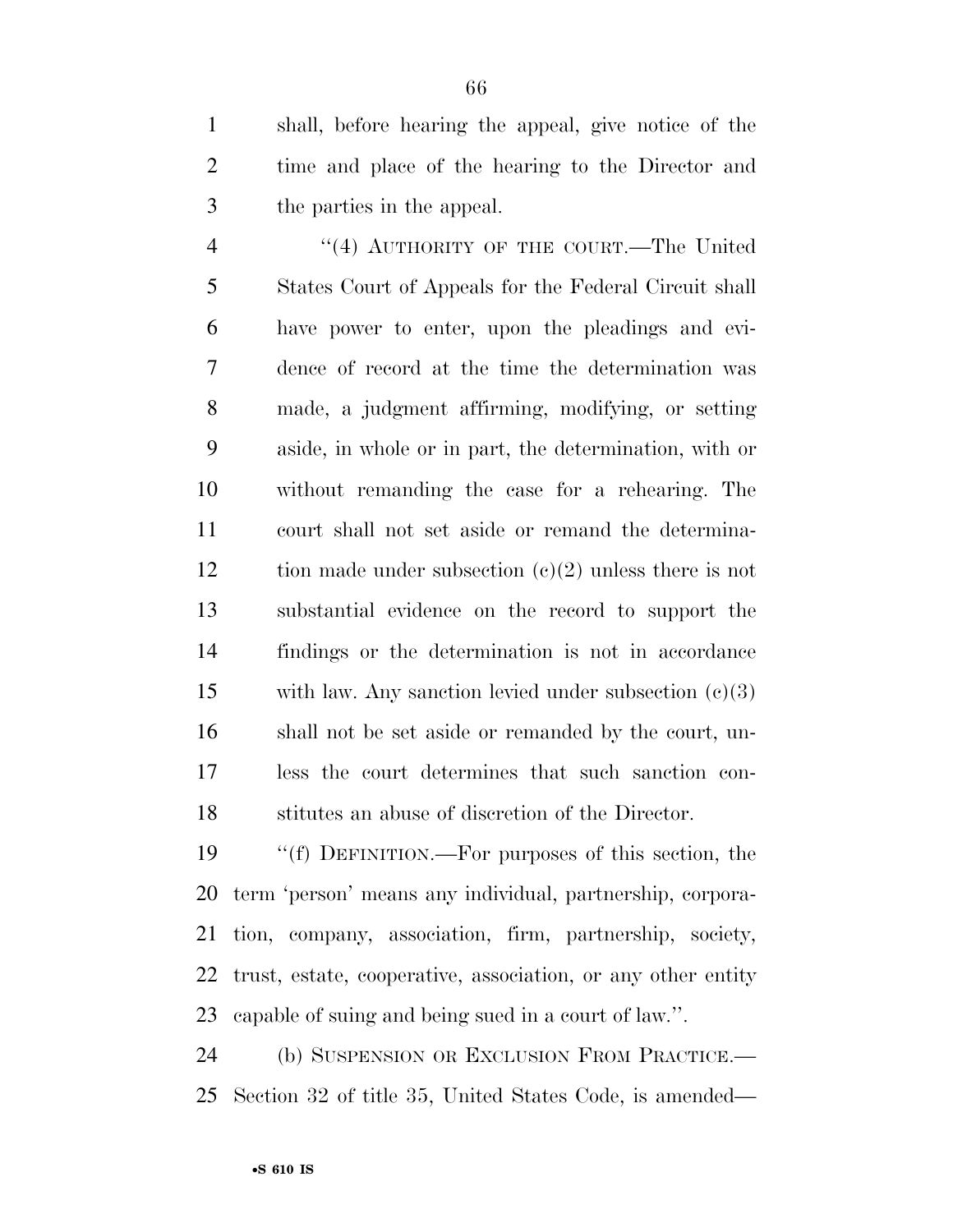shall, before hearing the appeal, give notice of the time and place of the hearing to the Director and the parties in the appeal.

 ''(4) AUTHORITY OF THE COURT.—The United States Court of Appeals for the Federal Circuit shall have power to enter, upon the pleadings and evi- dence of record at the time the determination was made, a judgment affirming, modifying, or setting aside, in whole or in part, the determination, with or without remanding the case for a rehearing. The court shall not set aside or remand the determina-12 tion made under subsection  $(c)(2)$  unless there is not substantial evidence on the record to support the findings or the determination is not in accordance with law. Any sanction levied under subsection (c)(3) shall not be set aside or remanded by the court, un- less the court determines that such sanction con-stitutes an abuse of discretion of the Director.

 ''(f) DEFINITION.—For purposes of this section, the term 'person' means any individual, partnership, corpora- tion, company, association, firm, partnership, society, trust, estate, cooperative, association, or any other entity capable of suing and being sued in a court of law.''.

 (b) SUSPENSION OR EXCLUSION FROM PRACTICE.— Section 32 of title 35, United States Code, is amended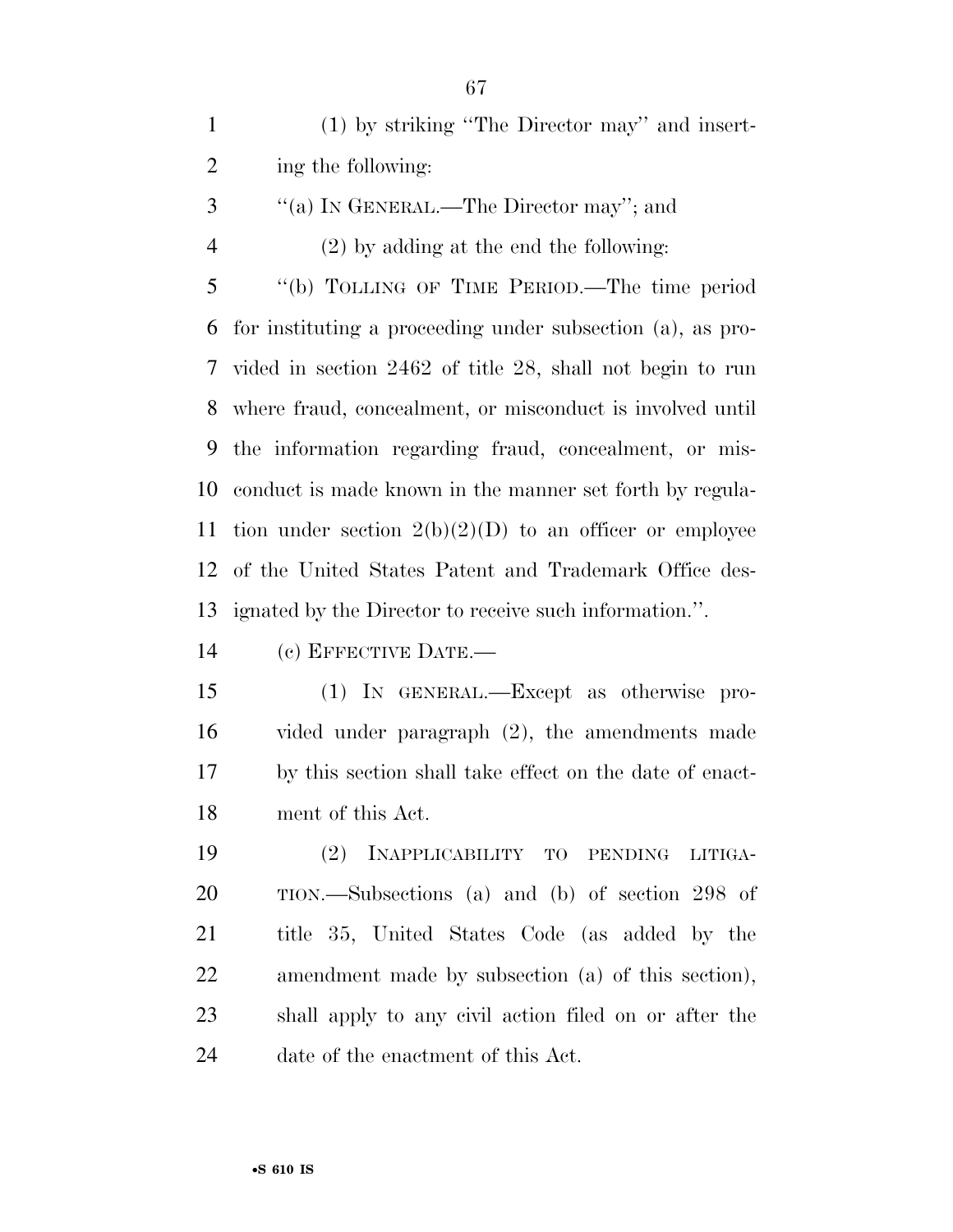(1) by striking ''The Director may'' and insert-ing the following:

- ''(a) IN GENERAL.—The Director may''; and
- (2) by adding at the end the following:

 ''(b) TOLLING OF TIME PERIOD.—The time period for instituting a proceeding under subsection (a), as pro- vided in section 2462 of title 28, shall not begin to run where fraud, concealment, or misconduct is involved until the information regarding fraud, concealment, or mis- conduct is made known in the manner set forth by regula-11 tion under section  $2(b)(2)(D)$  to an officer or employee of the United States Patent and Trademark Office des-ignated by the Director to receive such information.''.

(c) EFFECTIVE DATE.—

 (1) IN GENERAL.—Except as otherwise pro- vided under paragraph (2), the amendments made by this section shall take effect on the date of enact-ment of this Act.

 (2) INAPPLICABILITY TO PENDING LITIGA- TION.—Subsections (a) and (b) of section 298 of title 35, United States Code (as added by the amendment made by subsection (a) of this section), shall apply to any civil action filed on or after the date of the enactment of this Act.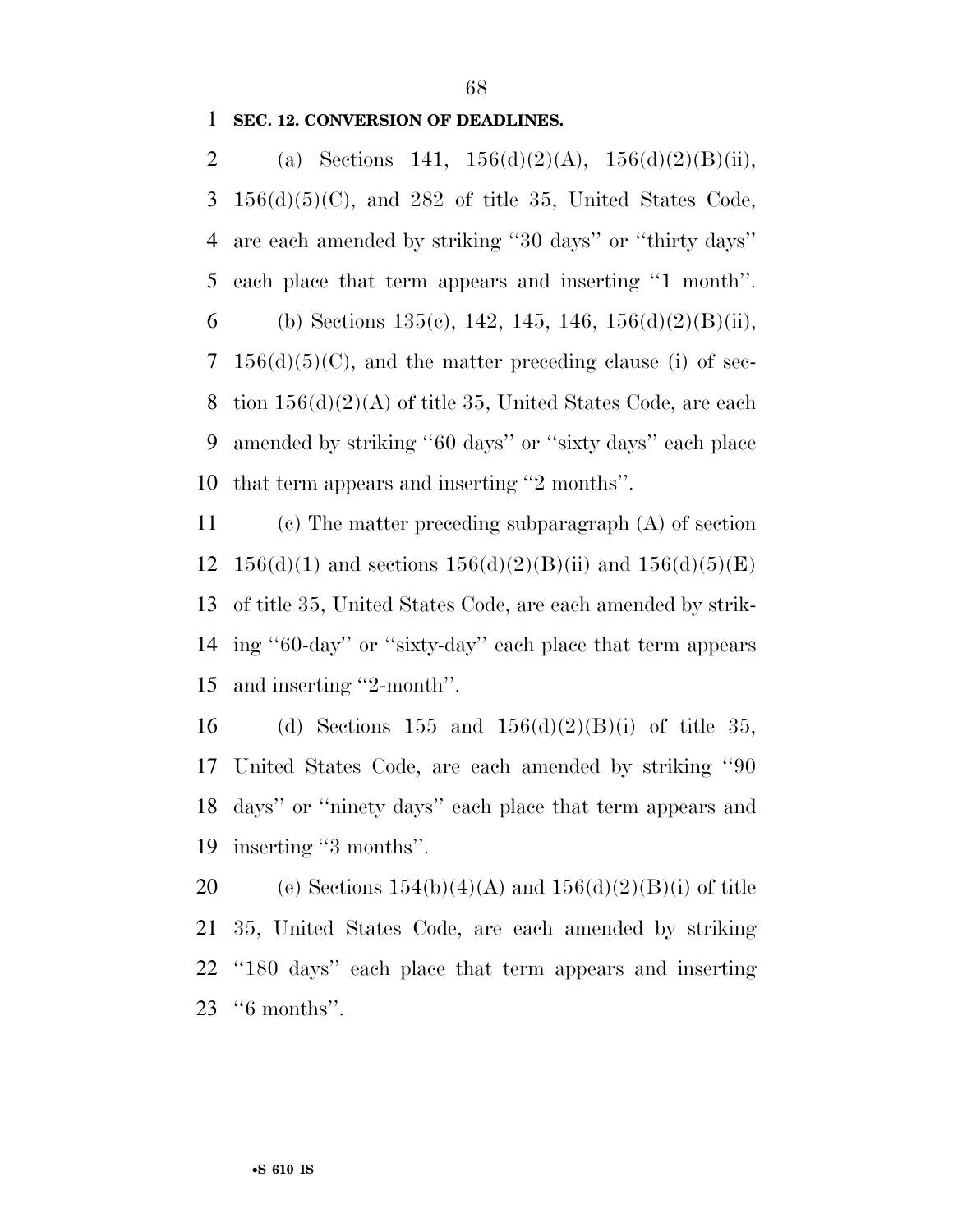## **SEC. 12. CONVERSION OF DEADLINES.**

2 (a) Sections 141,  $156(d)(2)(A)$ ,  $156(d)(2)(B)(ii)$ ,  $3\quad156(d)(5)(C)$ , and  $282$  of title 35, United States Code, are each amended by striking ''30 days'' or ''thirty days'' each place that term appears and inserting ''1 month''. 6 (b) Sections 135(c), 142, 145, 146,  $156(d)(2)(B(ii))$ , 7  $156(d)(5)(C)$ , and the matter preceding clause (i) of sec-8 tion  $156(d)(2)(A)$  of title 35, United States Code, are each amended by striking ''60 days'' or ''sixty days'' each place that term appears and inserting ''2 months''.

 (c) The matter preceding subparagraph (A) of section 12 156(d)(1) and sections  $156(d)(2)(B(ii))$  and  $156(d)(5)(E)$  of title 35, United States Code, are each amended by strik- ing ''60-day'' or ''sixty-day'' each place that term appears and inserting ''2-month''.

16 (d) Sections 155 and  $156(d)(2)(B)(i)$  of title 35, United States Code, are each amended by striking ''90 days'' or ''ninety days'' each place that term appears and inserting ''3 months''.

20 (e) Sections  $154(b)(4)(A)$  and  $156(d)(2)(B)(i)$  of title 35, United States Code, are each amended by striking ''180 days'' each place that term appears and inserting ''6 months''.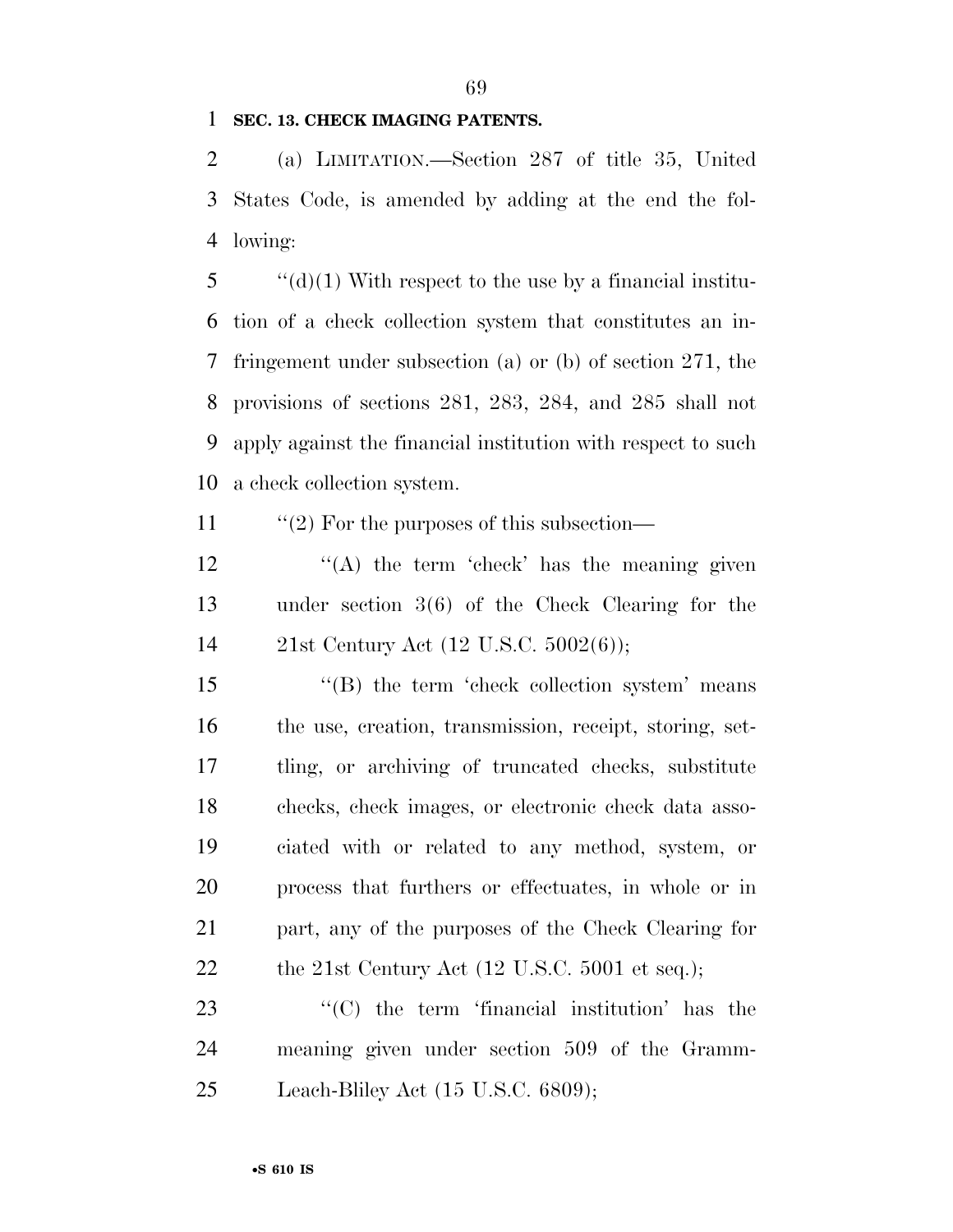# **SEC. 13. CHECK IMAGING PATENTS.**

 (a) LIMITATION.—Section 287 of title 35, United States Code, is amended by adding at the end the fol-lowing:

 ''(d)(1) With respect to the use by a financial institu- tion of a check collection system that constitutes an in- fringement under subsection (a) or (b) of section 271, the provisions of sections 281, 283, 284, and 285 shall not apply against the financial institution with respect to such a check collection system.

11  $\frac{1}{2}$  For the purposes of this subsection—

 ''(A) the term 'check' has the meaning given under section 3(6) of the Check Clearing for the 21st Century Act (12 U.S.C. 5002(6));

15 ''(B) the term 'check collection system' means the use, creation, transmission, receipt, storing, set- tling, or archiving of truncated checks, substitute checks, check images, or electronic check data asso- ciated with or related to any method, system, or process that furthers or effectuates, in whole or in part, any of the purposes of the Check Clearing for 22 the 21st Century Act (12 U.S.C. 5001 et seq.);

23  $\langle ^{\prime}(C) \rangle$  the term 'financial institution' has the meaning given under section 509 of the Gramm-Leach-Bliley Act (15 U.S.C. 6809);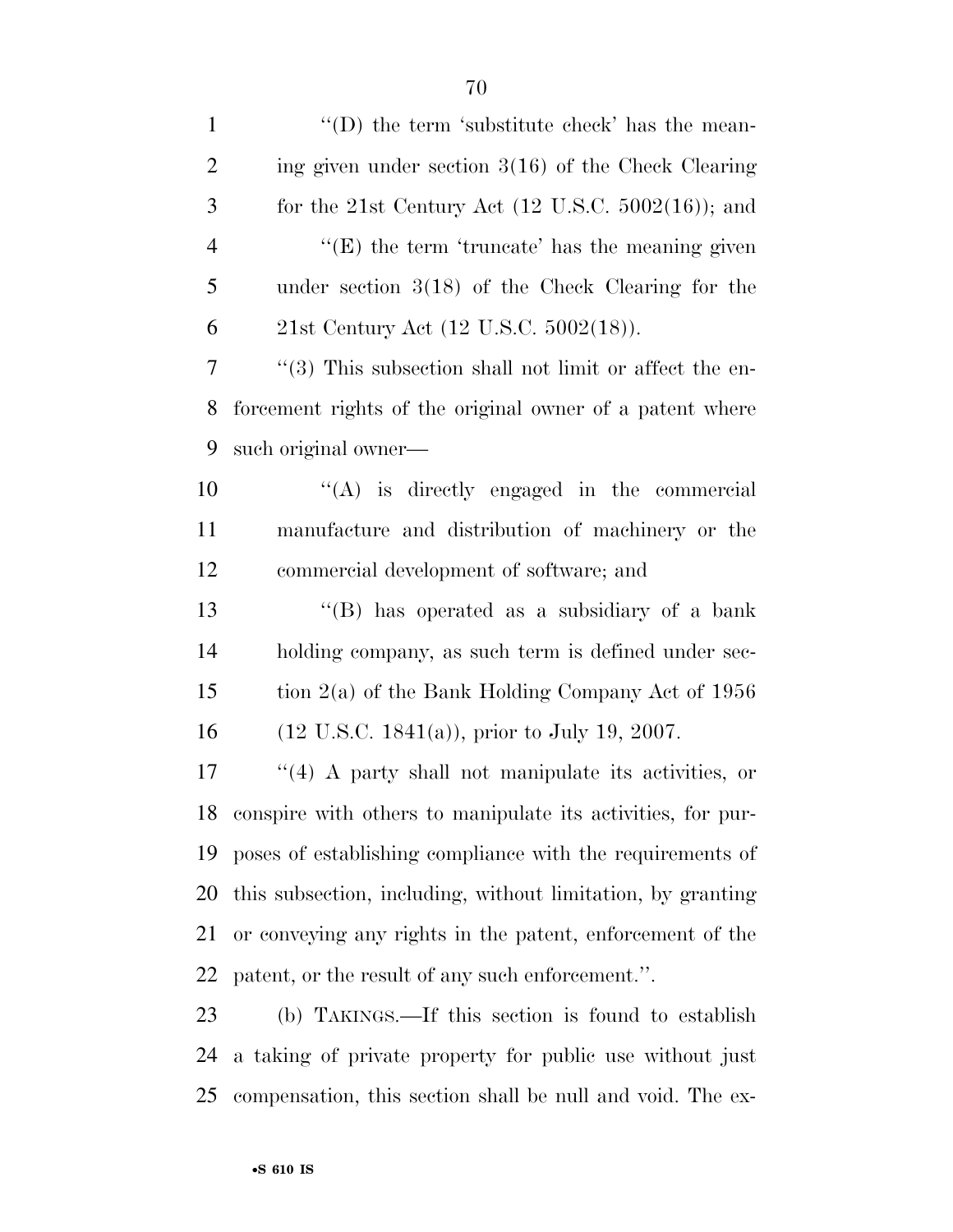1 ''(D) the term 'substitute check' has the mean- ing given under section 3(16) of the Check Clearing for the 21st Century Act (12 U.S.C. 5002(16)); and  $\frac{4}{2}$  ''(E) the term 'truncate' has the meaning given under section 3(18) of the Check Clearing for the 21st Century Act (12 U.S.C. 5002(18)). ''(3) This subsection shall not limit or affect the en- forcement rights of the original owner of a patent where such original owner— ''(A) is directly engaged in the commercial manufacture and distribution of machinery or the commercial development of software; and ''(B) has operated as a subsidiary of a bank holding company, as such term is defined under sec- tion 2(a) of the Bank Holding Company Act of 1956 (12 U.S.C. 1841(a)), prior to July 19, 2007. ''(4) A party shall not manipulate its activities, or conspire with others to manipulate its activities, for pur- poses of establishing compliance with the requirements of this subsection, including, without limitation, by granting or conveying any rights in the patent, enforcement of the patent, or the result of any such enforcement.''. (b) TAKINGS.—If this section is found to establish a taking of private property for public use without just

compensation, this section shall be null and void. The ex-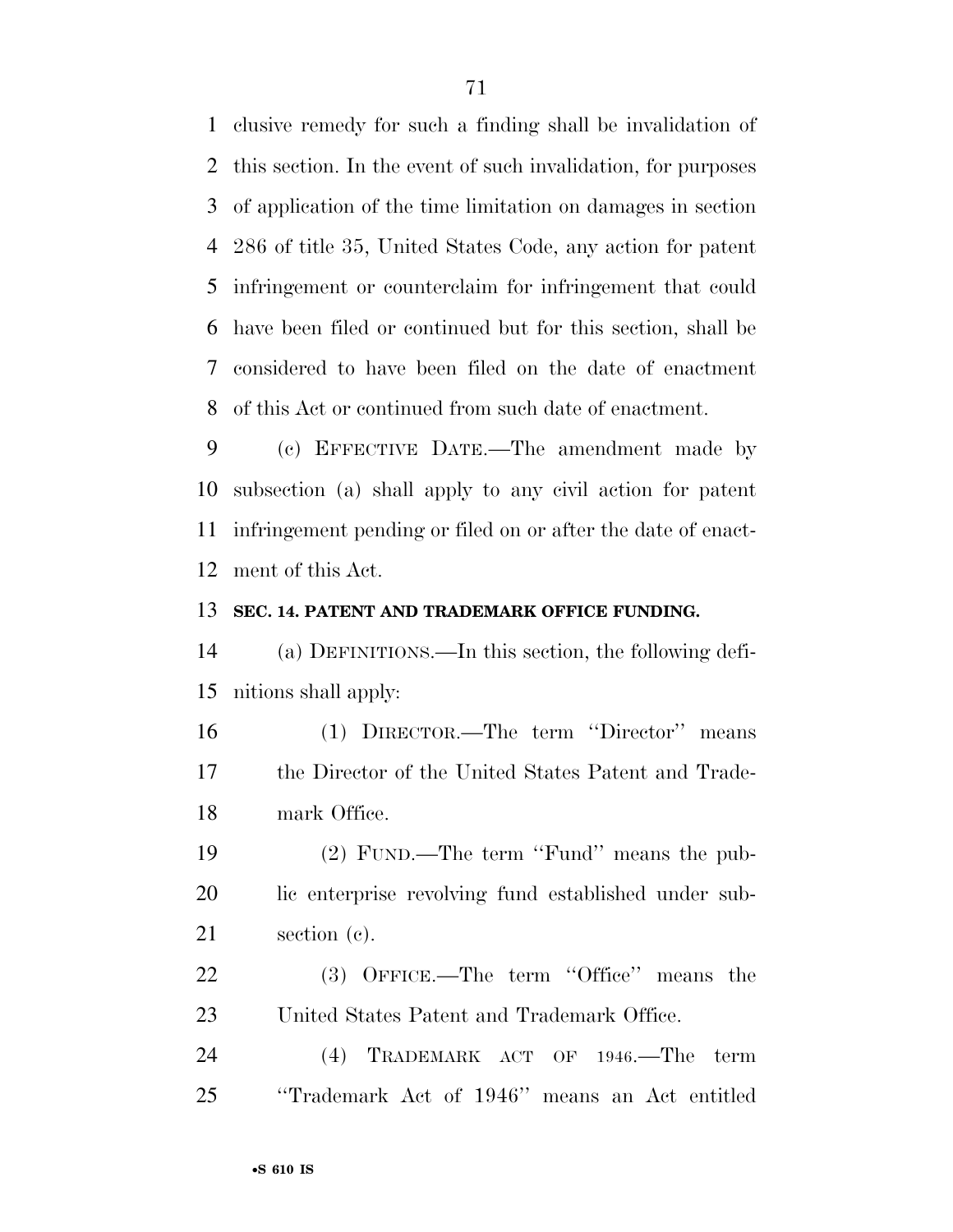clusive remedy for such a finding shall be invalidation of this section. In the event of such invalidation, for purposes of application of the time limitation on damages in section 286 of title 35, United States Code, any action for patent infringement or counterclaim for infringement that could have been filed or continued but for this section, shall be considered to have been filed on the date of enactment of this Act or continued from such date of enactment.

 (c) EFFECTIVE DATE.—The amendment made by subsection (a) shall apply to any civil action for patent infringement pending or filed on or after the date of enact-ment of this Act.

#### **SEC. 14. PATENT AND TRADEMARK OFFICE FUNDING.**

 (a) DEFINITIONS.—In this section, the following defi-nitions shall apply:

 (1) DIRECTOR.—The term ''Director'' means the Director of the United States Patent and Trade-mark Office.

 (2) FUND.—The term ''Fund'' means the pub- lic enterprise revolving fund established under sub-section (c).

22 (3) OFFICE.—The term "Office" means the United States Patent and Trademark Office.

 (4) TRADEMARK ACT OF 1946.—The term ''Trademark Act of 1946'' means an Act entitled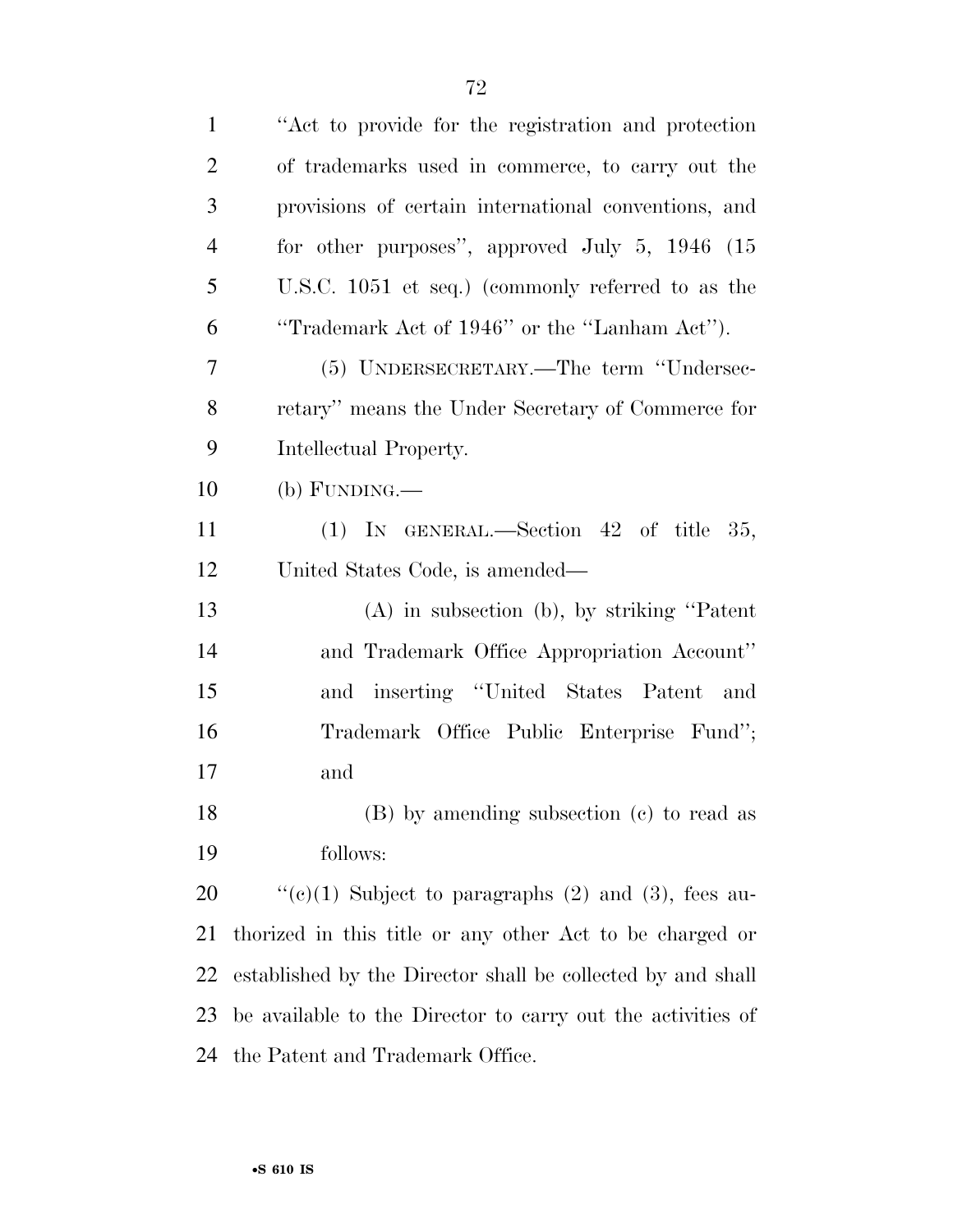| $\mathbf{1}$   | "Act to provide for the registration and protection"        |
|----------------|-------------------------------------------------------------|
| $\overline{2}$ | of trademarks used in commerce, to carry out the            |
| 3              | provisions of certain international conventions, and        |
| $\overline{4}$ | for other purposes", approved July $5, 1946$ (15)           |
| 5              | U.S.C. 1051 et seq.) (commonly referred to as the           |
| 6              | "Trademark Act of 1946" or the "Lanham Act").               |
| 7              | (5) UNDERSECRETARY.—The term "Undersec-                     |
| 8              | retary" means the Under Secretary of Commerce for           |
| 9              | Intellectual Property.                                      |
| 10             | $(b)$ FUNDING.—                                             |
| 11             | (1) IN GENERAL.—Section 42 of title 35,                     |
| 12             | United States Code, is amended—                             |
| 13             | $(A)$ in subsection $(b)$ , by striking "Patent"            |
| 14             | and Trademark Office Appropriation Account"                 |
| 15             | and inserting "United States Patent and                     |
| 16             | Trademark Office Public Enterprise Fund";                   |
| 17             | and                                                         |
| 18             | (B) by amending subsection (c) to read as                   |
| 19             | follows:                                                    |
| 20             | "(c)(1) Subject to paragraphs (2) and (3), fees au-         |
| 21             | thorized in this title or any other Act to be charged or    |
| 22             | established by the Director shall be collected by and shall |
| 23             | be available to the Director to carry out the activities of |
| 24             | the Patent and Trademark Office.                            |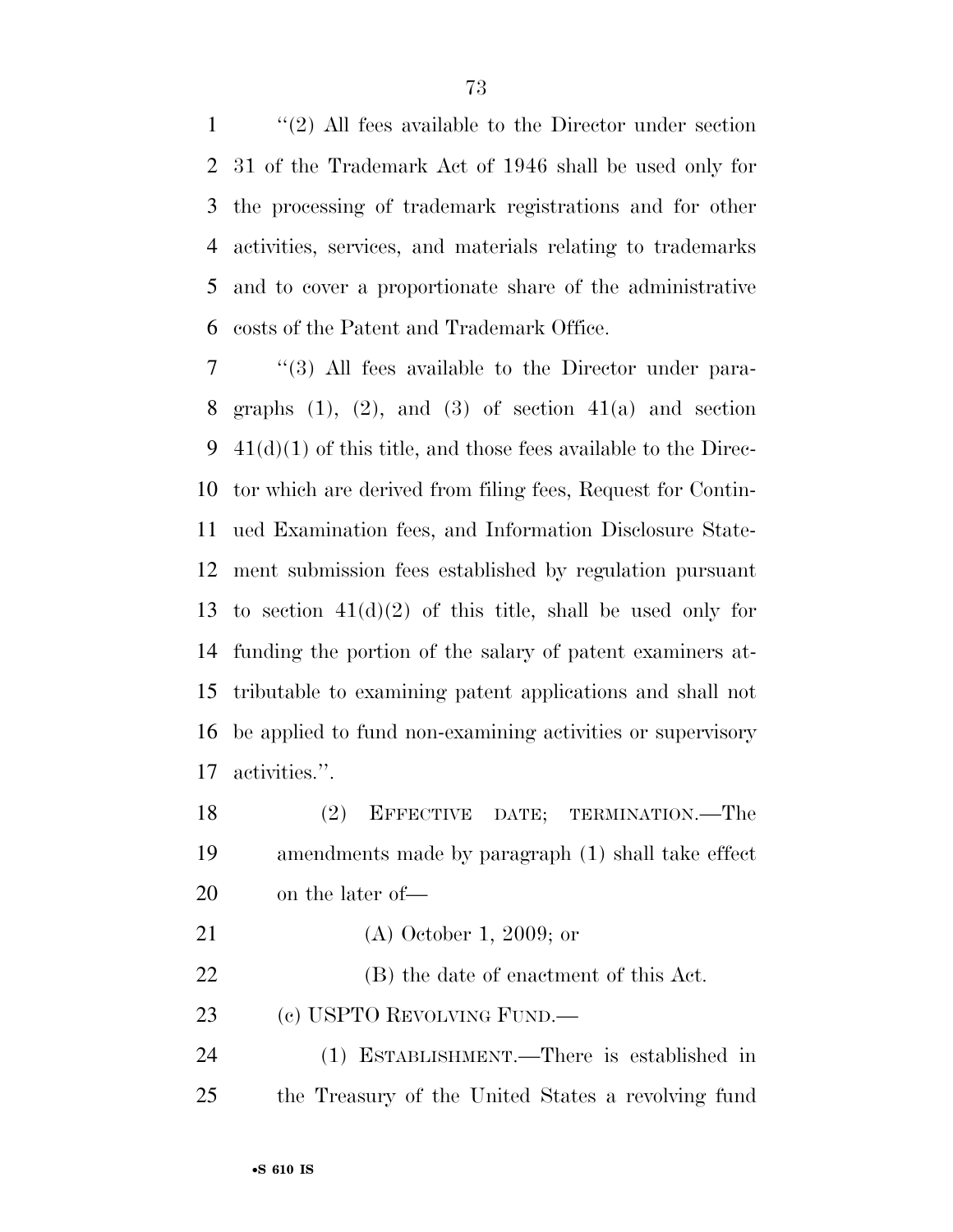''(2) All fees available to the Director under section 31 of the Trademark Act of 1946 shall be used only for the processing of trademark registrations and for other activities, services, and materials relating to trademarks and to cover a proportionate share of the administrative costs of the Patent and Trademark Office.

 ''(3) All fees available to the Director under para-8 graphs  $(1)$ ,  $(2)$ , and  $(3)$  of section  $41(a)$  and section  $41(d)(1)$  of this title, and those fees available to the Direc- tor which are derived from filing fees, Request for Contin- ued Examination fees, and Information Disclosure State- ment submission fees established by regulation pursuant 13 to section  $41(d)(2)$  of this title, shall be used only for funding the portion of the salary of patent examiners at- tributable to examining patent applications and shall not be applied to fund non-examining activities or supervisory activities.''.

| 18 | (2) EFFECTIVE DATE; TERMINATION.—The               |
|----|----------------------------------------------------|
| 19 | amendments made by paragraph (1) shall take effect |
| 20 | on the later of—                                   |

- (A) October 1, 2009; or
- (B) the date of enactment of this Act.

(c) USPTO REVOLVING FUND.—

 (1) ESTABLISHMENT.—There is established in the Treasury of the United States a revolving fund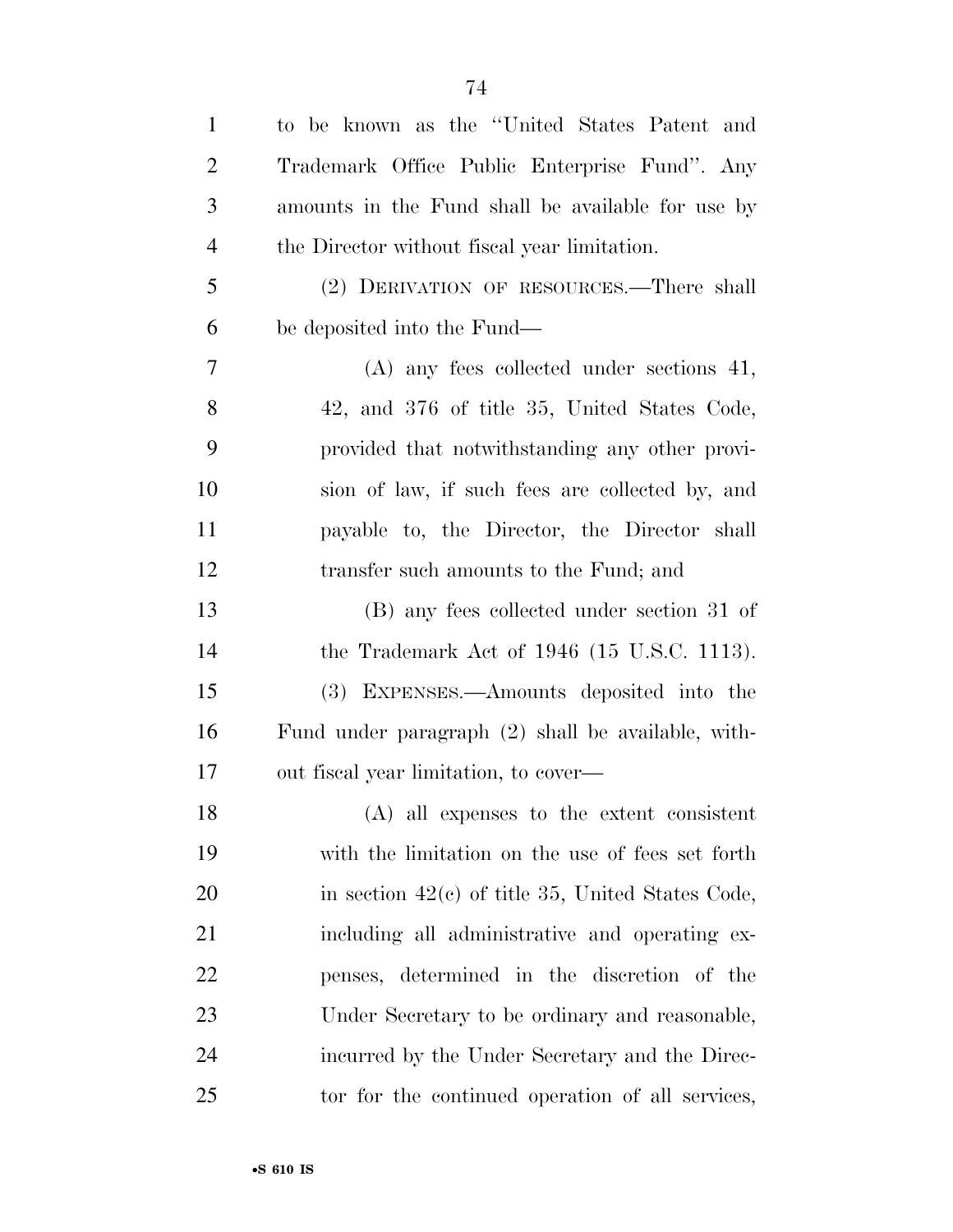| $\mathbf{1}$   | to be known as the "United States Patent and        |
|----------------|-----------------------------------------------------|
| $\overline{2}$ | Trademark Office Public Enterprise Fund". Any       |
| 3              | amounts in the Fund shall be available for use by   |
| $\overline{4}$ | the Director without fiscal year limitation.        |
| 5              | (2) DERIVATION OF RESOURCES.—There shall            |
| 6              | be deposited into the Fund—                         |
| 7              | $(A)$ any fees collected under sections 41,         |
| 8              | 42, and 376 of title 35, United States Code,        |
| 9              | provided that notwithstanding any other provi-      |
| 10             | sion of law, if such fees are collected by, and     |
| 11             | payable to, the Director, the Director shall        |
| 12             | transfer such amounts to the Fund; and              |
| 13             | (B) any fees collected under section 31 of          |
| 14             | the Trademark Act of $1946$ (15 U.S.C. 1113).       |
| 15             | (3) EXPENSES.—Amounts deposited into the            |
| 16             | Fund under paragraph (2) shall be available, with-  |
| 17             | out fiscal year limitation, to cover—               |
| 18             | $(A)$ all expenses to the extent consistent         |
| 19             | with the limitation on the use of fees set forth    |
| 20             | in section $42(c)$ of title 35, United States Code, |
| 21             | including all administrative and operating ex-      |
| 22             | penses, determined in the discretion of the         |
| 23             | Under Secretary to be ordinary and reasonable,      |
| 24             | incurred by the Under Secretary and the Direc-      |
| 25             | tor for the continued operation of all services,    |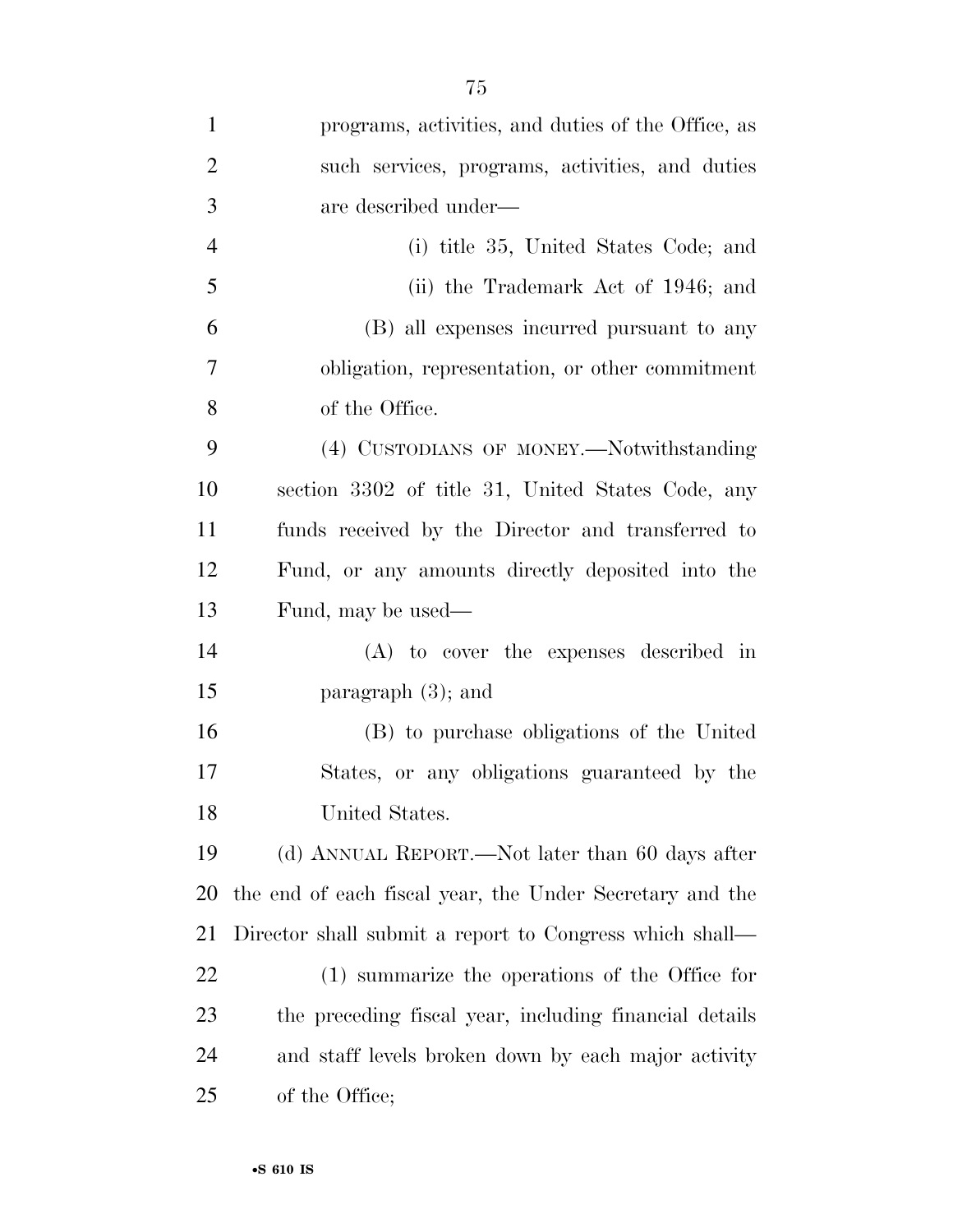| $\mathbf{1}$   | programs, activities, and duties of the Office, as       |
|----------------|----------------------------------------------------------|
| $\overline{2}$ | such services, programs, activities, and duties          |
| 3              | are described under-                                     |
| $\overline{4}$ | (i) title 35, United States Code; and                    |
| $\mathfrak{S}$ | (ii) the Trademark Act of 1946; and                      |
| 6              | (B) all expenses incurred pursuant to any                |
| $\overline{7}$ | obligation, representation, or other commitment          |
| 8              | of the Office.                                           |
| 9              | (4) CUSTODIANS OF MONEY.—Notwithstanding                 |
| 10             | section 3302 of title 31, United States Code, any        |
| 11             | funds received by the Director and transferred to        |
| 12             | Fund, or any amounts directly deposited into the         |
| 13             | Fund, may be used—                                       |
| 14             | (A) to cover the expenses described in                   |
| 15             | paragraph $(3)$ ; and                                    |
| 16             | (B) to purchase obligations of the United                |
| 17             | States, or any obligations guaranteed by the             |
| 18             | United States.                                           |
| 19             | (d) ANNUAL REPORT.—Not later than 60 days after          |
| 20             | the end of each fiscal year, the Under Secretary and the |
| 21             | Director shall submit a report to Congress which shall—  |
| 22             | (1) summarize the operations of the Office for           |
| 23             | the preceding fiscal year, including financial details   |
| 24             | and staff levels broken down by each major activity      |
| 25             | of the Office;                                           |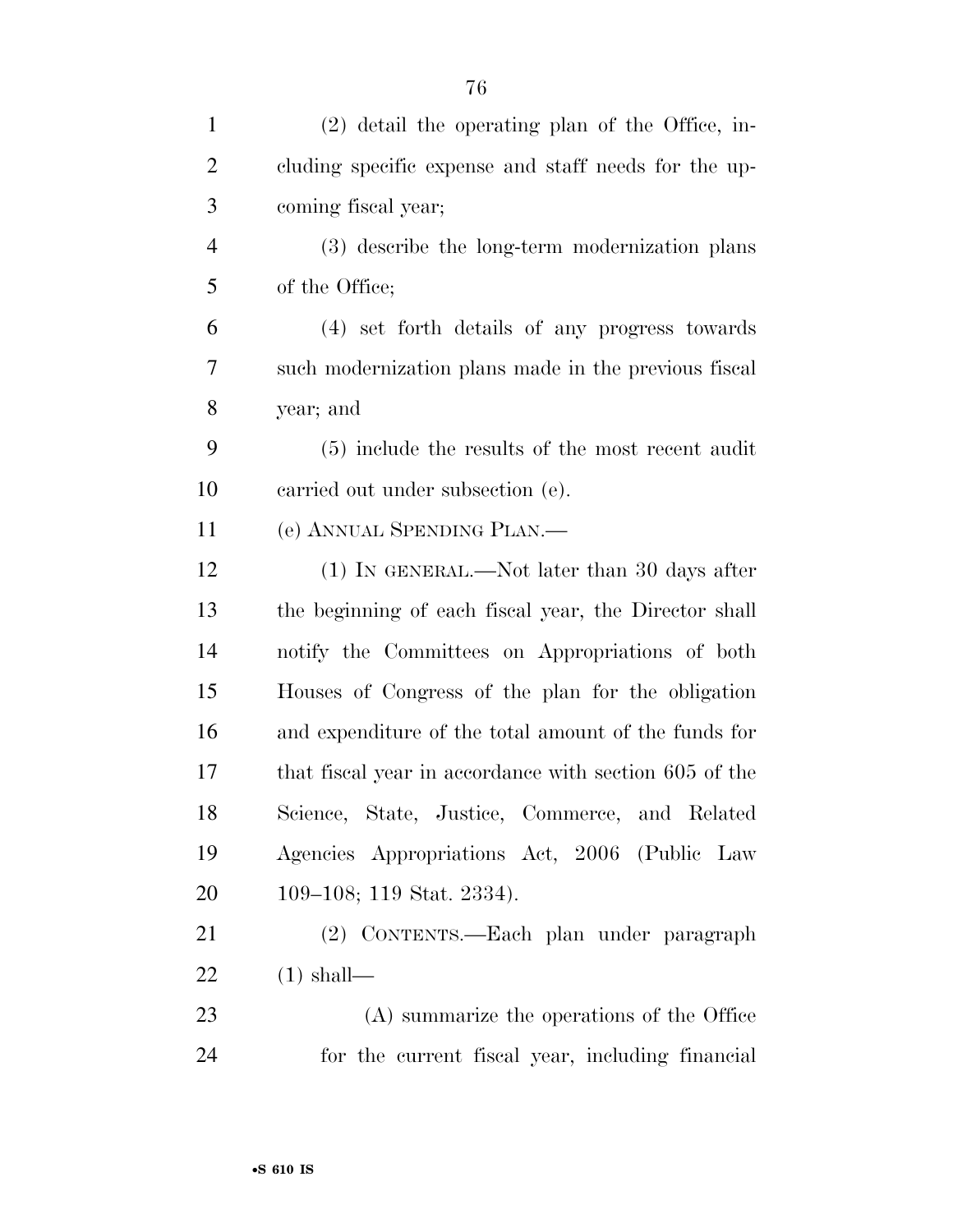| $\mathbf{1}$   | $(2)$ detail the operating plan of the Office, in-     |
|----------------|--------------------------------------------------------|
| $\overline{2}$ | cluding specific expense and staff needs for the up-   |
| 3              | coming fiscal year;                                    |
| $\overline{4}$ | (3) describe the long-term modernization plans         |
| 5              | of the Office;                                         |
| 6              | (4) set forth details of any progress towards          |
| 7              | such modernization plans made in the previous fiscal   |
| 8              | year; and                                              |
| 9              | (5) include the results of the most recent audit       |
| 10             | carried out under subsection (e).                      |
| 11             | (e) ANNUAL SPENDING PLAN.—                             |
| 12             | (1) IN GENERAL.—Not later than 30 days after           |
| 13             | the beginning of each fiscal year, the Director shall  |
| 14             | notify the Committees on Appropriations of both        |
| 15             | Houses of Congress of the plan for the obligation      |
| 16             | and expenditure of the total amount of the funds for   |
| 17             | that fiscal year in accordance with section 605 of the |
| 18             | Science, State, Justice, Commerce, and Related         |
| 19             | Agencies Appropriations Act, 2006 (Public Law          |
| 20             | 109–108; 119 Stat. 2334).                              |
| 21             | (2) CONTENTS.—Each plan under paragraph                |
| 22             | $(1)$ shall—                                           |
| 23             | (A) summarize the operations of the Office             |
| 24             | for the current fiscal year, including financial       |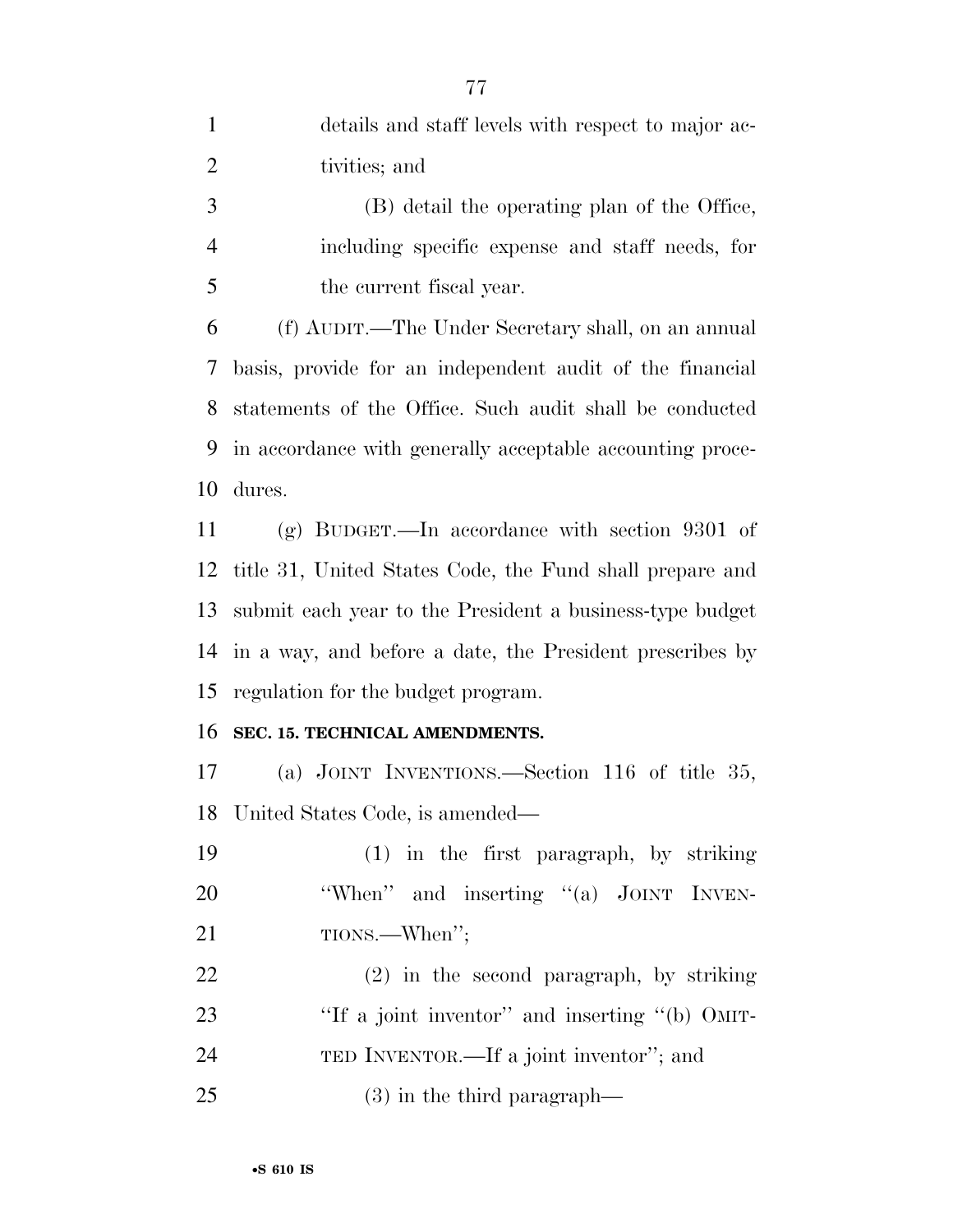| $\mathbf{1}$   | details and staff levels with respect to major ac-        |
|----------------|-----------------------------------------------------------|
| $\overline{2}$ | tivities; and                                             |
| 3              | (B) detail the operating plan of the Office,              |
| $\overline{4}$ | including specific expense and staff needs, for           |
| 5              | the current fiscal year.                                  |
| 6              | (f) AUDIT.—The Under Secretary shall, on an annual        |
| 7              | basis, provide for an independent audit of the financial  |
| 8              | statements of the Office. Such audit shall be conducted   |
| 9              | in accordance with generally acceptable accounting proce- |
| 10             | dures.                                                    |
| 11             | (g) BUDGET.—In accordance with section $9301$ of          |
| 12             | title 31, United States Code, the Fund shall prepare and  |
| 13             | submit each year to the President a business-type budget  |
| 14             | in a way, and before a date, the President prescribes by  |
| 15             | regulation for the budget program.                        |
| 16             | SEC. 15. TECHNICAL AMENDMENTS.                            |
| 17             | (a) JOINT INVENTIONS.—Section 116 of title 35,            |
|                | 18 United States Code, is amended—                        |
| 19             | $(1)$ in the first paragraph, by striking                 |
| <b>20</b>      | "When" and inserting "(a) JOINT INVEN-                    |
| 21             | TIONS.—When";                                             |
| 22             | $(2)$ in the second paragraph, by striking                |
| 23             | "If a joint inventor" and inserting "(b) OMIT-            |
| 24             | TED INVENTOR.—If a joint inventor"; and                   |
| 25             | $(3)$ in the third paragraph—                             |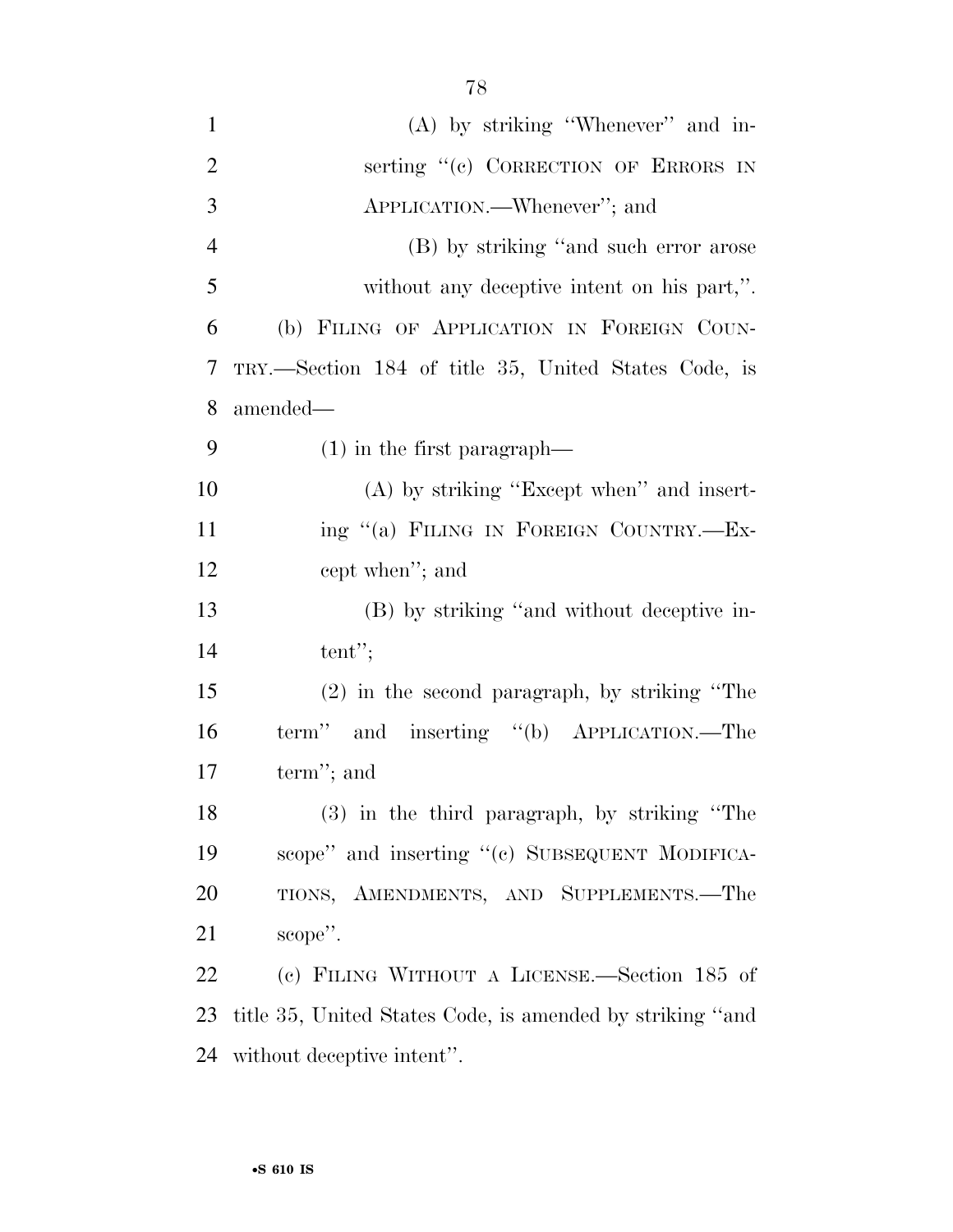| $\mathbf{1}$   | $(A)$ by striking "Whenever" and in-                      |
|----------------|-----------------------------------------------------------|
| $\overline{2}$ | serting "(c) CORRECTION OF ERRORS IN                      |
| 3              | APPLICATION.—Whenever"; and                               |
| $\overline{4}$ | (B) by striking "and such error arose                     |
| 5              | without any deceptive intent on his part,".               |
| 6              | (b) FILING OF APPLICATION IN FOREIGN COUN-                |
| 7              | TRY.—Section 184 of title 35, United States Code, is      |
| 8              | amended—                                                  |
| 9              | $(1)$ in the first paragraph—                             |
| 10             | $(A)$ by striking "Except when" and insert-               |
| 11             | ing "(a) FILING IN FOREIGN COUNTRY.-Ex-                   |
| 12             | cept when"; and                                           |
| 13             | (B) by striking "and without deceptive in-                |
| 14             | tent";                                                    |
| 15             | $(2)$ in the second paragraph, by striking "The           |
| 16             | term" and inserting "(b) APPLICATION.—The                 |
| 17             | term"; and                                                |
| 18             | $(3)$ in the third paragraph, by striking "The            |
| 19             | scope" and inserting "(c) SUBSEQUENT MODIFICA-            |
| 20             | TIONS, AMENDMENTS, AND SUPPLEMENTS.-The                   |
| 21             | scope".                                                   |
| 22             | (c) FILING WITHOUT A LICENSE.—Section 185 of              |
| 23             | title 35, United States Code, is amended by striking "and |
| 24             | without deceptive intent".                                |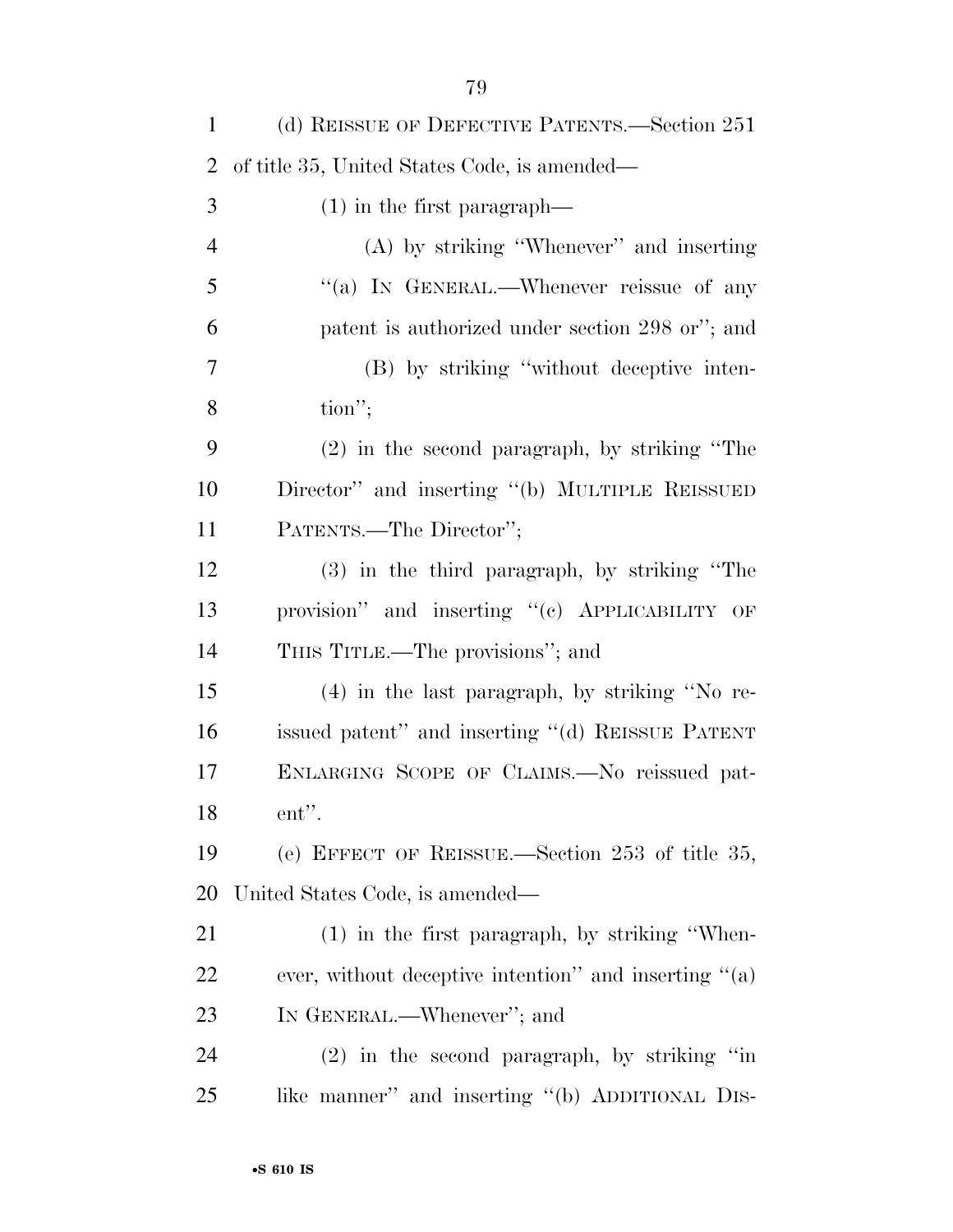| $\mathbf{1}$   | (d) REISSUE OF DEFECTIVE PATENTS.—Section 251         |
|----------------|-------------------------------------------------------|
| $\overline{2}$ | of title 35, United States Code, is amended—          |
| 3              | $(1)$ in the first paragraph—                         |
| $\overline{4}$ | $(A)$ by striking "Whenever" and inserting            |
| 5              | "(a) IN GENERAL.—Whenever reissue of any              |
| 6              | patent is authorized under section 298 or"; and       |
| $\overline{7}$ | (B) by striking "without deceptive inten-             |
| 8              | $\text{tion}''$                                       |
| 9              | $(2)$ in the second paragraph, by striking "The       |
| 10             | Director" and inserting "(b) MULTIPLE REISSUED        |
| 11             | PATENTS.—The Director";                               |
| 12             | $(3)$ in the third paragraph, by striking "The        |
| 13             | provision" and inserting "(c) APPLICABILITY OF        |
| 14             | THIS TITLE.—The provisions"; and                      |
| 15             | $(4)$ in the last paragraph, by striking "No re-      |
| 16             | issued patent" and inserting "(d) REISSUE PATENT      |
| 17             | ENLARGING SCOPE OF CLAIMS.—No reissued pat-           |
| 18             | ent".                                                 |
| 19             | (e) EFFECT OF REISSUE.—Section 253 of title 35,       |
| 20             | United States Code, is amended—                       |
| 21             | $(1)$ in the first paragraph, by striking "When-      |
| 22             | ever, without deceptive intention" and inserting "(a) |
| 23             | IN GENERAL.—Whenever"; and                            |
| 24             | $(2)$ in the second paragraph, by striking "in        |
| 25             | like manner" and inserting "(b) ADDITIONAL DIS-       |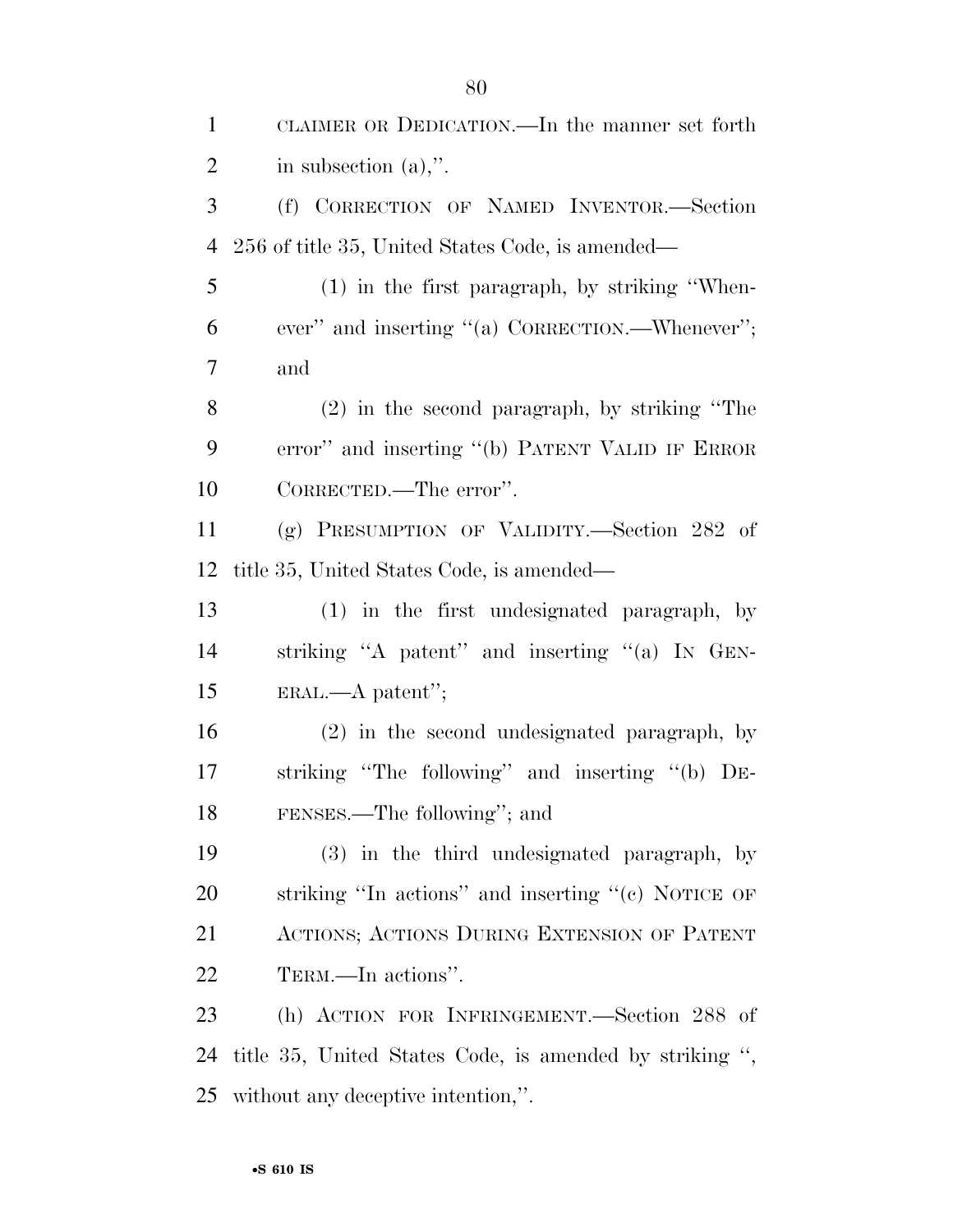| $\mathbf{1}$   | CLAIMER OR DEDICATION.—In the manner set forth          |
|----------------|---------------------------------------------------------|
| $\overline{2}$ | in subsection $(a)$ ,".                                 |
| 3              | (f) CORRECTION OF NAMED INVENTOR.-Section               |
| $\overline{4}$ | 256 of title 35, United States Code, is amended—        |
| 5              | $(1)$ in the first paragraph, by striking "When-        |
| 6              | ever" and inserting "(a) CORRECTION.—Whenever";         |
| $\overline{7}$ | and                                                     |
| 8              | $(2)$ in the second paragraph, by striking "The         |
| 9              | error" and inserting "(b) PATENT VALID IF ERROR         |
| 10             | CORRECTED.—The error".                                  |
| 11             | (g) PRESUMPTION OF VALIDITY.—Section 282 of             |
| 12             | title 35, United States Code, is amended—               |
| 13             | (1) in the first undesignated paragraph, by             |
| 14             | striking "A patent" and inserting "(a) IN GEN-          |
| 15             | $ERAL. - A patent'';$                                   |
| 16             | (2) in the second undesignated paragraph, by            |
| 17             | striking "The following" and inserting "(b) DE-         |
| 18             | FENSES.—The following"; and                             |
| 19             | (3) in the third undesignated paragraph, by             |
| 20             | striking "In actions" and inserting " $(e)$ NOTICE OF   |
| 21             | ACTIONS; ACTIONS DURING EXTENSION OF PATENT             |
| <u>22</u>      | TERM.—In actions".                                      |
| 23             | (h) ACTION FOR INFRINGEMENT.—Section 288 of             |
| 24             | title 35, United States Code, is amended by striking ", |
| 25             | without any deceptive intention,".                      |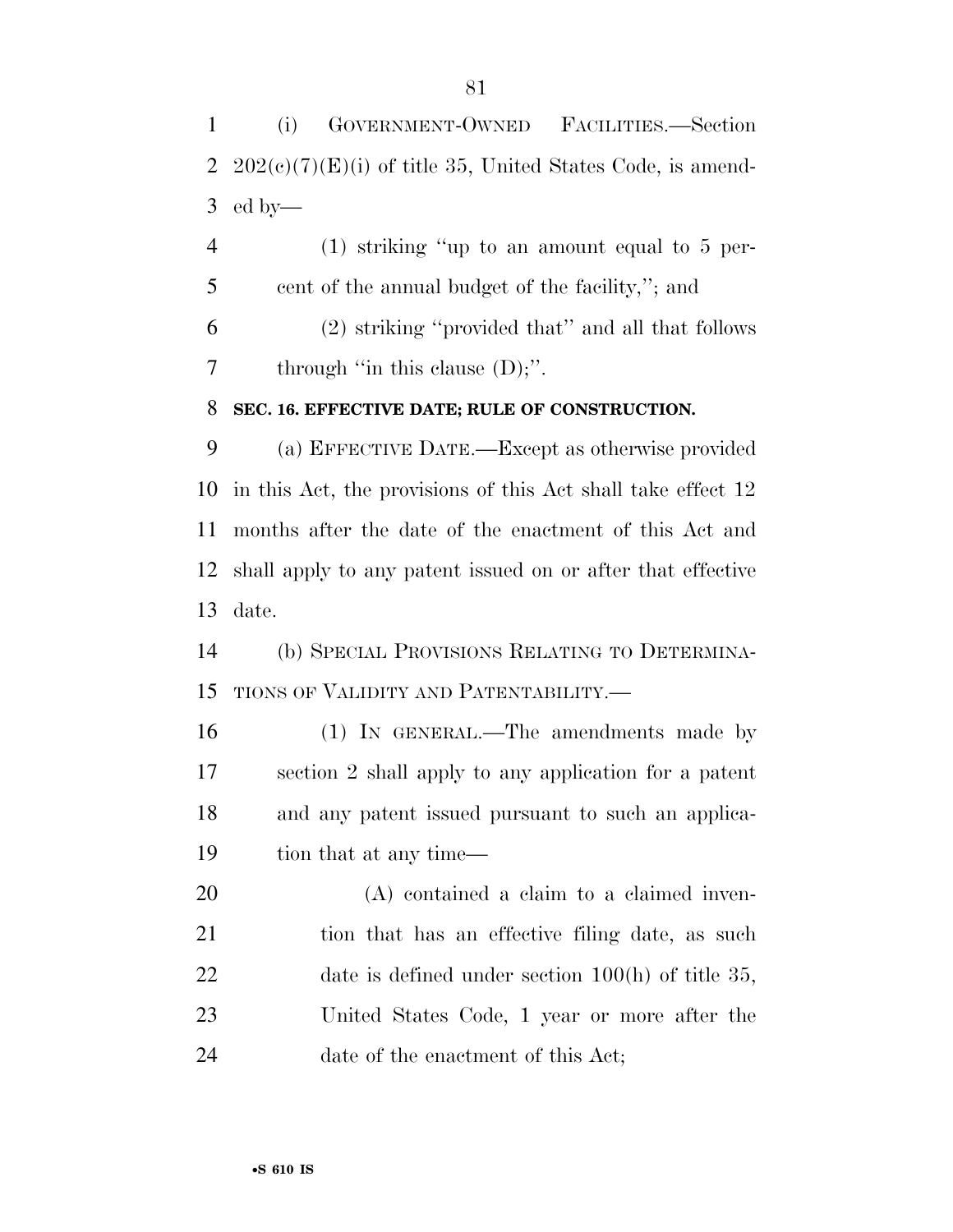(i) GOVERNMENT-OWNED FACILITIES.—Section 2  $202(e)(7)(E)(i)$  of title 35, United States Code, is amend-ed by—

 (1) striking ''up to an amount equal to 5 per- cent of the annual budget of the facility,''; and (2) striking ''provided that'' and all that follows 7 through "in this clause (D);".

## **SEC. 16. EFFECTIVE DATE; RULE OF CONSTRUCTION.**

 (a) EFFECTIVE DATE.—Except as otherwise provided in this Act, the provisions of this Act shall take effect 12 months after the date of the enactment of this Act and shall apply to any patent issued on or after that effective date.

 (b) SPECIAL PROVISIONS RELATING TO DETERMINA-TIONS OF VALIDITY AND PATENTABILITY.—

 (1) IN GENERAL.—The amendments made by section 2 shall apply to any application for a patent and any patent issued pursuant to such an applica-19 tion that at any time—

 (A) contained a claim to a claimed inven-21 tion that has an effective filing date, as such 22 date is defined under section 100(h) of title 35, United States Code, 1 year or more after the 24 date of the enactment of this Act;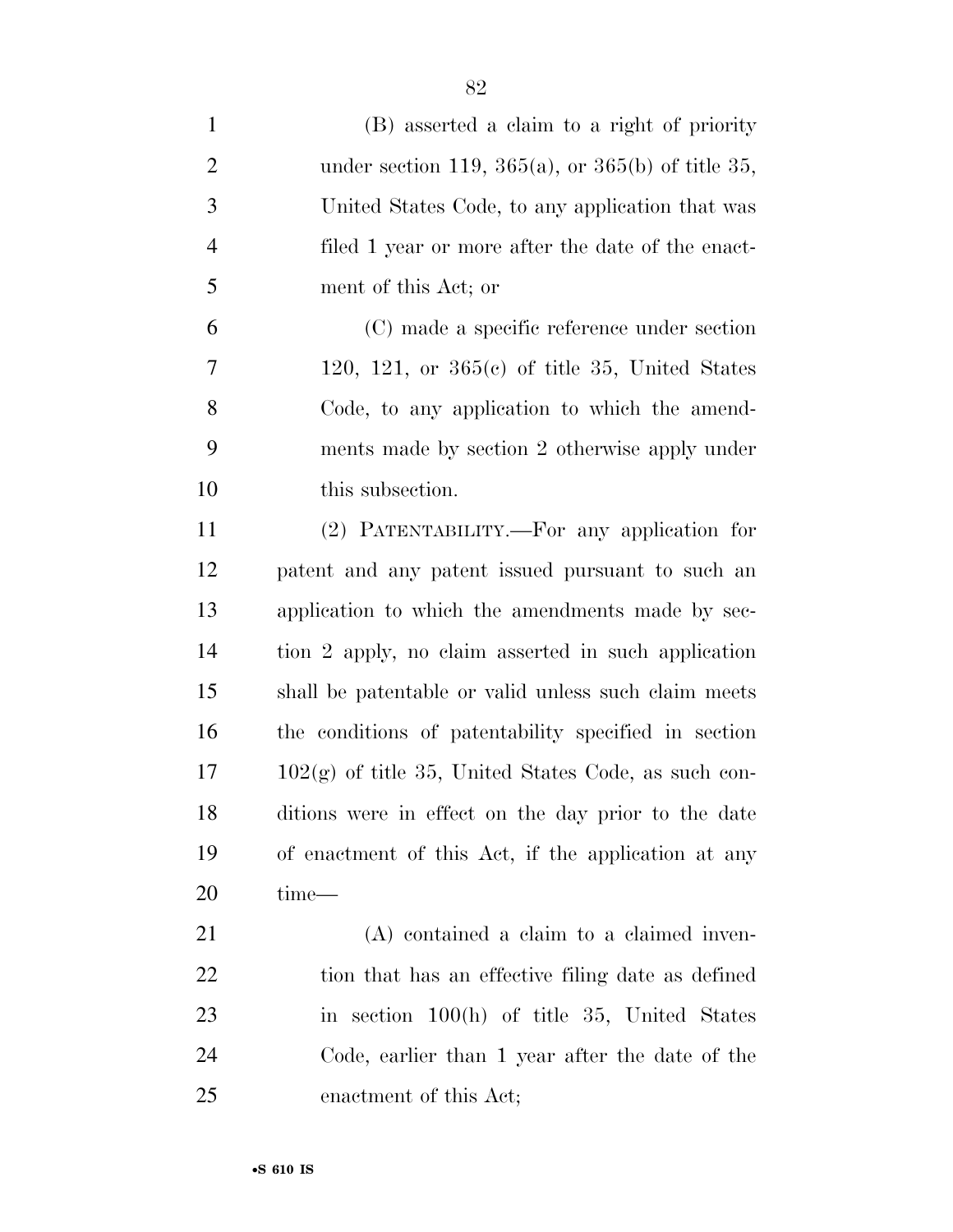| $\mathbf{1}$   | (B) asserted a claim to a right of priority            |
|----------------|--------------------------------------------------------|
| $\overline{2}$ | under section 119, 365(a), or 365(b) of title 35,      |
| 3              | United States Code, to any application that was        |
| $\overline{4}$ | filed 1 year or more after the date of the enact-      |
| 5              | ment of this Act; or                                   |
| 6              | (C) made a specific reference under section            |
| 7              | 120, 121, or $365(c)$ of title 35, United States       |
| 8              | Code, to any application to which the amend-           |
| 9              | ments made by section 2 otherwise apply under          |
| 10             | this subsection.                                       |
| 11             | (2) PATENTABILITY.—For any application for             |
| 12             | patent and any patent issued pursuant to such an       |
| 13             | application to which the amendments made by sec-       |
| 14             | tion 2 apply, no claim asserted in such application    |
| 15             | shall be patentable or valid unless such claim meets   |
| 16             | the conditions of patentability specified in section   |
| 17             | $102(g)$ of title 35, United States Code, as such con- |
| 18             | ditions were in effect on the day prior to the date    |
| 19             | of enactment of this Act, if the application at any    |
| <b>20</b>      | time—                                                  |
| 21             | (A) contained a claim to a claimed inven-              |
| 22             | tion that has an effective filing date as defined      |
| 23             | in section $100(h)$ of title 35, United States         |
| 24             | Code, earlier than 1 year after the date of the        |
| 25             | enactment of this Act;                                 |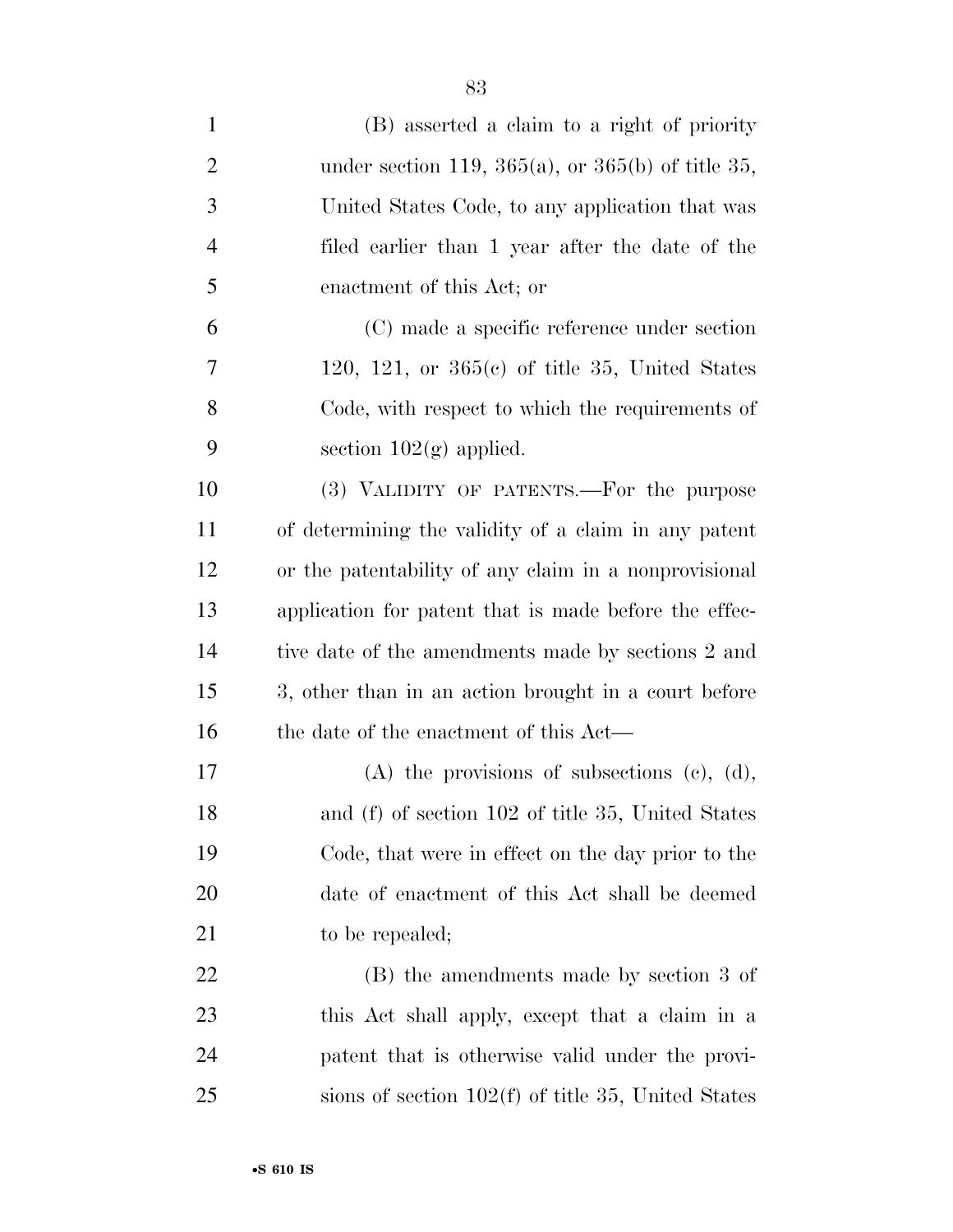| $\mathbf{1}$   | (B) asserted a claim to a right of priority           |
|----------------|-------------------------------------------------------|
| $\overline{2}$ | under section 119, 365(a), or 365(b) of title 35,     |
| 3              | United States Code, to any application that was       |
| $\overline{4}$ | filed earlier than 1 year after the date of the       |
| 5              | enactment of this Act; or                             |
| 6              | (C) made a specific reference under section           |
| 7              | 120, 121, or $365(c)$ of title 35, United States      |
| 8              | Code, with respect to which the requirements of       |
| 9              | section $102(g)$ applied.                             |
| 10             | (3) VALIDITY OF PATENTS.—For the purpose              |
| 11             | of determining the validity of a claim in any patent  |
| 12             | or the patentability of any claim in a nonprovisional |
| 13             | application for patent that is made before the effec- |
| 14             | tive date of the amendments made by sections 2 and    |
| 15             | 3, other than in an action brought in a court before  |
| 16             | the date of the enactment of this Act—                |
| 17             | $(A)$ the provisions of subsections $(c)$ , $(d)$ ,   |
| 18             | and (f) of section 102 of title 35, United States     |
| 19             | Code, that were in effect on the day prior to the     |
| 20             | date of enactment of this Act shall be deemed         |
| 21             | to be repealed;                                       |
| 22             | (B) the amendments made by section 3 of               |
| 23             | this Act shall apply, except that a claim in a        |
| 24             | patent that is otherwise valid under the provi-       |
| 25             | sions of section $102(f)$ of title 35, United States  |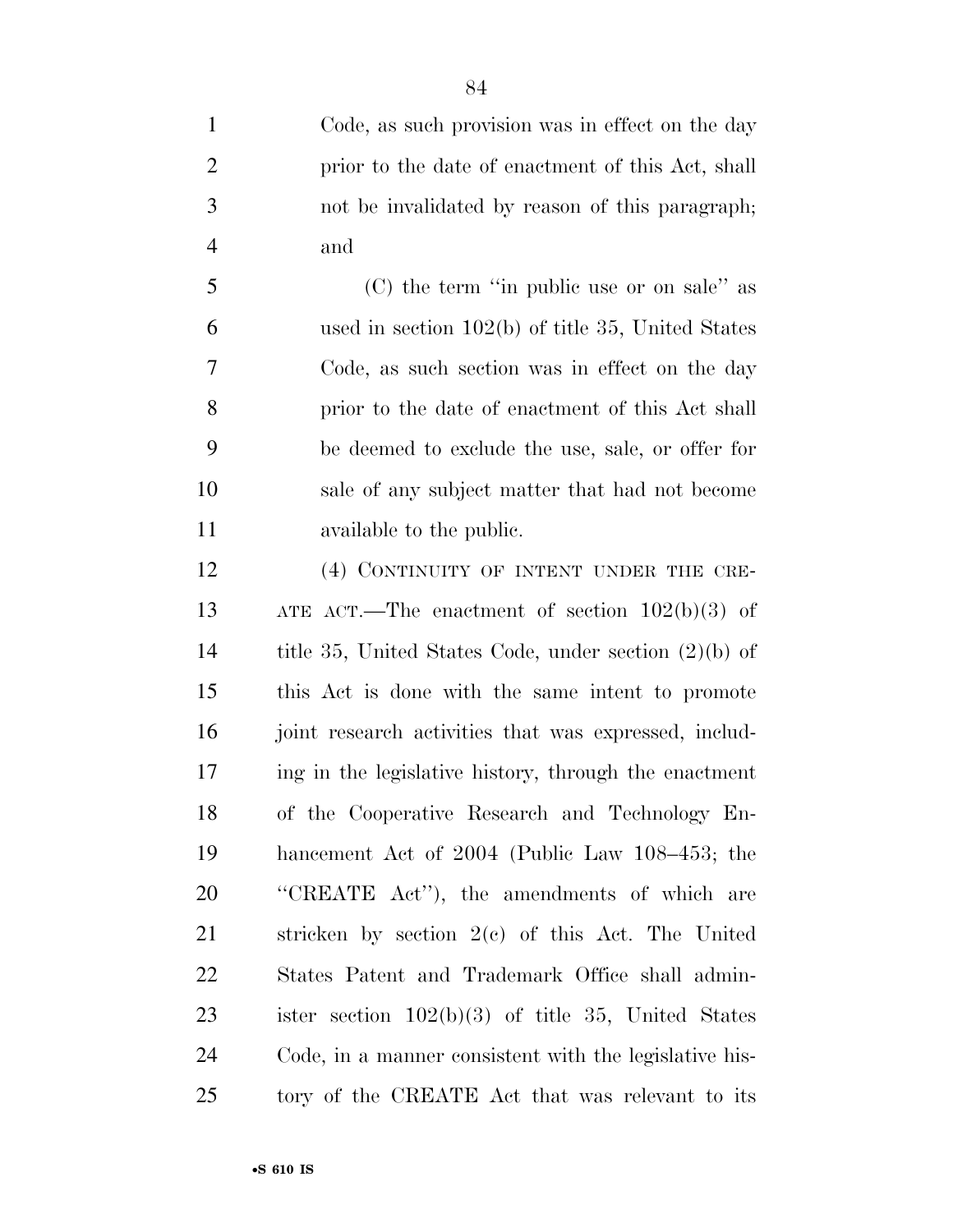Code, as such provision was in effect on the day prior to the date of enactment of this Act, shall not be invalidated by reason of this paragraph; and

 (C) the term ''in public use or on sale'' as used in section 102(b) of title 35, United States Code, as such section was in effect on the day prior to the date of enactment of this Act shall be deemed to exclude the use, sale, or offer for sale of any subject matter that had not become available to the public.

12 (4) CONTINUITY OF INTENT UNDER THE CRE- ATE ACT.—The enactment of section 102(b)(3) of title 35, United States Code, under section (2)(b) of this Act is done with the same intent to promote 16 joint research activities that was expressed, includ- ing in the legislative history, through the enactment of the Cooperative Research and Technology En- hancement Act of 2004 (Public Law 108–453; the ''CREATE Act''), the amendments of which are stricken by section 2(c) of this Act. The United States Patent and Trademark Office shall admin- ister section 102(b)(3) of title 35, United States Code, in a manner consistent with the legislative his-tory of the CREATE Act that was relevant to its